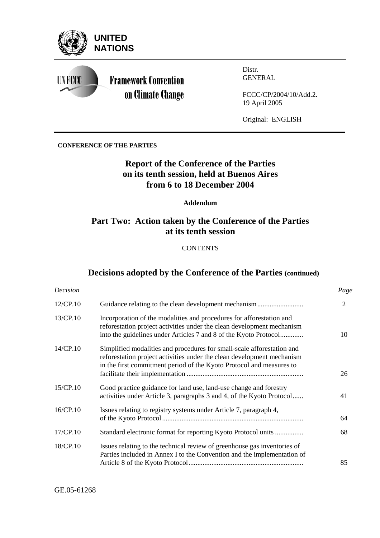

#### **CONFERENCE OF THE PARTIES**

# **Report of the Conference of the Parties on its tenth session, held at Buenos Aires from 6 to 18 December 2004**

### **Addendum**

# **Part Two: Action taken by the Conference of the Parties at its tenth session**

**CONTENTS** 

# **Decisions adopted by the Conference of the Parties (continued)**

| Decision |                                                                                                                                                                                                                          | Page           |
|----------|--------------------------------------------------------------------------------------------------------------------------------------------------------------------------------------------------------------------------|----------------|
| 12/CP.10 | Guidance relating to the clean development mechanism                                                                                                                                                                     | $\overline{2}$ |
| 13/CP.10 | Incorporation of the modalities and procedures for afforestation and<br>reforestation project activities under the clean development mechanism<br>into the guidelines under Articles 7 and 8 of the Kyoto Protocol       | 10             |
| 14/CP.10 | Simplified modalities and procedures for small-scale afforestation and<br>reforestation project activities under the clean development mechanism<br>in the first commitment period of the Kyoto Protocol and measures to | 26             |
| 15/CP.10 | Good practice guidance for land use, land-use change and forestry<br>activities under Article 3, paragraphs 3 and 4, of the Kyoto Protocol                                                                               | 41             |
| 16/CP.10 | Issues relating to registry systems under Article 7, paragraph 4,                                                                                                                                                        | 64             |
| 17/CP.10 | Standard electronic format for reporting Kyoto Protocol units                                                                                                                                                            | 68             |
| 18/CP.10 | Issues relating to the technical review of greenhouse gas inventories of<br>Parties included in Annex I to the Convention and the implementation of                                                                      | 85             |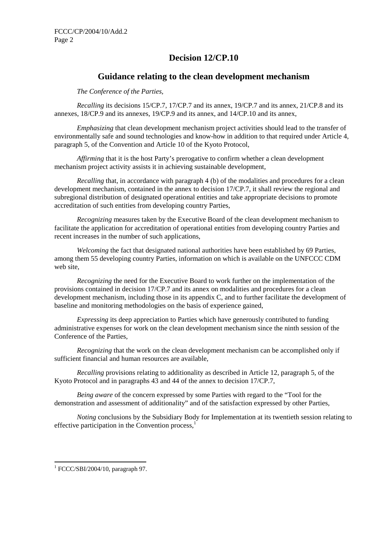# **Decision 12/CP.10**

## **Guidance relating to the clean development mechanism**

*The Conference of the Parties,* 

*Recalling* its decisions 15/CP.7, 17/CP.7 and its annex, 19/CP.7 and its annex, 21/CP.8 and its annexes, 18/CP.9 and its annexes, 19/CP.9 and its annex, and 14/CP.10 and its annex,

*Emphasizing* that clean development mechanism project activities should lead to the transfer of environmentally safe and sound technologies and know-how in addition to that required under Article 4, paragraph 5, of the Convention and Article 10 of the Kyoto Protocol,

*Affirming* that it is the host Party's prerogative to confirm whether a clean development mechanism project activity assists it in achieving sustainable development*,* 

*Recalling* that, in accordance with paragraph 4 (b) of the modalities and procedures for a clean development mechanism, contained in the annex to decision 17/CP.7, it shall review the regional and subregional distribution of designated operational entities and take appropriate decisions to promote accreditation of such entities from developing country Parties,

*Recognizing* measures taken by the Executive Board of the clean development mechanism to facilitate the application for accreditation of operational entities from developing country Parties and recent increases in the number of such applications,

*Welcoming* the fact that designated national authorities have been established by 69 Parties, among them 55 developing country Parties, information on which is available on the UNFCCC CDM web site,

*Recognizing* the need for the Executive Board to work further on the implementation of the provisions contained in decision 17/CP.7 and its annex on modalities and procedures for a clean development mechanism, including those in its appendix C, and to further facilitate the development of baseline and monitoring methodologies on the basis of experience gained,

*Expressing* its deep appreciation to Parties which have generously contributed to funding administrative expenses for work on the clean development mechanism since the ninth session of the Conference of the Parties,

*Recognizing* that the work on the clean development mechanism can be accomplished only if sufficient financial and human resources are available,

*Recalling* provisions relating to additionality as described in Article 12, paragraph 5, of the Kyoto Protocol and in paragraphs 43 and 44 of the annex to decision 17/CP.7,

*Being aware* of the concern expressed by some Parties with regard to the "Tool for the demonstration and assessment of additionality" and of the satisfaction expressed by other Parties,

*Noting* conclusions by the Subsidiary Body for Implementation at its twentieth session relating to effective participation in the Convention process, $<sup>1</sup>$ </sup>

<sup>1</sup> FCCC/SBI/2004/10, paragraph 97.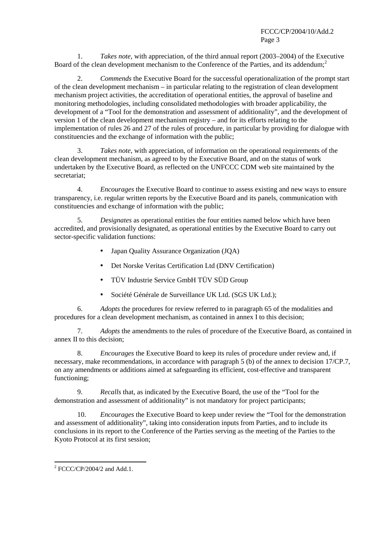1. *Takes note,* with appreciation, of the third annual report (2003–2004) of the Executive Board of the clean development mechanism to the Conference of the Parties, and its addendum:<sup>2</sup>

2. *Commends* the Executive Board for the successful operationalization of the prompt start of the clean development mechanism – in particular relating to the registration of clean development mechanism project activities, the accreditation of operational entities, the approval of baseline and monitoring methodologies, including consolidated methodologies with broader applicability, the development of a "Tool for the demonstration and assessment of additionality", and the development of version 1 of the clean development mechanism registry – and for its efforts relating to the implementation of rules 26 and 27 of the rules of procedure, in particular by providing for dialogue with constituencies and the exchange of information with the public;

3. *Takes note*, with appreciation, of information on the operational requirements of the clean development mechanism, as agreed to by the Executive Board, and on the status of work undertaken by the Executive Board, as reflected on the UNFCCC CDM web site maintained by the secretariat;

4. *Encourages* the Executive Board to continue to assess existing and new ways to ensure transparency, i.e. regular written reports by the Executive Board and its panels, communication with constituencies and exchange of information with the public;

5. *Designates* as operational entities the four entities named below which have been accredited, and provisionally designated, as operational entities by the Executive Board to carry out sector-specific validation functions:

- Japan Quality Assurance Organization (JQA)
- Det Norske Veritas Certification Ltd (DNV Certification)
- TÜV Industrie Service GmbH TÜV SÜD Group
- Société Générale de Surveillance UK Ltd. (SGS UK Ltd.);

6. *Adopts* the procedures for review referred to in paragraph 65 of the modalities and procedures for a clean development mechanism, as contained in annex I to this decision;

7. *Adopts* the amendments to the rules of procedure of the Executive Board, as contained in annex II to this decision;

8. *Encourages* the Executive Board to keep its rules of procedure under review and, if necessary, make recommendations, in accordance with paragraph 5 (b) of the annex to decision 17/CP.7, on any amendments or additions aimed at safeguarding its efficient, cost-effective and transparent functioning;

9. *Recalls* that, as indicated by the Executive Board, the use of the "Tool for the demonstration and assessment of additionality" is not mandatory for project participants;

10. *Encourages* the Executive Board to keep under review the "Tool for the demonstration and assessment of additionality", taking into consideration inputs from Parties, and to include its conclusions in its report to the Conference of the Parties serving as the meeting of the Parties to the Kyoto Protocol at its first session;

 $2$  FCCC/CP/2004/2 and Add.1.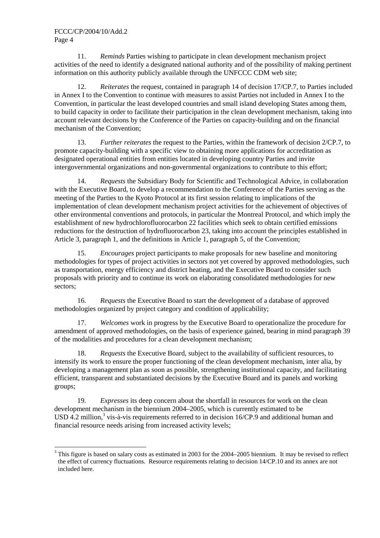$\overline{a}$ 

11. *Reminds* Parties wishing to participate in clean development mechanism project activities of the need to identify a designated national authority and of the possibility of making pertinent information on this authority publicly available through the UNFCCC CDM web site;

12. *Reiterates* the request, contained in paragraph 14 of decision 17/CP.7, to Parties included in Annex I to the Convention to continue with measures to assist Parties not included in Annex I to the Convention, in particular the least developed countries and small island developing States among them, to build capacity in order to facilitate their participation in the clean development mechanism, taking into account relevant decisions by the Conference of the Parties on capacity-building and on the financial mechanism of the Convention;

13. *Further reiterates* the request to the Parties, within the framework of decision 2/CP.7, to promote capacity-building with a specific view to obtaining more applications for accreditation as designated operational entities from entities located in developing country Parties and invite intergovernmental organizations and non-governmental organizations to contribute to this effort;

14. *Requests* the Subsidiary Body for Scientific and Technological Advice, in collaboration with the Executive Board, to develop a recommendation to the Conference of the Parties serving as the meeting of the Parties to the Kyoto Protocol at its first session relating to implications of the implementation of clean development mechanism project activities for the achievement of objectives of other environmental conventions and protocols, in particular the Montreal Protocol, and which imply the establishment of new hydrochlorofluorocarbon 22 facilities which seek to obtain certified emissions reductions for the destruction of hydrofluorocarbon 23, taking into account the principles established in Article 3, paragraph 1, and the definitions in Article 1, paragraph 5, of the Convention;

15. *Encourages* project participants to make proposals for new baseline and monitoring methodologies for types of project activities in sectors not yet covered by approved methodologies, such as transportation, energy efficiency and district heating, and the Executive Board to consider such proposals with priority and to continue its work on elaborating consolidated methodologies for new sectors;

16. *Requests* the Executive Board to start the development of a database of approved methodologies organized by project category and condition of applicability;

17. *Welcomes* work in progress by the Executive Board to operationalize the procedure for amendment of approved methodologies, on the basis of experience gained, bearing in mind paragraph 39 of the modalities and procedures for a clean development mechanism;

18. *Requests* the Executive Board, subject to the availability of sufficient resources, to intensify its work to ensure the proper functioning of the clean development mechanism, inter alia, by developing a management plan as soon as possible, strengthening institutional capacity, and facilitating efficient, transparent and substantiated decisions by the Executive Board and its panels and working groups;

19. *Expresses* its deep concern about the shortfall in resources for work on the clean development mechanism in the biennium 2004–2005, which is currently estimated to be USD 4.2 million,<sup>3</sup> vis-à-vis requirements referred to in decision  $16/CP.9$  and additional human and financial resource needs arising from increased activity levels;

 $3$  This figure is based on salary costs as estimated in 2003 for the 2004–2005 biennium. It may be revised to reflect the effect of currency fluctuations. Resource requirements relating to decision 14/CP.10 and its annex are not included here.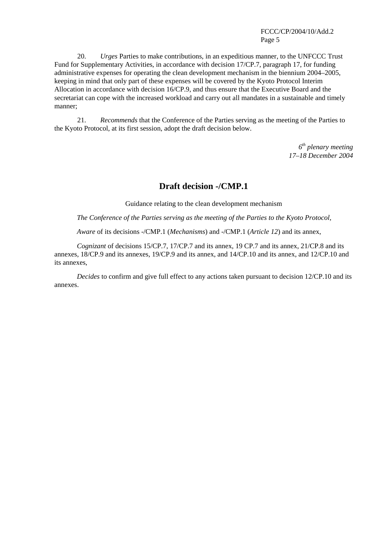20. *Urges* Parties to make contributions, in an expeditious manner, to the UNFCCC Trust Fund for Supplementary Activities, in accordance with decision 17/CP.7, paragraph 17, for funding administrative expenses for operating the clean development mechanism in the biennium 2004–2005, keeping in mind that only part of these expenses will be covered by the Kyoto Protocol Interim Allocation in accordance with decision 16/CP.9, and thus ensure that the Executive Board and the secretariat can cope with the increased workload and carry out all mandates in a sustainable and timely manner;

21. *Recommends* that the Conference of the Parties serving as the meeting of the Parties to the Kyoto Protocol, at its first session, adopt the draft decision below.

> *6th plenary meeting 17–18 December 2004*

## **Draft decision -/CMP.1**

Guidance relating to the clean development mechanism

*The Conference of the Parties serving as the meeting of the Parties to the Kyoto Protocol,* 

*Aware* of its decisions -/CMP.1 (*Mechanisms*) and -/CMP.1 (*Article 12*) and its annex,

*Cognizant* of decisions 15/CP.7, 17/CP.7 and its annex, 19 CP.7 and its annex, 21/CP.8 and its annexes, 18/CP.9 and its annexes, 19/CP.9 and its annex, and 14/CP.10 and its annex, and 12/CP.10 and its annexes,

*Decides* to confirm and give full effect to any actions taken pursuant to decision 12/CP.10 and its annexes.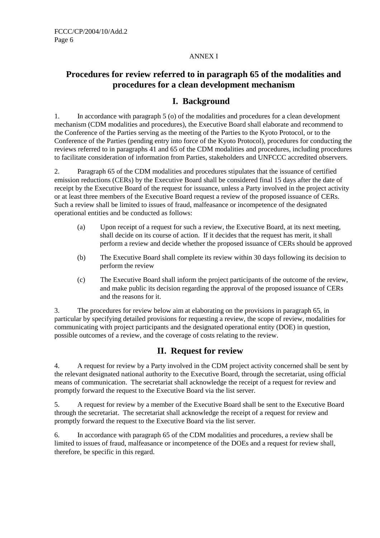## ANNEX I

# **Procedures for review referred to in paragraph 65 of the modalities and procedures for a clean development mechanism**

# **I. Background**

1. In accordance with paragraph 5 (o) of the modalities and procedures for a clean development mechanism (CDM modalities and procedures), the Executive Board shall elaborate and recommend to the Conference of the Parties serving as the meeting of the Parties to the Kyoto Protocol, or to the Conference of the Parties (pending entry into force of the Kyoto Protocol), procedures for conducting the reviews referred to in paragraphs 41 and 65 of the CDM modalities and procedures, including procedures to facilitate consideration of information from Parties, stakeholders and UNFCCC accredited observers.

2. Paragraph 65 of the CDM modalities and procedures stipulates that the issuance of certified emission reductions (CERs) by the Executive Board shall be considered final 15 days after the date of receipt by the Executive Board of the request for issuance, unless a Party involved in the project activity or at least three members of the Executive Board request a review of the proposed issuance of CERs. Such a review shall be limited to issues of fraud, malfeasance or incompetence of the designated operational entities and be conducted as follows:

- (a) Upon receipt of a request for such a review, the Executive Board, at its next meeting, shall decide on its course of action. If it decides that the request has merit, it shall perform a review and decide whether the proposed issuance of CERs should be approved
- (b) The Executive Board shall complete its review within 30 days following its decision to perform the review
- (c) The Executive Board shall inform the project participants of the outcome of the review, and make public its decision regarding the approval of the proposed issuance of CERs and the reasons for it.

3. The procedures for review below aim at elaborating on the provisions in paragraph 65, in particular by specifying detailed provisions for requesting a review, the scope of review, modalities for communicating with project participants and the designated operational entity (DOE) in question, possible outcomes of a review, and the coverage of costs relating to the review.

# **II. Request for review**

4. A request for review by a Party involved in the CDM project activity concerned shall be sent by the relevant designated national authority to the Executive Board, through the secretariat, using official means of communication. The secretariat shall acknowledge the receipt of a request for review and promptly forward the request to the Executive Board via the list server.

5. A request for review by a member of the Executive Board shall be sent to the Executive Board through the secretariat. The secretariat shall acknowledge the receipt of a request for review and promptly forward the request to the Executive Board via the list server.

6. In accordance with paragraph 65 of the CDM modalities and procedures, a review shall be limited to issues of fraud, malfeasance or incompetence of the DOEs and a request for review shall, therefore, be specific in this regard.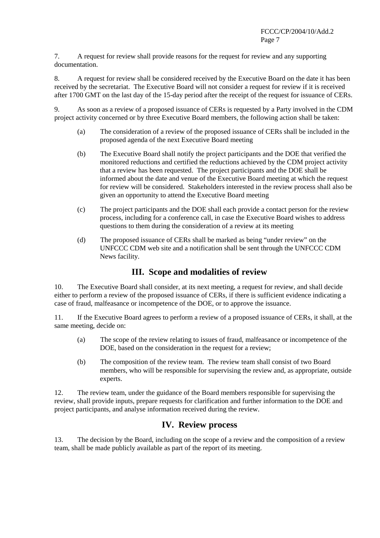7. A request for review shall provide reasons for the request for review and any supporting documentation.

8. A request for review shall be considered received by the Executive Board on the date it has been received by the secretariat. The Executive Board will not consider a request for review if it is received after 1700 GMT on the last day of the 15-day period after the receipt of the request for issuance of CERs.

9. As soon as a review of a proposed issuance of CERs is requested by a Party involved in the CDM project activity concerned or by three Executive Board members, the following action shall be taken:

- (a) The consideration of a review of the proposed issuance of CERs shall be included in the proposed agenda of the next Executive Board meeting
- (b) The Executive Board shall notify the project participants and the DOE that verified the monitored reductions and certified the reductions achieved by the CDM project activity that a review has been requested. The project participants and the DOE shall be informed about the date and venue of the Executive Board meeting at which the request for review will be considered. Stakeholders interested in the review process shall also be given an opportunity to attend the Executive Board meeting
- (c) The project participants and the DOE shall each provide a contact person for the review process, including for a conference call, in case the Executive Board wishes to address questions to them during the consideration of a review at its meeting
- (d) The proposed issuance of CERs shall be marked as being "under review" on the UNFCCC CDM web site and a notification shall be sent through the UNFCCC CDM News facility.

# **III. Scope and modalities of review**

10. The Executive Board shall consider, at its next meeting, a request for review, and shall decide either to perform a review of the proposed issuance of CERs, if there is sufficient evidence indicating a case of fraud, malfeasance or incompetence of the DOE, or to approve the issuance.

11. If the Executive Board agrees to perform a review of a proposed issuance of CERs, it shall, at the same meeting, decide on:

- (a) The scope of the review relating to issues of fraud, malfeasance or incompetence of the DOE, based on the consideration in the request for a review;
- (b) The composition of the review team. The review team shall consist of two Board members, who will be responsible for supervising the review and, as appropriate, outside experts.

12. The review team, under the guidance of the Board members responsible for supervising the review, shall provide inputs, prepare requests for clarification and further information to the DOE and project participants, and analyse information received during the review.

# **IV. Review process**

13. The decision by the Board, including on the scope of a review and the composition of a review team, shall be made publicly available as part of the report of its meeting.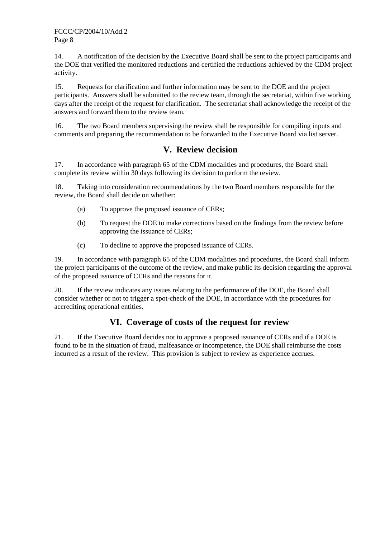14. A notification of the decision by the Executive Board shall be sent to the project participants and the DOE that verified the monitored reductions and certified the reductions achieved by the CDM project activity.

15. Requests for clarification and further information may be sent to the DOE and the project participants. Answers shall be submitted to the review team, through the secretariat, within five working days after the receipt of the request for clarification. The secretariat shall acknowledge the receipt of the answers and forward them to the review team.

16. The two Board members supervising the review shall be responsible for compiling inputs and comments and preparing the recommendation to be forwarded to the Executive Board via list server.

# **V. Review decision**

17. In accordance with paragraph 65 of the CDM modalities and procedures, the Board shall complete its review within 30 days following its decision to perform the review.

18. Taking into consideration recommendations by the two Board members responsible for the review, the Board shall decide on whether:

- (a) To approve the proposed issuance of CERs;
- (b) To request the DOE to make corrections based on the findings from the review before approving the issuance of CERs;
- (c) To decline to approve the proposed issuance of CERs.

19. In accordance with paragraph 65 of the CDM modalities and procedures, the Board shall inform the project participants of the outcome of the review, and make public its decision regarding the approval of the proposed issuance of CERs and the reasons for it.

20. If the review indicates any issues relating to the performance of the DOE, the Board shall consider whether or not to trigger a spot-check of the DOE, in accordance with the procedures for accrediting operational entities.

# **VI. Coverage of costs of the request for review**

21. If the Executive Board decides not to approve a proposed issuance of CERs and if a DOE is found to be in the situation of fraud, malfeasance or incompetence, the DOE shall reimburse the costs incurred as a result of the review. This provision is subject to review as experience accrues.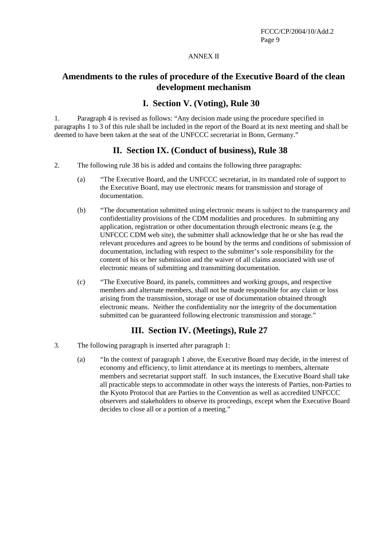#### ANNEX II

## **Amendments to the rules of procedure of the Executive Board of the clean development mechanism**

## **I. Section V. (Voting), Rule 30**

1. Paragraph 4 is revised as follows: "Any decision made using the procedure specified in paragraphs 1 to 3 of this rule shall be included in the report of the Board at its next meeting and shall be deemed to have been taken at the seat of the UNFCCC secretariat in Bonn, Germany."

## **II. Section IX. (Conduct of business), Rule 38**

- 2. The following rule 38 bis is added and contains the following three paragraphs:
	- (a) "The Executive Board, and the UNFCCC secretariat, in its mandated role of support to the Executive Board, may use electronic means for transmission and storage of documentation.
	- (b) "The documentation submitted using electronic means is subject to the transparency and confidentiality provisions of the CDM modalities and procedures. In submitting any application, registration or other documentation through electronic means (e.g. the UNFCCC CDM web site), the submitter shall acknowledge that he or she has read the relevant procedures and agrees to be bound by the terms and conditions of submission of documentation, including with respect to the submitter's sole responsibility for the content of his or her submission and the waiver of all claims associated with use of electronic means of submitting and transmitting documentation.
	- (c) "The Executive Board, its panels, committees and working groups, and respective members and alternate members, shall not be made responsible for any claim or loss arising from the transmission, storage or use of documentation obtained through electronic means. Neither the confidentiality nor the integrity of the documentation submitted can be guaranteed following electronic transmission and storage."

## **III. Section IV. (Meetings), Rule 27**

- 3. The following paragraph is inserted after paragraph 1:
	- (a) "In the context of paragraph 1 above, the Executive Board may decide, in the interest of economy and efficiency, to limit attendance at its meetings to members, alternate members and secretariat support staff. In such instances, the Executive Board shall take all practicable steps to accommodate in other ways the interests of Parties, non-Parties to the Kyoto Protocol that are Parties to the Convention as well as accredited UNFCCC observers and stakeholders to observe its proceedings, except when the Executive Board decides to close all or a portion of a meeting."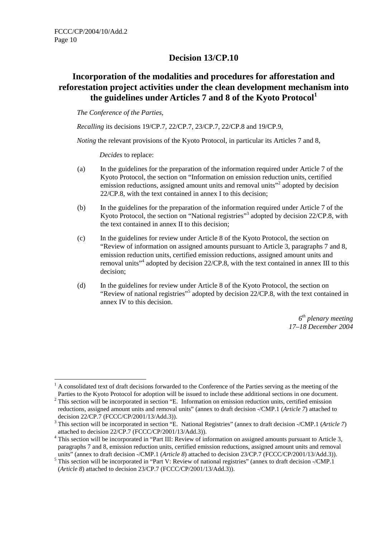## **Decision 13/CP.10**

# **Incorporation of the modalities and procedures for afforestation and reforestation project activities under the clean development mechanism into the guidelines under Articles 7 and 8 of the Kyoto Protocol<sup>1</sup>**

*The Conference of the Parties,* 

*Recalling* its decisions 19/CP.7, 22/CP.7, 23/CP.7, 22/CP.8 and 19/CP.9,

*Noting* the relevant provisions of the Kyoto Protocol, in particular its Articles 7 and 8,

*Decides* to replace:

- (a) In the guidelines for the preparation of the information required under Article 7 of the Kyoto Protocol, the section on "Information on emission reduction units, certified emission reductions, assigned amount units and removal units"<sup>2</sup> adopted by decision 22/CP.8, with the text contained in annex I to this decision;
- (b) In the guidelines for the preparation of the information required under Article 7 of the Kyoto Protocol, the section on "National registries"<sup>3</sup> adopted by decision 22/CP.8, with the text contained in annex II to this decision;
- (c) In the guidelines for review under Article 8 of the Kyoto Protocol, the section on "Review of information on assigned amounts pursuant to Article 3, paragraphs 7 and 8, emission reduction units, certified emission reductions, assigned amount units and removal units<sup>"4</sup> adopted by decision 22/CP.8, with the text contained in annex III to this decision;
- (d) In the guidelines for review under Article 8 of the Kyoto Protocol, the section on "Review of national registries"<sup>5</sup> adopted by decision 22/CP.8, with the text contained in annex IV to this decision.

*6th plenary meeting 17–18 December 2004*

 $\overline{a}$ 1 A consolidated text of draft decisions forwarded to the Conference of the Parties serving as the meeting of the Parties to the Kyoto Protocol for adoption will be issued to include these additional sections in one document.

 $2$  This section will be incorporated in section "E. Information on emission reduction units, certified emission reductions, assigned amount units and removal units" (annex to draft decision -/CMP.1 (*Article 7*) attached to decision 22/CP.7 (FCCC/CP/2001/13/Add.3)).

<sup>3</sup> This section will be incorporated in section "E. National Registries" (annex to draft decision -/CMP.1 (*Article 7*) attached to decision  $22/CP.7$  (FCCC/CP/2001/13/Add.3)).

<sup>&</sup>lt;sup>4</sup> This section will be incorporated in "Part III: Review of information on assigned amounts pursuant to Article 3, paragraphs 7 and 8, emission reduction units, certified emission reductions, assigned amount units and removal units" (annex to draft decision -/CMP.1 (*Article 8*) attached to decision 23/CP.7 (FCCC/CP/2001/13/Add.3)).

<sup>&</sup>lt;sup>5</sup> This section will be incorporated in "Part V: Review of national registries" (annex to draft decision -/CMP.1 (*Article 8*) attached to decision 23/CP.7 (FCCC/CP/2001/13/Add.3)).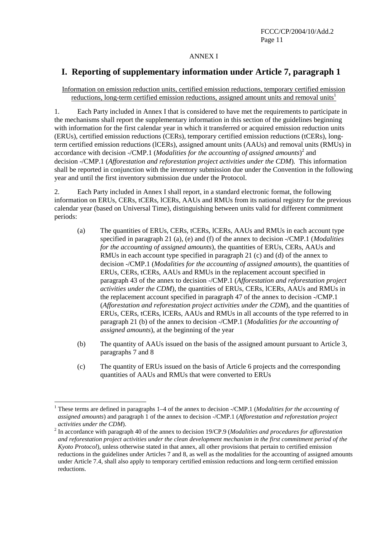#### ANNEX I

# **I. Reporting of supplementary information under Article 7, paragraph 1**

### Information on emission reduction units, certified emission reductions, temporary certified emission reductions, long-term certified emission reductions, assigned amount units and removal units<sup>1</sup>

1. Each Party included in Annex I that is considered to have met the requirements to participate in the mechanisms shall report the supplementary information in this section of the guidelines beginning with information for the first calendar year in which it transferred or acquired emission reduction units (ERUs), certified emission reductions (CERs), temporary certified emission reductions (tCERs), longterm certified emission reductions (lCERs), assigned amount units (AAUs) and removal units (RMUs) in accordance with decision -/CMP.1 (*Modalities for the accounting of assigned amounts*)<sup>2</sup> and decision -/CMP.1 (*Afforestation and reforestation project activities under the CDM*)*.* This information shall be reported in conjunction with the inventory submission due under the Convention in the following year and until the first inventory submission due under the Protocol.

2. Each Party included in Annex I shall report, in a standard electronic format, the following information on ERUs, CERs, tCERs, lCERs, AAUs and RMUs from its national registry for the previous calendar year (based on Universal Time), distinguishing between units valid for different commitment periods:

- (a) The quantities of ERUs, CERs, tCERs, lCERs, AAUs and RMUs in each account type specified in paragraph 21 (a), (e) and (f) of the annex to decision -/CMP.1 (*Modalities for the accounting of assigned amounts*)*,* the quantities of ERUs, CERs, AAUs and RMUs in each account type specified in paragraph 21 (c) and (d) of the annex to decision -/CMP.1 (*Modalities for the accounting of assigned amounts*), the quantities of ERUs, CERs, tCERs, AAUs and RMUs in the replacement account specified in paragraph 43 of the annex to decision -/CMP.1 (*Afforestation and reforestation project activities under the CDM*)*,* the quantities of ERUs, CERs, lCERs, AAUs and RMUs in the replacement account specified in paragraph 47 of the annex to decision -/CMP.1 (*Afforestation and reforestation project activities under the CDM*), and the quantities of ERUs, CERs, tCERs, lCERs, AAUs and RMUs in all accounts of the type referred to in paragraph 21 (b) of the annex to decision -/CMP.1 (*Modalities for the accounting of assigned amounts*), at the beginning of the year
- (b) The quantity of AAUs issued on the basis of the assigned amount pursuant to Article 3, paragraphs 7 and 8
- (c) The quantity of ERUs issued on the basis of Article 6 projects and the corresponding quantities of AAUs and RMUs that were converted to ERUs

<sup>&</sup>lt;sup>1</sup> These terms are defined in paragraphs 1–4 of the annex to decision -/CMP.1 (*Modalities for the accounting of assigned amounts*) and paragraph 1 of the annex to decision -/CMP.1 (*Afforestation and reforestation project activities under the CDM*).

<sup>&</sup>lt;sup>2</sup> In accordance with paragraph 40 of the annex to decision 19/CP.9 (*Modalities and procedures for afforestation and reforestation project activities under the clean development mechanism in the first commitment period of the Kyoto Protocol*), unless otherwise stated in that annex, all other provisions that pertain to certified emission reductions in the guidelines under Articles 7 and 8, as well as the modalities for the accounting of assigned amounts under Article 7.4, shall also apply to temporary certified emission reductions and long-term certified emission reductions.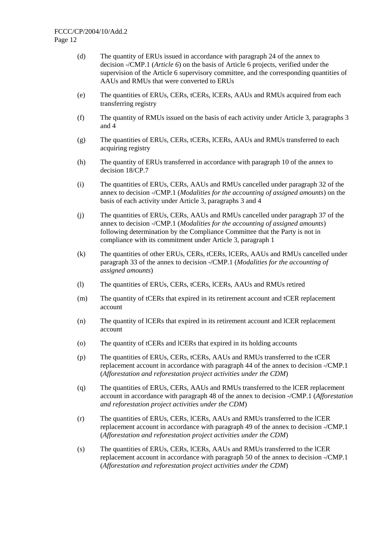- (d) The quantity of ERUs issued in accordance with paragraph 24 of the annex to decision -/CMP.1 (*Article 6*) on the basis of Article 6 projects, verified under the supervision of the Article 6 supervisory committee, and the corresponding quantities of AAUs and RMUs that were converted to ERUs
- (e) The quantities of ERUs, CERs, tCERs, lCERs, AAUs and RMUs acquired from each transferring registry
- (f) The quantity of RMUs issued on the basis of each activity under Article 3, paragraphs 3 and 4
- (g) The quantities of ERUs, CERs, tCERs, lCERs, AAUs and RMUs transferred to each acquiring registry
- (h) The quantity of ERUs transferred in accordance with paragraph 10 of the annex to decision 18/CP.7
- (i) The quantities of ERUs, CERs, AAUs and RMUs cancelled under paragraph 32 of the annex to decision -/CMP.1 (*Modalities for the accounting of assigned amounts*) on the basis of each activity under Article 3, paragraphs 3 and 4
- (j) The quantities of ERUs, CERs, AAUs and RMUs cancelled under paragraph 37 of the annex to decision -/CMP.1 (*Modalities for the accounting of assigned amounts*) following determination by the Compliance Committee that the Party is not in compliance with its commitment under Article 3, paragraph 1
- (k) The quantities of other ERUs, CERs, tCERs, lCERs, AAUs and RMUs cancelled under paragraph 33 of the annex to decision -/CMP.1 (*Modalities for the accounting of assigned amounts*)
- (l) The quantities of ERUs, CERs, tCERs, lCERs, AAUs and RMUs retired
- (m) The quantity of tCERs that expired in its retirement account and tCER replacement account
- (n) The quantity of lCERs that expired in its retirement account and lCER replacement account
- (o) The quantity of tCERs and lCERs that expired in its holding accounts
- (p) The quantities of ERUs, CERs, tCERs, AAUs and RMUs transferred to the tCER replacement account in accordance with paragraph 44 of the annex to decision -/CMP.1 (*Afforestation and reforestation project activities under the CDM*)
- (q) The quantities of ERUs, CERs, AAUs and RMUs transferred to the lCER replacement account in accordance with paragraph 48 of the annex to decision -/CMP.1 (*Afforestation and reforestation project activities under the CDM*)
- (r) The quantities of ERUs, CERs, lCERs, AAUs and RMUs transferred to the lCER replacement account in accordance with paragraph 49 of the annex to decision -/CMP.1 (*Afforestation and reforestation project activities under the CDM*)
- (s) The quantities of ERUs, CERs, lCERs, AAUs and RMUs transferred to the lCER replacement account in accordance with paragraph 50 of the annex to decision -/CMP.1 (*Afforestation and reforestation project activities under the CDM*)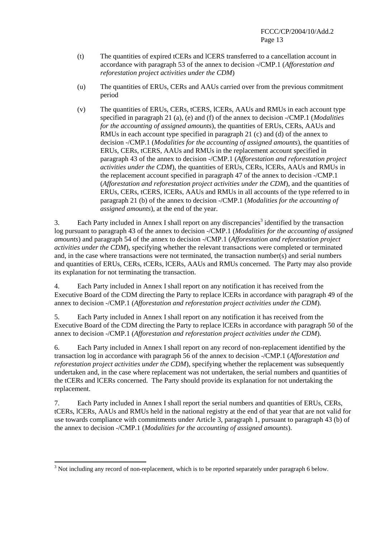- (t) The quantities of expired tCERs and lCERS transferred to a cancellation account in accordance with paragraph 53 of the annex to decision -/CMP.1 (*Afforestation and reforestation project activities under the CDM*)
- (u) The quantities of ERUs, CERs and AAUs carried over from the previous commitment period
- (v) The quantities of ERUs, CERs, tCERS, lCERs, AAUs and RMUs in each account type specified in paragraph 21 (a), (e) and (f) of the annex to decision -/CMP.1 (*Modalities for the accounting of assigned amounts*), the quantities of ERUs, CERs, AAUs and RMUs in each account type specified in paragraph 21 (c) and (d) of the annex to decision -/CMP.1 (*Modalities for the accounting of assigned amounts*), the quantities of ERUs, CERs, tCERS, AAUs and RMUs in the replacement account specified in paragraph 43 of the annex to decision -/CMP.1 (*Afforestation and reforestation project activities under the CDM*), the quantities of ERUs, CERs, lCERs, AAUs and RMUs in the replacement account specified in paragraph 47 of the annex to decision -/CMP.1 (*Afforestation and reforestation project activities under the CDM*), and the quantities of ERUs, CERs, tCERS, lCERs, AAUs and RMUs in all accounts of the type referred to in paragraph 21 (b) of the annex to decision -/CMP.1 (*Modalities for the accounting of assigned amounts*), at the end of the year.

3. Each Party included in Annex I shall report on any discrepancies<sup>3</sup> identified by the transaction log pursuant to paragraph 43 of the annex to decision -/CMP.1 (*Modalities for the accounting of assigned amounts*) and paragraph 54 of the annex to decision -/CMP.1 (*Afforestation and reforestation project activities under the CDM*), specifying whether the relevant transactions were completed or terminated and, in the case where transactions were not terminated, the transaction number(s) and serial numbers and quantities of ERUs, CERs, tCERs, lCERs, AAUs and RMUs concerned. The Party may also provide its explanation for not terminating the transaction.

4. Each Party included in Annex I shall report on any notification it has received from the Executive Board of the CDM directing the Party to replace lCERs in accordance with paragraph 49 of the annex to decision -/CMP.1 (*Afforestation and reforestation project activities under the CDM*).

5. Each Party included in Annex I shall report on any notification it has received from the Executive Board of the CDM directing the Party to replace lCERs in accordance with paragraph 50 of the annex to decision -/CMP.1 (*Afforestation and reforestation project activities under the CDM*).

6. Each Party included in Annex I shall report on any record of non-replacement identified by the transaction log in accordance with paragraph 56 of the annex to decision -/CMP.1 (*Afforestation and reforestation project activities under the CDM*), specifying whether the replacement was subsequently undertaken and, in the case where replacement was not undertaken, the serial numbers and quantities of the tCERs and lCERs concerned. The Party should provide its explanation for not undertaking the replacement.

7. Each Party included in Annex I shall report the serial numbers and quantities of ERUs, CERs, tCERs, lCERs, AAUs and RMUs held in the national registry at the end of that year that are not valid for use towards compliance with commitments under Article 3, paragraph 1, pursuant to paragraph 43 (b) of the annex to decision -/CMP.1 (*Modalities for the accounting of assigned amounts*).

 $3$  Not including any record of non-replacement, which is to be reported separately under paragraph 6 below.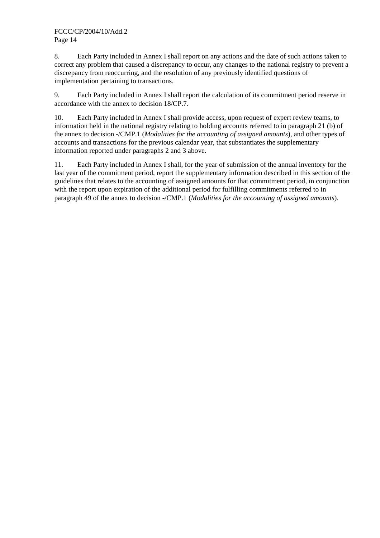8. Each Party included in Annex I shall report on any actions and the date of such actions taken to correct any problem that caused a discrepancy to occur, any changes to the national registry to prevent a discrepancy from reoccurring, and the resolution of any previously identified questions of implementation pertaining to transactions.

9. Each Party included in Annex I shall report the calculation of its commitment period reserve in accordance with the annex to decision 18/CP.7.

10. Each Party included in Annex I shall provide access, upon request of expert review teams, to information held in the national registry relating to holding accounts referred to in paragraph 21 (b) of the annex to decision -/CMP.1 (*Modalities for the accounting of assigned amounts*), and other types of accounts and transactions for the previous calendar year, that substantiates the supplementary information reported under paragraphs 2 and 3 above.

11. Each Party included in Annex I shall, for the year of submission of the annual inventory for the last year of the commitment period, report the supplementary information described in this section of the guidelines that relates to the accounting of assigned amounts for that commitment period, in conjunction with the report upon expiration of the additional period for fulfilling commitments referred to in paragraph 49 of the annex to decision -/CMP.1 (*Modalities for the accounting of assigned amounts*).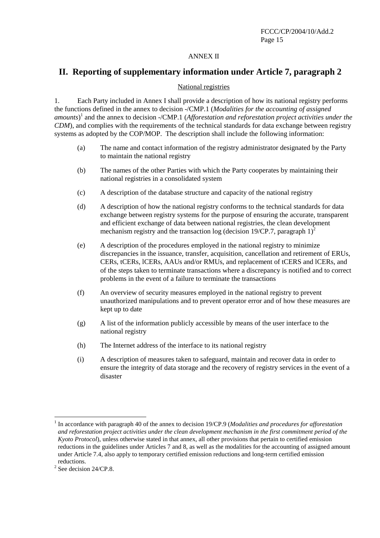### ANNEX II

## **II. Reporting of supplementary information under Article 7, paragraph 2**

#### National registries

1. Each Party included in Annex I shall provide a description of how its national registry performs the functions defined in the annex to decision -/CMP.1 (*Modalities for the accounting of assigned amounts*) 1 and the annex to decision -/CMP.1 (*Afforestation and reforestation project activities under the CDM*), and complies with the requirements of the technical standards for data exchange between registry systems as adopted by the COP/MOP. The description shall include the following information:

- (a) The name and contact information of the registry administrator designated by the Party to maintain the national registry
- (b) The names of the other Parties with which the Party cooperates by maintaining their national registries in a consolidated system
- (c) A description of the database structure and capacity of the national registry
- (d) A description of how the national registry conforms to the technical standards for data exchange between registry systems for the purpose of ensuring the accurate, transparent and efficient exchange of data between national registries, the clean development mechanism registry and the transaction log (decision 19/CP.7, paragraph 1)<sup>2</sup>
- (e) A description of the procedures employed in the national registry to minimize discrepancies in the issuance, transfer, acquisition, cancellation and retirement of ERUs, CERs, tCERs, lCERs, AAUs and/or RMUs, and replacement of tCERS and lCERs, and of the steps taken to terminate transactions where a discrepancy is notified and to correct problems in the event of a failure to terminate the transactions
- (f) An overview of security measures employed in the national registry to prevent unauthorized manipulations and to prevent operator error and of how these measures are kept up to date
- (g) A list of the information publicly accessible by means of the user interface to the national registry
- (h) The Internet address of the interface to its national registry
- (i) A description of measures taken to safeguard, maintain and recover data in order to ensure the integrity of data storage and the recovery of registry services in the event of a disaster

 $\overline{a}$ 

<sup>&</sup>lt;sup>1</sup> In accordance with paragraph 40 of the annex to decision 19/CP.9 (*Modalities and procedures for afforestation and reforestation project activities under the clean development mechanism in the first commitment period of the Kyoto Protocol*), unless otherwise stated in that annex, all other provisions that pertain to certified emission reductions in the guidelines under Articles 7 and 8, as well as the modalities for the accounting of assigned amount under Article 7.4, also apply to temporary certified emission reductions and long-term certified emission reductions.

 $2^2$  See decision 24/CP.8.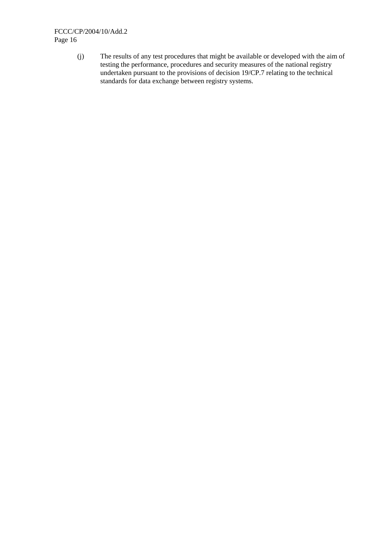(j) The results of any test procedures that might be available or developed with the aim of testing the performance, procedures and security measures of the national registry undertaken pursuant to the provisions of decision 19/CP.7 relating to the technical standards for data exchange between registry systems.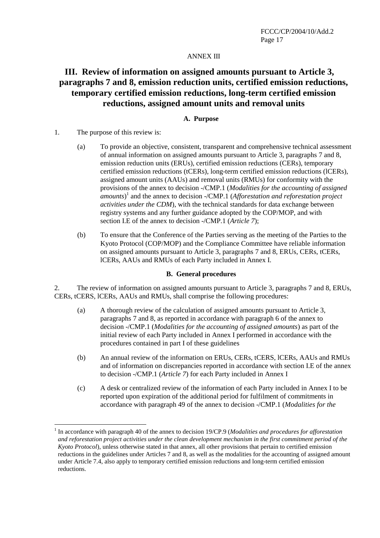### ANNEX III

# **III. Review of information on assigned amounts pursuant to Article 3, paragraphs 7 and 8, emission reduction units, certified emission reductions, temporary certified emission reductions, long-term certified emission reductions, assigned amount units and removal units**

#### **A. Purpose**

1. The purpose of this review is:

 $\overline{a}$ 

- (a) To provide an objective, consistent, transparent and comprehensive technical assessment of annual information on assigned amounts pursuant to Article 3, paragraphs 7 and 8, emission reduction units (ERUs), certified emission reductions (CERs), temporary certified emission reductions (tCERs), long-term certified emission reductions (lCERs), assigned amount units (AAUs) and removal units (RMUs) for conformity with the provisions of the annex to decision -/CMP.1 (*Modalities for the accounting of assigned amounts*) 1 and the annex to decision -/CMP.1 (*Afforestation and reforestation project activities under the CDM*), with the technical standards for data exchange between registry systems and any further guidance adopted by the COP/MOP, and with section I.E of the annex to decision -/CMP.1 (*Article 7*);
- (b) To ensure that the Conference of the Parties serving as the meeting of the Parties to the Kyoto Protocol (COP/MOP) and the Compliance Committee have reliable information on assigned amounts pursuant to Article 3, paragraphs 7 and 8, ERUs, CERs, tCERs, lCERs, AAUs and RMUs of each Party included in Annex I.

#### **B. General procedures**

2. The review of information on assigned amounts pursuant to Article 3, paragraphs 7 and 8, ERUs, CERs, tCERS, lCERs, AAUs and RMUs, shall comprise the following procedures:

- (a) A thorough review of the calculation of assigned amounts pursuant to Article 3, paragraphs 7 and 8, as reported in accordance with paragraph 6 of the annex to decision -/CMP.1 (*Modalities for the accounting of assigned amounts*) as part of the initial review of each Party included in Annex I performed in accordance with the procedures contained in part I of these guidelines
- (b) An annual review of the information on ERUs, CERs, tCERS, lCERs, AAUs and RMUs and of information on discrepancies reported in accordance with section I.E of the annex to decision -/CMP.1 (*Article 7*) for each Party included in Annex I
- (c) A desk or centralized review of the information of each Party included in Annex I to be reported upon expiration of the additional period for fulfilment of commitments in accordance with paragraph 49 of the annex to decision -/CMP.1 (*Modalities for the*

<sup>&</sup>lt;sup>1</sup> In accordance with paragraph 40 of the annex to decision 19/CP.9 (*Modalities and procedures for afforestation and reforestation project activities under the clean development mechanism in the first commitment period of the Kyoto Protocol*), unless otherwise stated in that annex, all other provisions that pertain to certified emission reductions in the guidelines under Articles 7 and 8, as well as the modalities for the accounting of assigned amount under Article 7.4, also apply to temporary certified emission reductions and long-term certified emission reductions.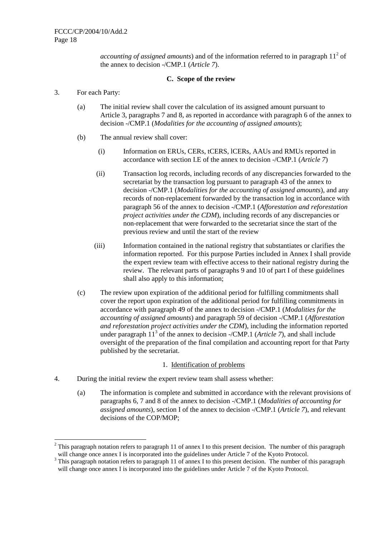*accounting of assigned amounts*) and of the information referred to in paragraph  $11<sup>2</sup>$  of the annex to decision -/CMP.1 (*Article 7*).

#### **C. Scope of the review**

3. For each Party:

 $\overline{a}$ 

- (a) The initial review shall cover the calculation of its assigned amount pursuant to Article 3, paragraphs 7 and 8, as reported in accordance with paragraph 6 of the annex to decision -/CMP.1 (*Modalities for the accounting of assigned amounts*);
- (b) The annual review shall cover:
	- (i) Information on ERUs, CERs, tCERS, lCERs, AAUs and RMUs reported in accordance with section I.E of the annex to decision -/CMP.1 (*Article 7*)
	- (ii) Transaction log records, including records of any discrepancies forwarded to the secretariat by the transaction log pursuant to paragraph 43 of the annex to decision -/CMP.1 (*Modalities for the accounting of assigned amounts*), and any records of non-replacement forwarded by the transaction log in accordance with paragraph 56 of the annex to decision -/CMP.1 (*Afforestation and reforestation project activities under the CDM*), including records of any discrepancies or non-replacement that were forwarded to the secretariat since the start of the previous review and until the start of the review
	- (iii) Information contained in the national registry that substantiates or clarifies the information reported. For this purpose Parties included in Annex I shall provide the expert review team with effective access to their national registry during the review. The relevant parts of paragraphs 9 and 10 of part I of these guidelines shall also apply to this information;
- (c) The review upon expiration of the additional period for fulfilling commitments shall cover the report upon expiration of the additional period for fulfilling commitments in accordance with paragraph 49 of the annex to decision -/CMP.1 (*Modalities for the accounting of assigned amounts*) and paragraph 59 of decision -/CMP.1 (*Afforestation and reforestation project activities under the CDM*), including the information reported under paragraph  $11<sup>3</sup>$  of the annex to decision -/CMP.1 (*Article 7*), and shall include oversight of the preparation of the final compilation and accounting report for that Party published by the secretariat.

#### 1. Identification of problems

- 4. During the initial review the expert review team shall assess whether:
	- (a) The information is complete and submitted in accordance with the relevant provisions of paragraphs 6, 7 and 8 of the annex to decision -/CMP.1 (*Modalities of accounting for assigned amounts*), section I of the annex to decision -/CMP.1 (*Article 7*), and relevant decisions of the COP/MOP;

<sup>&</sup>lt;sup>2</sup> This paragraph notation refers to paragraph 11 of annex I to this present decision. The number of this paragraph will change once annex I is incorporated into the guidelines under Article 7 of the Kyoto Protocol.

 $3$  This paragraph notation refers to paragraph 11 of annex I to this present decision. The number of this paragraph will change once annex I is incorporated into the guidelines under Article 7 of the Kyoto Protocol.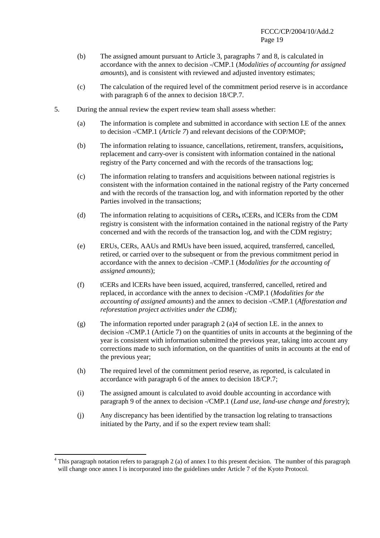- (b) The assigned amount pursuant to Article 3, paragraphs 7 and 8, is calculated in accordance with the annex to decision -/CMP.1 (*Modalities of accounting for assigned amounts*), and is consistent with reviewed and adjusted inventory estimates;
- (c) The calculation of the required level of the commitment period reserve is in accordance with paragraph 6 of the annex to decision 18/CP.7.
- 5. During the annual review the expert review team shall assess whether:
	- (a) The information is complete and submitted in accordance with section I.E of the annex to decision -/CMP.1 (*Article 7*) and relevant decisions of the COP/MOP;
	- (b) The information relating to issuance, cancellations, retirement, transfers, acquisitions**,**  replacement and carry-over is consistent with information contained in the national registry of the Party concerned and with the records of the transactions log;
	- (c) The information relating to transfers and acquisitions between national registries is consistent with the information contained in the national registry of the Party concerned and with the records of the transaction log, and with information reported by the other Parties involved in the transactions;
	- (d) The information relating to acquisitions of CERs**,** tCERs, and lCERs from the CDM registry is consistent with the information contained in the national registry of the Party concerned and with the records of the transaction log, and with the CDM registry;
	- (e) ERUs, CERs, AAUs and RMUs have been issued, acquired, transferred, cancelled, retired, or carried over to the subsequent or from the previous commitment period in accordance with the annex to decision -/CMP.1 (*Modalities for the accounting of assigned amounts*);
	- (f) tCERs and lCERs have been issued, acquired, transferred, cancelled, retired and replaced, in accordance with the annex to decision -/CMP.1 (*Modalities for the accounting of assigned amounts*) and the annex to decision -/CMP.1 (*Afforestation and reforestation project activities under the CDM*)*;*
	- (g) The information reported under paragraph 2 (a)4 of section I.E. in the annex to decision -/CMP.1 (Article 7) on the quantities of units in accounts at the beginning of the year is consistent with information submitted the previous year, taking into account any corrections made to such information, on the quantities of units in accounts at the end of the previous year;
	- (h) The required level of the commitment period reserve, as reported, is calculated in accordance with paragraph 6 of the annex to decision 18/CP.7;
	- (i) The assigned amount is calculated to avoid double accounting in accordance with paragraph 9 of the annex to decision -/CMP.1 (*Land use, land-use change and forestry*);
	- (j) Any discrepancy has been identified by the transaction log relating to transactions initiated by the Party, and if so the expert review team shall:

 $\overline{a}$ 

<sup>&</sup>lt;sup>4</sup> This paragraph notation refers to paragraph 2 (a) of annex I to this present decision. The number of this paragraph will change once annex I is incorporated into the guidelines under Article 7 of the Kyoto Protocol.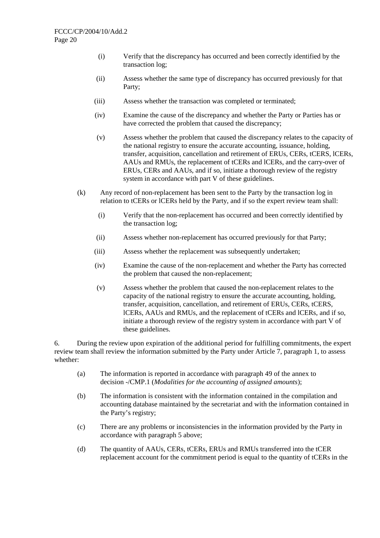- (i) Verify that the discrepancy has occurred and been correctly identified by the transaction log;
- (ii) Assess whether the same type of discrepancy has occurred previously for that Party;
- (iii) Assess whether the transaction was completed or terminated;
- (iv) Examine the cause of the discrepancy and whether the Party or Parties has or have corrected the problem that caused the discrepancy;
- (v) Assess whether the problem that caused the discrepancy relates to the capacity of the national registry to ensure the accurate accounting, issuance, holding, transfer, acquisition, cancellation and retirement of ERUs, CERs, tCERS, lCERs, AAUs and RMUs, the replacement of tCERs and lCERs, and the carry-over of ERUs, CERs and AAUs, and if so, initiate a thorough review of the registry system in accordance with part V of these guidelines.
- (k) Any record of non-replacement has been sent to the Party by the transaction log in relation to tCERs or lCERs held by the Party, and if so the expert review team shall:
	- (i) Verify that the non-replacement has occurred and been correctly identified by the transaction log;
	- (ii) Assess whether non-replacement has occurred previously for that Party;
	- (iii) Assess whether the replacement was subsequently undertaken;
	- (iv) Examine the cause of the non-replacement and whether the Party has corrected the problem that caused the non-replacement;
	- (v) Assess whether the problem that caused the non-replacement relates to the capacity of the national registry to ensure the accurate accounting, holding, transfer, acquisition, cancellation, and retirement of ERUs, CERs, tCERS, lCERs, AAUs and RMUs, and the replacement of tCERs and lCERs, and if so, initiate a thorough review of the registry system in accordance with part V of these guidelines.

6. During the review upon expiration of the additional period for fulfilling commitments, the expert review team shall review the information submitted by the Party under Article 7, paragraph 1, to assess whether:

- (a) The information is reported in accordance with paragraph 49 of the annex to decision -/CMP.1 (*Modalities for the accounting of assigned amounts*);
- (b) The information is consistent with the information contained in the compilation and accounting database maintained by the secretariat and with the information contained in the Party's registry;
- (c) There are any problems or inconsistencies in the information provided by the Party in accordance with paragraph 5 above;
- (d) The quantity of AAUs, CERs, tCERs, ERUs and RMUs transferred into the tCER replacement account for the commitment period is equal to the quantity of tCERs in the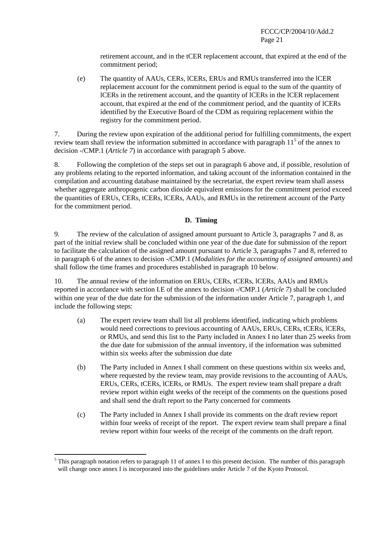retirement account, and in the tCER replacement account, that expired at the end of the commitment period;

(e) The quantity of AAUs, CERs, lCERs, ERUs and RMUs transferred into the lCER replacement account for the commitment period is equal to the sum of the quantity of lCERs in the retirement account, and the quantity of lCERs in the lCER replacement account, that expired at the end of the commitment period, and the quantity of lCERs identified by the Executive Board of the CDM as requiring replacement within the registry for the commitment period.

7. During the review upon expiration of the additional period for fulfilling commitments, the expert review team shall review the information submitted in accordance with paragraph  $11<sup>5</sup>$  of the annex to decision -/CMP.1 (*Article 7*) in accordance with paragraph 5 above.

8. Following the completion of the steps set out in paragraph 6 above and, if possible, resolution of any problems relating to the reported information, and taking account of the information contained in the compilation and accounting database maintained by the secretariat, the expert review team shall assess whether aggregate anthropogenic carbon dioxide equivalent emissions for the commitment period exceed the quantities of ERUs, CERs, tCERs, lCERs, AAUs, and RMUs in the retirement account of the Party for the commitment period.

## **D. Timing**

9. The review of the calculation of assigned amount pursuant to Article 3, paragraphs 7 and 8, as part of the initial review shall be concluded within one year of the due date for submission of the report to facilitate the calculation of the assigned amount pursuant to Article 3, paragraphs 7 and 8, referred to in paragraph 6 of the annex to decision -/CMP.1 (*Modalities for the accounting of assigned amounts*) and shall follow the time frames and procedures established in paragraph 10 below.

10. The annual review of the information on ERUs, CERs, tCERs, lCERs, AAUs and RMUs reported in accordance with section I.E of the annex to decision -/CMP.1 (*Article 7*) shall be concluded within one year of the due date for the submission of the information under Article 7, paragraph 1, and include the following steps:

- (a) The expert review team shall list all problems identified, indicating which problems would need corrections to previous accounting of AAUs, ERUs, CERs, tCERs, lCERs, or RMUs, and send this list to the Party included in Annex I no later than 25 weeks from the due date for submission of the annual inventory, if the information was submitted within six weeks after the submission due date
- (b) The Party included in Annex I shall comment on these questions within six weeks and, where requested by the review team, may provide revisions to the accounting of AAUs, ERUs, CERs, tCERs, lCERs, or RMUs. The expert review team shall prepare a draft review report within eight weeks of the receipt of the comments on the questions posed and shall send the draft report to the Party concerned for comments
- (c) The Party included in Annex I shall provide its comments on the draft review report within four weeks of receipt of the report. The expert review team shall prepare a final review report within four weeks of the receipt of the comments on the draft report.

 $\overline{a}$ 

 $<sup>5</sup>$  This paragraph notation refers to paragraph 11 of annex I to this present decision. The number of this paragraph</sup> will change once annex I is incorporated into the guidelines under Article 7 of the Kyoto Protocol.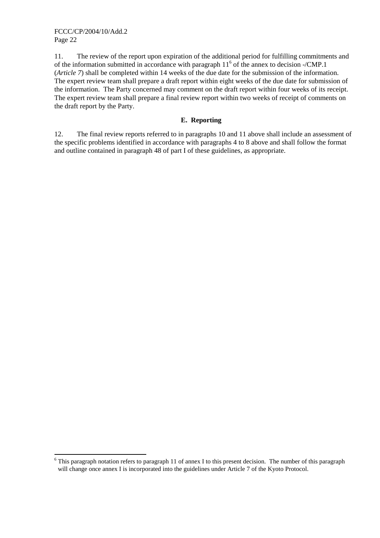$\overline{a}$ 

11. The review of the report upon expiration of the additional period for fulfilling commitments and of the information submitted in accordance with paragraph  $11<sup>6</sup>$  of the annex to decision -/CMP.1 (*Article 7*) shall be completed within 14 weeks of the due date for the submission of the information. The expert review team shall prepare a draft report within eight weeks of the due date for submission of the information. The Party concerned may comment on the draft report within four weeks of its receipt. The expert review team shall prepare a final review report within two weeks of receipt of comments on the draft report by the Party.

## **E. Reporting**

12. The final review reports referred to in paragraphs 10 and 11 above shall include an assessment of the specific problems identified in accordance with paragraphs 4 to 8 above and shall follow the format and outline contained in paragraph 48 of part I of these guidelines, as appropriate.

 $6$  This paragraph notation refers to paragraph 11 of annex I to this present decision. The number of this paragraph will change once annex I is incorporated into the guidelines under Article 7 of the Kyoto Protocol.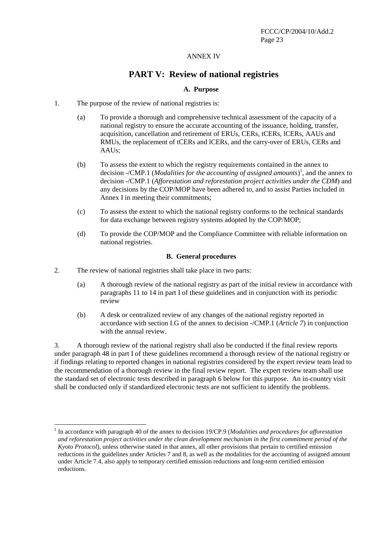#### ANNEX IV

## **PART V: Review of national registries**

#### **A. Purpose**

- 1. The purpose of the review of national registries is:
	- (a) To provide a thorough and comprehensive technical assessment of the capacity of a national registry to ensure the accurate accounting of the issuance, holding, transfer, acquisition, cancellation and retirement of ERUs, CERs, tCERs, lCERs, AAUs and RMUs, the replacement of tCERs and lCERs, and the carry-over of ERUs, CERs and AAUs;
	- (b) To assess the extent to which the registry requirements contained in the annex to decision -/CMP.1 (*Modalities for the accounting of assigned amounts*) 1 , and the annex to decision -/CMP.1 (*Afforestation and reforestation project activities under the CDM*) and any decisions by the COP/MOP have been adhered to, and to assist Parties included in Annex I in meeting their commitments;
	- (c) To assess the extent to which the national registry conforms to the technical standards for data exchange between registry systems adopted by the COP/MOP;
	- (d) To provide the COP/MOP and the Compliance Committee with reliable information on national registries.

#### **B. General procedures**

2. The review of national registries shall take place in two parts:

 $\overline{a}$ 

- (a) A thorough review of the national registry as part of the initial review in accordance with paragraphs 11 to 14 in part I of these guidelines and in conjunction with its periodic review
- (b) A desk or centralized review of any changes of the national registry reported in accordance with section I.G of the annex to decision -/CMP.1 (*Article 7*) in conjunction with the annual review.

3. A thorough review of the national registry shall also be conducted if the final review reports under paragraph 48 in part I of these guidelines recommend a thorough review of the national registry or if findings relating to reported changes in national registries considered by the expert review team lead to the recommendation of a thorough review in the final review report. The expert review team shall use the standard set of electronic tests described in paragraph 6 below for this purpose. An in-country visit shall be conducted only if standardized electronic tests are not sufficient to identify the problems.

<sup>&</sup>lt;sup>1</sup> In accordance with paragraph 40 of the annex to decision 19/CP.9 (*Modalities and procedures for afforestation and reforestation project activities under the clean development mechanism in the first commitment period of the Kyoto Protocol*), unless otherwise stated in that annex, all other provisions that pertain to certified emission reductions in the guidelines under Articles 7 and 8, as well as the modalities for the accounting of assigned amount under Article 7.4, also apply to temporary certified emission reductions and long-term certified emission reductions.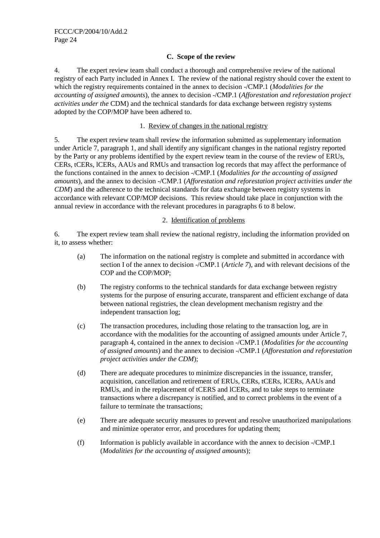### **C. Scope of the review**

4. The expert review team shall conduct a thorough and comprehensive review of the national registry of each Party included in Annex I. The review of the national registry should cover the extent to which the registry requirements contained in the annex to decision -/CMP.1 (*Modalities for the accounting of assigned amounts*), the annex to decision -/CMP.1 (*Afforestation and reforestation project activities under the* CDM) and the technical standards for data exchange between registry systems adopted by the COP/MOP have been adhered to.

### 1. Review of changes in the national registry

5. The expert review team shall review the information submitted as supplementary information under Article 7, paragraph 1, and shall identify any significant changes in the national registry reported by the Party or any problems identified by the expert review team in the course of the review of ERUs, CERs, tCERs, lCERs, AAUs and RMUs and transaction log records that may affect the performance of the functions contained in the annex to decision -/CMP.1 (*Modalities for the accounting of assigned amounts*), and the annex to decision -/CMP.1 (*Afforestation and reforestation project activities under the CDM*) and the adherence to the technical standards for data exchange between registry systems in accordance with relevant COP/MOP decisions. This review should take place in conjunction with the annual review in accordance with the relevant procedures in paragraphs 6 to 8 below.

### 2. Identification of problems

6. The expert review team shall review the national registry, including the information provided on it, to assess whether:

- (a) The information on the national registry is complete and submitted in accordance with section I of the annex to decision -/CMP.1 (*Article 7*), and with relevant decisions of the COP and the COP/MOP;
- (b) The registry conforms to the technical standards for data exchange between registry systems for the purpose of ensuring accurate, transparent and efficient exchange of data between national registries, the clean development mechanism registry and the independent transaction log;
- (c) The transaction procedures, including those relating to the transaction log, are in accordance with the modalities for the accounting of assigned amounts under Article 7, paragraph 4, contained in the annex to decision -/CMP.1 (*Modalities for the accounting of assigned amounts*) and the annex to decision -/CMP.1 (*Afforestation and reforestation project activities under the CDM*);
- (d) There are adequate procedures to minimize discrepancies in the issuance, transfer, acquisition, cancellation and retirement of ERUs, CERs, tCERs, lCERs, AAUs and RMUs, and in the replacement of tCERS and lCERs, and to take steps to terminate transactions where a discrepancy is notified, and to correct problems in the event of a failure to terminate the transactions;
- (e) There are adequate security measures to prevent and resolve unauthorized manipulations and minimize operator error, and procedures for updating them;
- (f) Information is publicly available in accordance with the annex to decision -/CMP.1 (*Modalities for the accounting of assigned amounts*);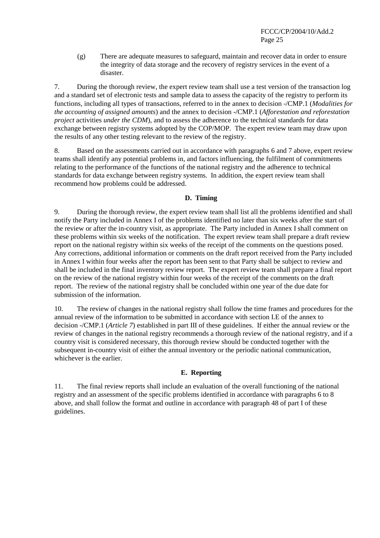(g) There are adequate measures to safeguard, maintain and recover data in order to ensure the integrity of data storage and the recovery of registry services in the event of a disaster.

7. During the thorough review, the expert review team shall use a test version of the transaction log and a standard set of electronic tests and sample data to assess the capacity of the registry to perform its functions, including all types of transactions, referred to in the annex to decision -/CMP.1 (*Modalities for the accounting of assigned amounts*) and the annex to decision -/CMP.1 (*Afforestation and reforestation project* activities *under the CDM*), and to assess the adherence to the technical standards for data exchange between registry systems adopted by the COP/MOP. The expert review team may draw upon the results of any other testing relevant to the review of the registry.

8. Based on the assessments carried out in accordance with paragraphs 6 and 7 above, expert review teams shall identify any potential problems in, and factors influencing, the fulfilment of commitments relating to the performance of the functions of the national registry and the adherence to technical standards for data exchange between registry systems. In addition, the expert review team shall recommend how problems could be addressed.

## **D. Timing**

9. During the thorough review, the expert review team shall list all the problems identified and shall notify the Party included in Annex I of the problems identified no later than six weeks after the start of the review or after the in-country visit, as appropriate. The Party included in Annex I shall comment on these problems within six weeks of the notification. The expert review team shall prepare a draft review report on the national registry within six weeks of the receipt of the comments on the questions posed. Any corrections, additional information or comments on the draft report received from the Party included in Annex I within four weeks after the report has been sent to that Party shall be subject to review and shall be included in the final inventory review report. The expert review team shall prepare a final report on the review of the national registry within four weeks of the receipt of the comments on the draft report. The review of the national registry shall be concluded within one year of the due date for submission of the information.

10. The review of changes in the national registry shall follow the time frames and procedures for the annual review of the information to be submitted in accordance with section I.E of the annex to decision -/CMP.1 (*Article 7*) established in part III of these guidelines. If either the annual review or the review of changes in the national registry recommends a thorough review of the national registry, and if a country visit is considered necessary, this thorough review should be conducted together with the subsequent in-country visit of either the annual inventory or the periodic national communication, whichever is the earlier.

#### **E. Reporting**

11. The final review reports shall include an evaluation of the overall functioning of the national registry and an assessment of the specific problems identified in accordance with paragraphs 6 to 8 above, and shall follow the format and outline in accordance with paragraph 48 of part I of these guidelines.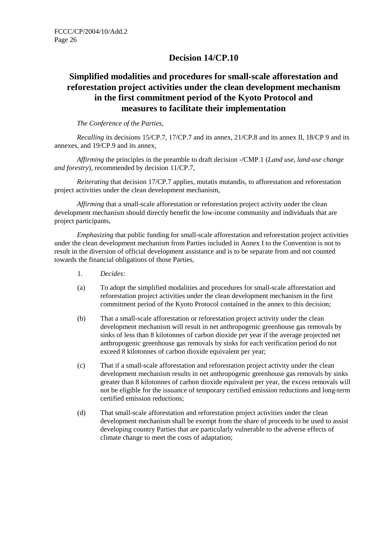# **Decision 14/CP.10**

# **Simplified modalities and procedures for small-scale afforestation and reforestation project activities under the clean development mechanism in the first commitment period of the Kyoto Protocol and measures to facilitate their implementation**

### *The Conference of the Parties,*

*Recalling* its decisions 15/CP.7, 17/CP.7 and its annex, 21/CP.8 and its annex II, 18/CP 9 and its annexes, and 19/CP.9 and its annex,

*Affirming* the principles in the preamble to draft decision -/CMP.1 (*Land use, land-use change and forestry*), recommended by decision 11/CP.7,

*Reiterating* that decision 17/CP.7 applies, mutatis mutandis, to afforestation and reforestation project activities under the clean development mechanism*,*

*Affirming* that a small-scale afforestation or reforestation project activity under the clean development mechanism should directly benefit the low-income community and individuals that are project participants,

*Emphasizing* that public funding for small-scale afforestation and reforestation project activities under the clean development mechanism from Parties included in Annex I to the Convention is not to result in the diversion of official development assistance and is to be separate from and not counted towards the financial obligations of those Parties,

- 1. *Decides:*
- (a) To adopt the simplified modalities and procedures for small-scale afforestation and reforestation project activities under the clean development mechanism in the first commitment period of the Kyoto Protocol contained in the annex to this decision;
- (b) That a small-scale afforestation or reforestation project activity under the clean development mechanism will result in net anthropogenic greenhouse gas removals by sinks of less than 8 kilotonnes of carbon dioxide per year if the average projected net anthropogenic greenhouse gas removals by sinks for each verification period do not exceed 8 kilotonnes of carbon dioxide equivalent per year;
- (c) That if a small-scale afforestation and reforestation project activity under the clean development mechanism results in net anthropogenic greenhouse gas removals by sinks greater than 8 kilotonnes of carbon dioxide equivalent per year, the excess removals will not be eligible for the issuance of temporary certified emission reductions and long-term certified emission reductions;
- (d) That small-scale afforestation and reforestation project activities under the clean development mechanism shall be exempt from the share of proceeds to be used to assist developing country Parties that are particularly vulnerable to the adverse effects of climate change to meet the costs of adaptation;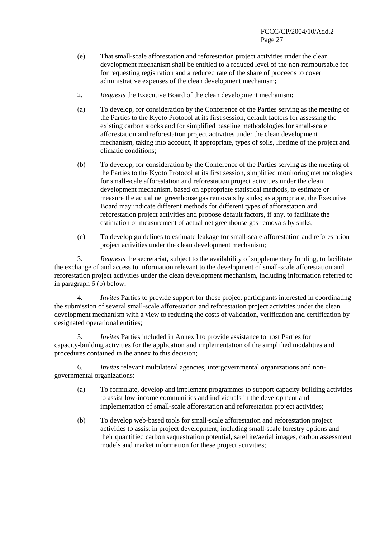- (e) That small-scale afforestation and reforestation project activities under the clean development mechanism shall be entitled to a reduced level of the non-reimbursable fee for requesting registration and a reduced rate of the share of proceeds to cover administrative expenses of the clean development mechanism;
- 2. *Requests* the Executive Board of the clean development mechanism:
- (a) To develop, for consideration by the Conference of the Parties serving as the meeting of the Parties to the Kyoto Protocol at its first session, default factors for assessing the existing carbon stocks and for simplified baseline methodologies for small-scale afforestation and reforestation project activities under the clean development mechanism, taking into account, if appropriate, types of soils, lifetime of the project and climatic conditions;
- (b) To develop, for consideration by the Conference of the Parties serving as the meeting of the Parties to the Kyoto Protocol at its first session, simplified monitoring methodologies for small-scale afforestation and reforestation project activities under the clean development mechanism, based on appropriate statistical methods, to estimate or measure the actual net greenhouse gas removals by sinks; as appropriate, the Executive Board may indicate different methods for different types of afforestation and reforestation project activities and propose default factors, if any, to facilitate the estimation or measurement of actual net greenhouse gas removals by sinks;
- (c) To develop guidelines to estimate leakage for small-scale afforestation and reforestation project activities under the clean development mechanism;

3. *Requests* the secretariat, subject to the availability of supplementary funding, to facilitate the exchange of and access to information relevant to the development of small-scale afforestation and reforestation project activities under the clean development mechanism, including information referred to in paragraph 6 (b) below;

4. *Invites* Parties to provide support for those project participants interested in coordinating the submission of several small-scale afforestation and reforestation project activities under the clean development mechanism with a view to reducing the costs of validation, verification and certification by designated operational entities;

5. *Invites* Parties included in Annex I to provide assistance to host Parties for capacity-building activities for the application and implementation of the simplified modalities and procedures contained in the annex to this decision;

6. *Invites* relevant multilateral agencies, intergovernmental organizations and nongovernmental organizations:

- (a) To formulate, develop and implement programmes to support capacity-building activities to assist low-income communities and individuals in the development and implementation of small-scale afforestation and reforestation project activities;
- (b) To develop web-based tools for small-scale afforestation and reforestation project activities to assist in project development, including small-scale forestry options and their quantified carbon sequestration potential, satellite/aerial images, carbon assessment models and market information for these project activities;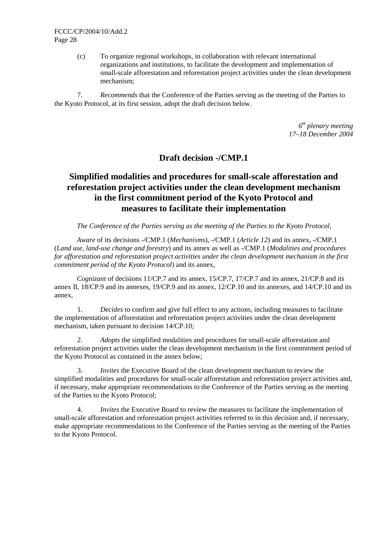(c) To organize regional workshops, in collaboration with relevant international organizations and institutions, to facilitate the development and implementation of small-scale afforestation and reforestation project activities under the clean development mechanism;

7. *Recommends* that the Conference of the Parties serving as the meeting of the Parties to the Kyoto Protocol, at its first session, adopt the draft decision below.

> *6th plenary meeting 17–18 December 2004*

# **Draft decision -/CMP.1**

# **Simplified modalities and procedures for small-scale afforestation and reforestation project activities under the clean development mechanism in the first commitment period of the Kyoto Protocol and measures to facilitate their implementation**

*The Conference of the Parties serving as the meeting of the Parties to the Kyoto Protocol,* 

*Aware* of its decisions -/CMP.1 (*Mechanisms*), -/CMP.1 (*Article 12*) and its annex, -/CMP.1 (*Land use, land-use change and forestry*) and its annex as well as -/CMP.1 (*Modalities and procedures for afforestation and reforestation project activities under the clean development mechanism in the first commitment period of the Kyoto Protocol*) and its annex,

*Cognizant* of decisions 11/CP.7 and its annex, 15/CP.7, 17/CP.7 and its annex, 21/CP.8 and its annex II, 18/CP.9 and its annexes, 19/CP.9 and its annex, 12/CP.10 and its annexes, and 14/CP.10 and its annex,

1. *Decides* to confirm and give full effect to any actions, including measures to facilitate the implementation of afforestation and reforestation project activities under the clean development mechanism, taken pursuant to decision 14/CP.10*;*

2. *Adopts* the simplified modalities and procedures for small-scale afforestation and reforestation project activities under the clean development mechanism in the first commitment period of the Kyoto Protocol as contained in the annex below;

3. *Invites* the Executive Board of the clean development mechanism to review the simplified modalities and procedures for small-scale afforestation and reforestation project activities and, if necessary, make appropriate recommendations to the Conference of the Parties serving as the meeting of the Parties to the Kyoto Protocol;

4. *Invites* the Executive Board to review the measures to facilitate the implementation of small-scale afforestation and reforestation project activities referred to in this decision and, if necessary, make appropriate recommendations to the Conference of the Parties serving as the meeting of the Parties to the Kyoto Protocol.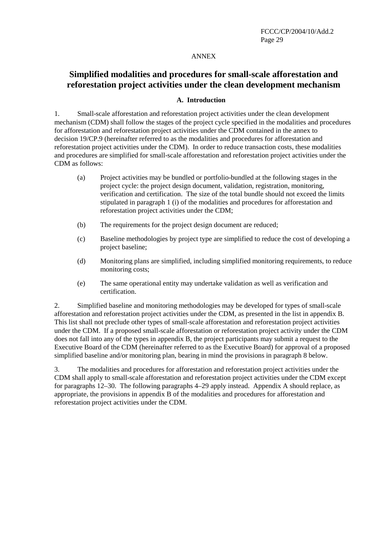#### ANNEX

# **Simplified modalities and procedures for small-scale afforestation and reforestation project activities under the clean development mechanism**

#### **A. Introduction**

1. Small-scale afforestation and reforestation project activities under the clean development mechanism (CDM) shall follow the stages of the project cycle specified in the modalities and procedures for afforestation and reforestation project activities under the CDM contained in the annex to decision 19/CP.9 (hereinafter referred to as the modalities and procedures for afforestation and reforestation project activities under the CDM). In order to reduce transaction costs, these modalities and procedures are simplified for small-scale afforestation and reforestation project activities under the CDM as follows:

- (a) Project activities may be bundled or portfolio-bundled at the following stages in the project cycle: the project design document, validation, registration, monitoring, verification and certification. The size of the total bundle should not exceed the limits stipulated in paragraph 1 (i) of the modalities and procedures for afforestation and reforestation project activities under the CDM;
- (b) The requirements for the project design document are reduced;
- (c) Baseline methodologies by project type are simplified to reduce the cost of developing a project baseline;
- (d) Monitoring plans are simplified, including simplified monitoring requirements, to reduce monitoring costs;
- (e) The same operational entity may undertake validation as well as verification and certification.

2. Simplified baseline and monitoring methodologies may be developed for types of small-scale afforestation and reforestation project activities under the CDM, as presented in the list in appendix B. This list shall not preclude other types of small-scale afforestation and reforestation project activities under the CDM. If a proposed small-scale afforestation or reforestation project activity under the CDM does not fall into any of the types in appendix B, the project participants may submit a request to the Executive Board of the CDM (hereinafter referred to as the Executive Board) for approval of a proposed simplified baseline and/or monitoring plan, bearing in mind the provisions in paragraph 8 below.

3. The modalities and procedures for afforestation and reforestation project activities under the CDM shall apply to small-scale afforestation and reforestation project activities under the CDM except for paragraphs 12–30. The following paragraphs 4–29 apply instead. Appendix A should replace, as appropriate, the provisions in appendix B of the modalities and procedures for afforestation and reforestation project activities under the CDM.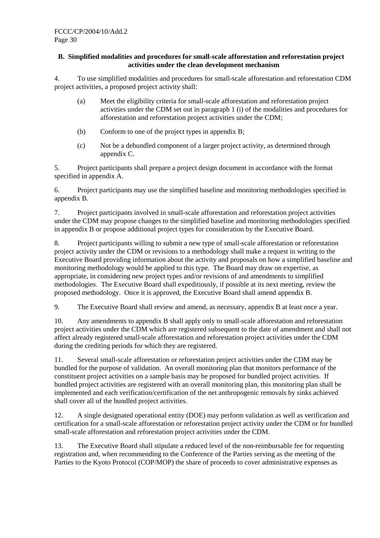### **B. Simplified modalities and procedures for small-scale afforestation and reforestation project activities under the clean development mechanism**

4. To use simplified modalities and procedures for small-scale afforestation and reforestation CDM project activities, a proposed project activity shall:

- (a) Meet the eligibility criteria for small-scale afforestation and reforestation project activities under the CDM set out in paragraph 1 (i) of the modalities and procedures for afforestation and reforestation project activities under the CDM;
- (b) Conform to one of the project types in appendix B;
- (c) Not be a debundled component of a larger project activity, as determined through appendix C.

5. Project participants shall prepare a project design document in accordance with the format specified in appendix A.

6. Project participants may use the simplified baseline and monitoring methodologies specified in appendix B.

7. Project participants involved in small-scale afforestation and reforestation project activities under the CDM may propose changes to the simplified baseline and monitoring methodologies specified in appendix B or propose additional project types for consideration by the Executive Board.

8. Project participants willing to submit a new type of small-scale afforestation or reforestation project activity under the CDM or revisions to a methodology shall make a request in writing to the Executive Board providing information about the activity and proposals on how a simplified baseline and monitoring methodology would be applied to this type. The Board may draw on expertise, as appropriate, in considering new project types and/or revisions of and amendments to simplified methodologies. The Executive Board shall expeditiously, if possible at its next meeting, review the proposed methodology. Once it is approved, the Executive Board shall amend appendix B.

9. The Executive Board shall review and amend, as necessary, appendix B at least once a year.

10. Any amendments to appendix B shall apply only to small-scale afforestation and reforestation project activities under the CDM which are registered subsequent to the date of amendment and shall not affect already registered small-scale afforestation and reforestation project activities under the CDM during the crediting periods for which they are registered.

11. Several small-scale afforestation or reforestation project activities under the CDM may be bundled for the purpose of validation. An overall monitoring plan that monitors performance of the constituent project activities on a sample basis may be proposed for bundled project activities. If bundled project activities are registered with an overall monitoring plan, this monitoring plan shall be implemented and each verification/certification of the net anthropogenic removals by sinks achieved shall cover all of the bundled project activities.

12. A single designated operational entity (DOE) may perform validation as well as verification and certification for a small-scale afforestation or reforestation project activity under the CDM or for bundled small-scale afforestation and reforestation project activities under the CDM.

13. The Executive Board shall stipulate a reduced level of the non-reimbursable fee for requesting registration and, when recommending to the Conference of the Parties serving as the meeting of the Parties to the Kyoto Protocol (COP/MOP) the share of proceeds to cover administrative expenses as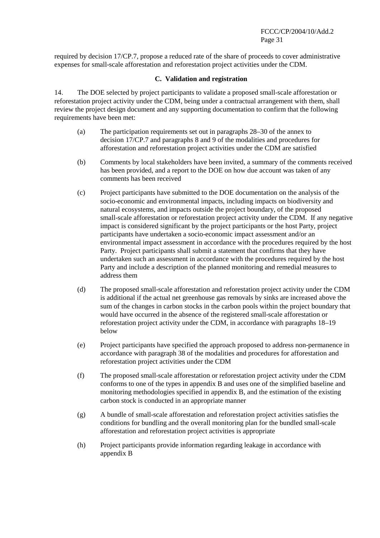required by decision 17/CP.7, propose a reduced rate of the share of proceeds to cover administrative expenses for small-scale afforestation and reforestation project activities under the CDM.

### **C. Validation and registration**

14. The DOE selected by project participants to validate a proposed small-scale afforestation or reforestation project activity under the CDM, being under a contractual arrangement with them, shall review the project design document and any supporting documentation to confirm that the following requirements have been met:

- (a) The participation requirements set out in paragraphs 28–30 of the annex to decision 17/CP.7 and paragraphs 8 and 9 of the modalities and procedures for afforestation and reforestation project activities under the CDM are satisfied
- (b) Comments by local stakeholders have been invited, a summary of the comments received has been provided, and a report to the DOE on how due account was taken of any comments has been received
- (c) Project participants have submitted to the DOE documentation on the analysis of the socio-economic and environmental impacts, including impacts on biodiversity and natural ecosystems, and impacts outside the project boundary, of the proposed small-scale afforestation or reforestation project activity under the CDM. If any negative impact is considered significant by the project participants or the host Party, project participants have undertaken a socio-economic impact assessment and/or an environmental impact assessment in accordance with the procedures required by the host Party. Project participants shall submit a statement that confirms that they have undertaken such an assessment in accordance with the procedures required by the host Party and include a description of the planned monitoring and remedial measures to address them
- (d) The proposed small-scale afforestation and reforestation project activity under the CDM is additional if the actual net greenhouse gas removals by sinks are increased above the sum of the changes in carbon stocks in the carbon pools within the project boundary that would have occurred in the absence of the registered small-scale afforestation or reforestation project activity under the CDM, in accordance with paragraphs 18–19 below
- (e) Project participants have specified the approach proposed to address non-permanence in accordance with paragraph 38 of the modalities and procedures for afforestation and reforestation project activities under the CDM
- (f) The proposed small-scale afforestation or reforestation project activity under the CDM conforms to one of the types in appendix B and uses one of the simplified baseline and monitoring methodologies specified in appendix B, and the estimation of the existing carbon stock is conducted in an appropriate manner
- (g) A bundle of small-scale afforestation and reforestation project activities satisfies the conditions for bundling and the overall monitoring plan for the bundled small-scale afforestation and reforestation project activities is appropriate
- (h) Project participants provide information regarding leakage in accordance with appendix B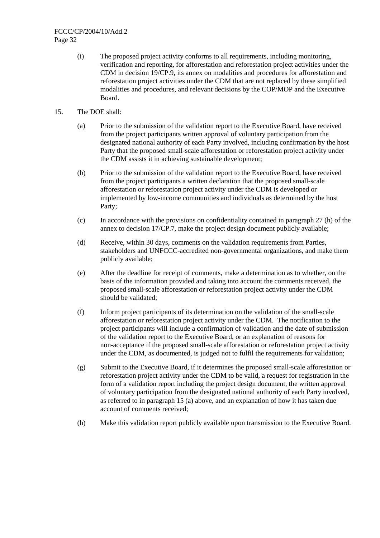- (i) The proposed project activity conforms to all requirements, including monitoring, verification and reporting, for afforestation and reforestation project activities under the CDM in decision 19/CP.9, its annex on modalities and procedures for afforestation and reforestation project activities under the CDM that are not replaced by these simplified modalities and procedures, and relevant decisions by the COP/MOP and the Executive Board.
- 15. The DOE shall:
	- (a) Prior to the submission of the validation report to the Executive Board, have received from the project participants written approval of voluntary participation from the designated national authority of each Party involved, including confirmation by the host Party that the proposed small-scale afforestation or reforestation project activity under the CDM assists it in achieving sustainable development;
	- (b) Prior to the submission of the validation report to the Executive Board, have received from the project participants a written declaration that the proposed small-scale afforestation or reforestation project activity under the CDM is developed or implemented by low-income communities and individuals as determined by the host Party;
	- (c) In accordance with the provisions on confidentiality contained in paragraph 27 (h) of the annex to decision 17/CP.7, make the project design document publicly available;
	- (d) Receive, within 30 days, comments on the validation requirements from Parties, stakeholders and UNFCCC-accredited non-governmental organizations, and make them publicly available;
	- (e) After the deadline for receipt of comments, make a determination as to whether, on the basis of the information provided and taking into account the comments received, the proposed small-scale afforestation or reforestation project activity under the CDM should be validated;
	- (f) Inform project participants of its determination on the validation of the small-scale afforestation or reforestation project activity under the CDM. The notification to the project participants will include a confirmation of validation and the date of submission of the validation report to the Executive Board, or an explanation of reasons for non-acceptance if the proposed small-scale afforestation or reforestation project activity under the CDM, as documented, is judged not to fulfil the requirements for validation;
	- (g) Submit to the Executive Board, if it determines the proposed small-scale afforestation or reforestation project activity under the CDM to be valid, a request for registration in the form of a validation report including the project design document, the written approval of voluntary participation from the designated national authority of each Party involved, as referred to in paragraph 15 (a) above, and an explanation of how it has taken due account of comments received;
	- (h) Make this validation report publicly available upon transmission to the Executive Board.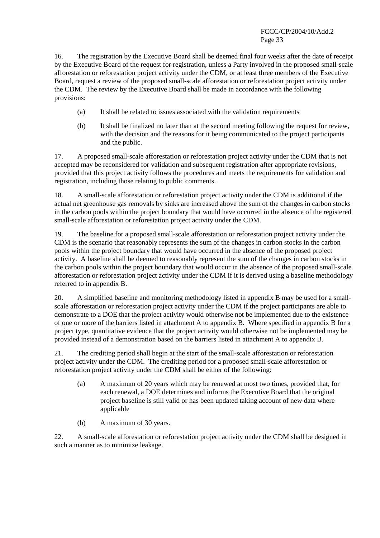16. The registration by the Executive Board shall be deemed final four weeks after the date of receipt by the Executive Board of the request for registration, unless a Party involved in the proposed small-scale afforestation or reforestation project activity under the CDM, or at least three members of the Executive Board, request a review of the proposed small-scale afforestation or reforestation project activity under the CDM. The review by the Executive Board shall be made in accordance with the following provisions:

- (a) It shall be related to issues associated with the validation requirements
- (b) It shall be finalized no later than at the second meeting following the request for review, with the decision and the reasons for it being communicated to the project participants and the public.

17. A proposed small-scale afforestation or reforestation project activity under the CDM that is not accepted may be reconsidered for validation and subsequent registration after appropriate revisions, provided that this project activity follows the procedures and meets the requirements for validation and registration, including those relating to public comments.

18. A small-scale afforestation or reforestation project activity under the CDM is additional if the actual net greenhouse gas removals by sinks are increased above the sum of the changes in carbon stocks in the carbon pools within the project boundary that would have occurred in the absence of the registered small-scale afforestation or reforestation project activity under the CDM.

19. The baseline for a proposed small-scale afforestation or reforestation project activity under the CDM is the scenario that reasonably represents the sum of the changes in carbon stocks in the carbon pools within the project boundary that would have occurred in the absence of the proposed project activity. A baseline shall be deemed to reasonably represent the sum of the changes in carbon stocks in the carbon pools within the project boundary that would occur in the absence of the proposed small-scale afforestation or reforestation project activity under the CDM if it is derived using a baseline methodology referred to in appendix B.

20. A simplified baseline and monitoring methodology listed in appendix B may be used for a smallscale afforestation or reforestation project activity under the CDM if the project participants are able to demonstrate to a DOE that the project activity would otherwise not be implemented due to the existence of one or more of the barriers listed in attachment A to appendix B. Where specified in appendix B for a project type, quantitative evidence that the project activity would otherwise not be implemented may be provided instead of a demonstration based on the barriers listed in attachment A to appendix B.

21. The crediting period shall begin at the start of the small-scale afforestation or reforestation project activity under the CDM. The crediting period for a proposed small-scale afforestation or reforestation project activity under the CDM shall be either of the following:

- (a) A maximum of 20 years which may be renewed at most two times, provided that, for each renewal, a DOE determines and informs the Executive Board that the original project baseline is still valid or has been updated taking account of new data where applicable
- (b) A maximum of 30 years.

22. A small-scale afforestation or reforestation project activity under the CDM shall be designed in such a manner as to minimize leakage.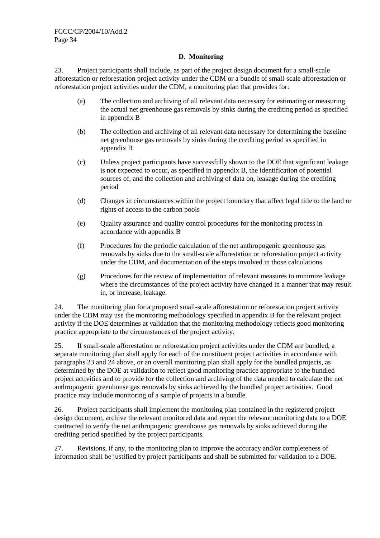## **D. Monitoring**

23. Project participants shall include, as part of the project design document for a small-scale afforestation or reforestation project activity under the CDM or a bundle of small-scale afforestation or reforestation project activities under the CDM, a monitoring plan that provides for:

- (a) The collection and archiving of all relevant data necessary for estimating or measuring the actual net greenhouse gas removals by sinks during the crediting period as specified in appendix B
- (b) The collection and archiving of all relevant data necessary for determining the baseline net greenhouse gas removals by sinks during the crediting period as specified in appendix B
- (c) Unless project participants have successfully shown to the DOE that significant leakage is not expected to occur, as specified in appendix B, the identification of potential sources of, and the collection and archiving of data on, leakage during the crediting period
- (d) Changes in circumstances within the project boundary that affect legal title to the land or rights of access to the carbon pools
- (e) Quality assurance and quality control procedures for the monitoring process in accordance with appendix B
- (f) Procedures for the periodic calculation of the net anthropogenic greenhouse gas removals by sinks due to the small-scale afforestation or reforestation project activity under the CDM, and documentation of the steps involved in those calculations
- (g) Procedures for the review of implementation of relevant measures to minimize leakage where the circumstances of the project activity have changed in a manner that may result in, or increase, leakage.

24. The monitoring plan for a proposed small-scale afforestation or reforestation project activity under the CDM may use the monitoring methodology specified in appendix B for the relevant project activity if the DOE determines at validation that the monitoring methodology reflects good monitoring practice appropriate to the circumstances of the project activity.

25. If small-scale afforestation or reforestation project activities under the CDM are bundled, a separate monitoring plan shall apply for each of the constituent project activities in accordance with paragraphs 23 and 24 above, or an overall monitoring plan shall apply for the bundled projects, as determined by the DOE at validation to reflect good monitoring practice appropriate to the bundled project activities and to provide for the collection and archiving of the data needed to calculate the net anthropogenic greenhouse gas removals by sinks achieved by the bundled project activities. Good practice may include monitoring of a sample of projects in a bundle.

26. Project participants shall implement the monitoring plan contained in the registered project design document, archive the relevant monitored data and report the relevant monitoring data to a DOE contracted to verify the net anthropogenic greenhouse gas removals by sinks achieved during the crediting period specified by the project participants.

27. Revisions, if any, to the monitoring plan to improve the accuracy and/or completeness of information shall be justified by project participants and shall be submitted for validation to a DOE.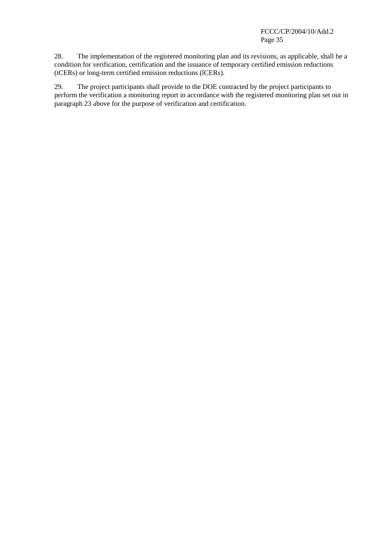28. The implementation of the registered monitoring plan and its revisions, as applicable, shall be a condition for verification, certification and the issuance of temporary certified emission reductions (tCERs) or long-term certified emission reductions (lCERs).

29. The project participants shall provide to the DOE contracted by the project participants to perform the verification a monitoring report in accordance with the registered monitoring plan set out in paragraph 23 above for the purpose of verification and certification.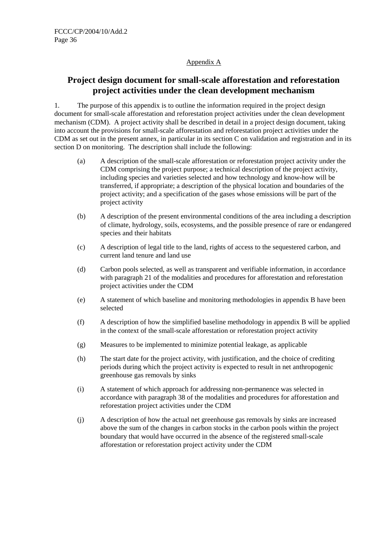## Appendix A

# **Project design document for small-scale afforestation and reforestation project activities under the clean development mechanism**

1. The purpose of this appendix is to outline the information required in the project design document for small-scale afforestation and reforestation project activities under the clean development mechanism (CDM). A project activity shall be described in detail in a project design document, taking into account the provisions for small-scale afforestation and reforestation project activities under the CDM as set out in the present annex, in particular in its section C on validation and registration and in its section D on monitoring. The description shall include the following:

- (a) A description of the small-scale afforestation or reforestation project activity under the CDM comprising the project purpose; a technical description of the project activity, including species and varieties selected and how technology and know-how will be transferred, if appropriate; a description of the physical location and boundaries of the project activity; and a specification of the gases whose emissions will be part of the project activity
- (b) A description of the present environmental conditions of the area including a description of climate, hydrology, soils, ecosystems, and the possible presence of rare or endangered species and their habitats
- (c) A description of legal title to the land, rights of access to the sequestered carbon, and current land tenure and land use
- (d) Carbon pools selected, as well as transparent and verifiable information, in accordance with paragraph 21 of the modalities and procedures for afforestation and reforestation project activities under the CDM
- (e) A statement of which baseline and monitoring methodologies in appendix B have been selected
- (f) A description of how the simplified baseline methodology in appendix B will be applied in the context of the small-scale afforestation or reforestation project activity
- (g) Measures to be implemented to minimize potential leakage, as applicable
- (h) The start date for the project activity, with justification, and the choice of crediting periods during which the project activity is expected to result in net anthropogenic greenhouse gas removals by sinks
- (i) A statement of which approach for addressing non-permanence was selected in accordance with paragraph 38 of the modalities and procedures for afforestation and reforestation project activities under the CDM
- (j) A description of how the actual net greenhouse gas removals by sinks are increased above the sum of the changes in carbon stocks in the carbon pools within the project boundary that would have occurred in the absence of the registered small-scale afforestation or reforestation project activity under the CDM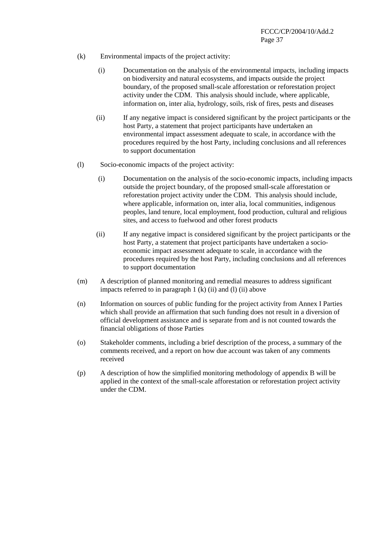- (k) Environmental impacts of the project activity:
	- (i) Documentation on the analysis of the environmental impacts, including impacts on biodiversity and natural ecosystems, and impacts outside the project boundary, of the proposed small-scale afforestation or reforestation project activity under the CDM. This analysis should include, where applicable, information on, inter alia, hydrology, soils, risk of fires, pests and diseases
	- (ii) If any negative impact is considered significant by the project participants or the host Party, a statement that project participants have undertaken an environmental impact assessment adequate to scale, in accordance with the procedures required by the host Party, including conclusions and all references to support documentation
- (l) Socio-economic impacts of the project activity:
	- (i) Documentation on the analysis of the socio-economic impacts, including impacts outside the project boundary, of the proposed small-scale afforestation or reforestation project activity under the CDM. This analysis should include, where applicable, information on, inter alia, local communities, indigenous peoples, land tenure, local employment, food production, cultural and religious sites, and access to fuelwood and other forest products
	- (ii) If any negative impact is considered significant by the project participants or the host Party, a statement that project participants have undertaken a socioeconomic impact assessment adequate to scale, in accordance with the procedures required by the host Party, including conclusions and all references to support documentation
- (m) A description of planned monitoring and remedial measures to address significant impacts referred to in paragraph  $1$  (k) (ii) and (l) (ii) above
- (n) Information on sources of public funding for the project activity from Annex I Parties which shall provide an affirmation that such funding does not result in a diversion of official development assistance and is separate from and is not counted towards the financial obligations of those Parties
- (o) Stakeholder comments, including a brief description of the process, a summary of the comments received, and a report on how due account was taken of any comments received
- (p) A description of how the simplified monitoring methodology of appendix B will be applied in the context of the small-scale afforestation or reforestation project activity under the CDM.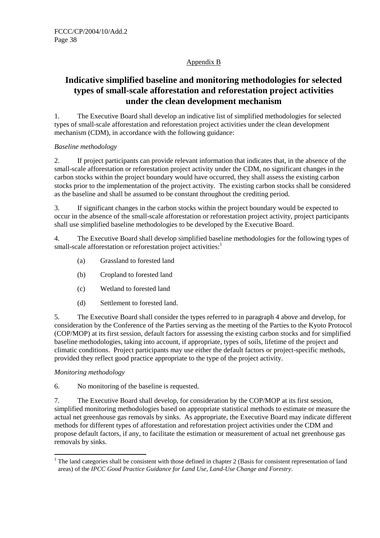## Appendix B

# **Indicative simplified baseline and monitoring methodologies for selected types of small-scale afforestation and reforestation project activities under the clean development mechanism**

1. The Executive Board shall develop an indicative list of simplified methodologies for selected types of small-scale afforestation and reforestation project activities under the clean development mechanism (CDM), in accordance with the following guidance:

## *Baseline methodology*

2. If project participants can provide relevant information that indicates that, in the absence of the small-scale afforestation or reforestation project activity under the CDM, no significant changes in the carbon stocks within the project boundary would have occurred, they shall assess the existing carbon stocks prior to the implementation of the project activity. The existing carbon stocks shall be considered as the baseline and shall be assumed to be constant throughout the crediting period.

3. If significant changes in the carbon stocks within the project boundary would be expected to occur in the absence of the small-scale afforestation or reforestation project activity, project participants shall use simplified baseline methodologies to be developed by the Executive Board.

4. The Executive Board shall develop simplified baseline methodologies for the following types of small-scale afforestation or reforestation project activities:<sup>1</sup>

- (a) Grassland to forested land
- (b) Cropland to forested land
- (c) Wetland to forested land
- (d) Settlement to forested land.

5. The Executive Board shall consider the types referred to in paragraph 4 above and develop, for consideration by the Conference of the Parties serving as the meeting of the Parties to the Kyoto Protocol (COP/MOP) at its first session, default factors for assessing the existing carbon stocks and for simplified baseline methodologies, taking into account, if appropriate, types of soils, lifetime of the project and climatic conditions. Project participants may use either the default factors or project-specific methods, provided they reflect good practice appropriate to the type of the project activity.

## *Monitoring methodology*

 $\overline{a}$ 

6. No monitoring of the baseline is requested.

7. The Executive Board shall develop, for consideration by the COP/MOP at its first session, simplified monitoring methodologies based on appropriate statistical methods to estimate or measure the actual net greenhouse gas removals by sinks. As appropriate, the Executive Board may indicate different methods for different types of afforestation and reforestation project activities under the CDM and propose default factors, if any, to facilitate the estimation or measurement of actual net greenhouse gas removals by sinks.

 $1$  The land categories shall be consistent with those defined in chapter 2 (Basis for consistent representation of land areas) of the *IPCC Good Practice Guidance for Land Use, Land-Use Change and Forestry*.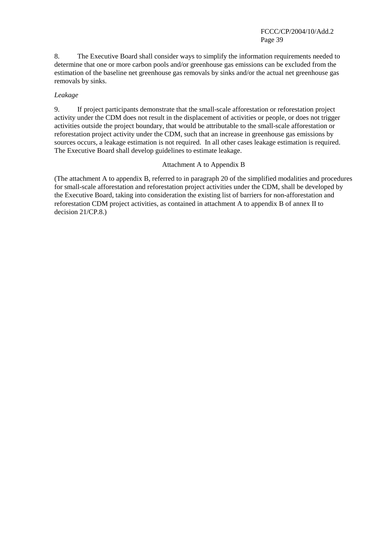FCCC/CP/2004/10/Add.2 Page 39

8. The Executive Board shall consider ways to simplify the information requirements needed to determine that one or more carbon pools and/or greenhouse gas emissions can be excluded from the estimation of the baseline net greenhouse gas removals by sinks and/or the actual net greenhouse gas removals by sinks.

#### *Leakage*

9. If project participants demonstrate that the small-scale afforestation or reforestation project activity under the CDM does not result in the displacement of activities or people, or does not trigger activities outside the project boundary, that would be attributable to the small-scale afforestation or reforestation project activity under the CDM, such that an increase in greenhouse gas emissions by sources occurs, a leakage estimation is not required. In all other cases leakage estimation is required. The Executive Board shall develop guidelines to estimate leakage.

#### Attachment A to Appendix B

(The attachment A to appendix B, referred to in paragraph 20 of the simplified modalities and procedures for small-scale afforestation and reforestation project activities under the CDM, shall be developed by the Executive Board, taking into consideration the existing list of barriers for non-afforestation and reforestation CDM project activities, as contained in attachment A to appendix B of annex II to decision 21/CP.8.)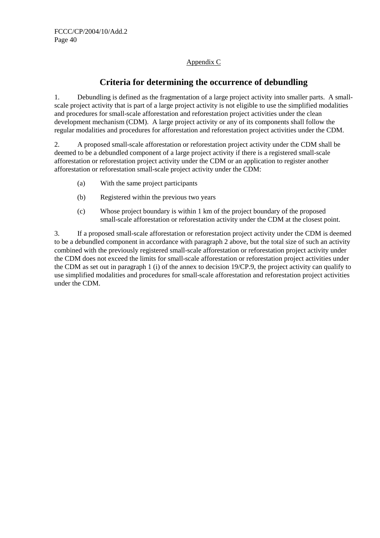# Appendix C

# **Criteria for determining the occurrence of debundling**

1. Debundling is defined as the fragmentation of a large project activity into smaller parts. A smallscale project activity that is part of a large project activity is not eligible to use the simplified modalities and procedures for small-scale afforestation and reforestation project activities under the clean development mechanism (CDM). A large project activity or any of its components shall follow the regular modalities and procedures for afforestation and reforestation project activities under the CDM.

2. A proposed small-scale afforestation or reforestation project activity under the CDM shall be deemed to be a debundled component of a large project activity if there is a registered small-scale afforestation or reforestation project activity under the CDM or an application to register another afforestation or reforestation small-scale project activity under the CDM:

- (a) With the same project participants
- (b) Registered within the previous two years
- (c) Whose project boundary is within 1 km of the project boundary of the proposed small-scale afforestation or reforestation activity under the CDM at the closest point.

3. If a proposed small-scale afforestation or reforestation project activity under the CDM is deemed to be a debundled component in accordance with paragraph 2 above, but the total size of such an activity combined with the previously registered small-scale afforestation or reforestation project activity under the CDM does not exceed the limits for small-scale afforestation or reforestation project activities under the CDM as set out in paragraph 1 (i) of the annex to decision 19/CP.9, the project activity can qualify to use simplified modalities and procedures for small-scale afforestation and reforestation project activities under the CDM.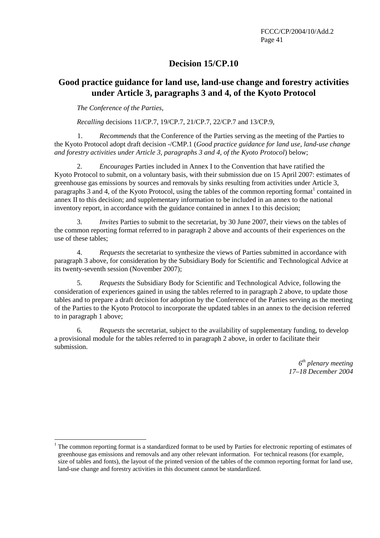# **Decision 15/CP.10**

# **Good practice guidance for land use, land-use change and forestry activities under Article 3, paragraphs 3 and 4, of the Kyoto Protocol**

*The Conference of the Parties*,

 $\overline{a}$ 

*Recalling* decisions 11/CP.7, 19/CP.7, 21/CP.7, 22/CP.7 and 13/CP.9,

1. *Recommends* that the Conference of the Parties serving as the meeting of the Parties to the Kyoto Protocol adopt draft decision -/CMP.1 (*Good practice guidance for land use, land-use change and forestry activities under Article 3, paragraphs 3 and 4, of the Kyoto Protocol*) below;

2. *Encourages* Parties included in Annex I to the Convention that have ratified the Kyoto Protocol to submit, on a voluntary basis, with their submission due on 15 April 2007: estimates of greenhouse gas emissions by sources and removals by sinks resulting from activities under Article 3, paragraphs  $3$  and  $4$ , of the Kyoto Protocol, using the tables of the common reporting format<sup>1</sup> contained in annex II to this decision; and supplementary information to be included in an annex to the national inventory report, in accordance with the guidance contained in annex I to this decision;

3. *Invites* Parties to submit to the secretariat, by 30 June 2007, their views on the tables of the common reporting format referred to in paragraph 2 above and accounts of their experiences on the use of these tables;

4. *Requests* the secretariat to synthesize the views of Parties submitted in accordance with paragraph 3 above, for consideration by the Subsidiary Body for Scientific and Technological Advice at its twenty-seventh session (November 2007);

5. *Requests* the Subsidiary Body for Scientific and Technological Advice, following the consideration of experiences gained in using the tables referred to in paragraph 2 above, to update those tables and to prepare a draft decision for adoption by the Conference of the Parties serving as the meeting of the Parties to the Kyoto Protocol to incorporate the updated tables in an annex to the decision referred to in paragraph 1 above;

6. *Requests* the secretariat, subject to the availability of supplementary funding, to develop a provisional module for the tables referred to in paragraph 2 above, in order to facilitate their submission.

> *6th plenary meeting 17–18 December 2004*

<sup>&</sup>lt;sup>1</sup> The common reporting format is a standardized format to be used by Parties for electronic reporting of estimates of greenhouse gas emissions and removals and any other relevant information. For technical reasons (for example, size of tables and fonts), the layout of the printed version of the tables of the common reporting format for land use, land-use change and forestry activities in this document cannot be standardized.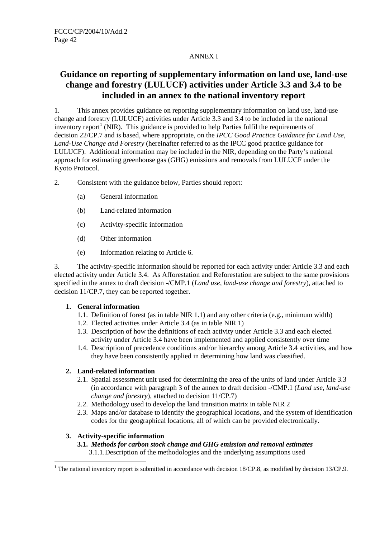## ANNEX I

# **Guidance on reporting of supplementary information on land use, land-use change and forestry (LULUCF) activities under Article 3.3 and 3.4 to be included in an annex to the national inventory report**

1. This annex provides guidance on reporting supplementary information on land use, land-use change and forestry (LULUCF) activities under Article 3.3 and 3.4 to be included in the national inventory report<sup>1</sup> (NIR). This guidance is provided to help Parties fulfil the requirements of decision 22/CP.7 and is based, where appropriate, on the *IPCC Good Practice Guidance for Land Use, Land-Use Change and Forestry* (hereinafter referred to as the IPCC good practice guidance for LULUCF). Additional information may be included in the NIR, depending on the Party's national approach for estimating greenhouse gas (GHG) emissions and removals from LULUCF under the Kyoto Protocol.

- 2. Consistent with the guidance below, Parties should report:
	- (a) General information
	- (b) Land-related information
	- (c) Activity-specific information
	- (d) Other information
	- (e) Information relating to Article 6.

3. The activity-specific information should be reported for each activity under Article 3.3 and each elected activity under Article 3.4. As Afforestation and Reforestation are subject to the same provisions specified in the annex to draft decision -/CMP.1 (*Land use, land-use change and forestry*), attached to decision 11/CP.7, they can be reported together.

### **1. General information**

- 1.1. Definition of forest (as in table NIR 1.1) and any other criteria (e.g., minimum width)
- 1.2. Elected activities under Article 3.4 (as in table NIR 1)
- 1.3. Description of how the definitions of each activity under Article 3.3 and each elected activity under Article 3.4 have been implemented and applied consistently over time
- 1.4. Description of precedence conditions and/or hierarchy among Article 3.4 activities, and how they have been consistently applied in determining how land was classified.

## **2. Land-related information**

- 2.1. Spatial assessment unit used for determining the area of the units of land under Article 3.3 (in accordance with paragraph 3 of the annex to draft decision -/CMP.1 (*Land use, land-use change and forestry*), attached to decision 11/CP.7)
- 2.2. Methodology used to develop the land transition matrix in table NIR 2
- 2.3. Maps and/or database to identify the geographical locations, and the system of identification codes for the geographical locations, all of which can be provided electronically.

## **3. Activity-specific information**

### **3.1.** *Methods for carbon stock change and GHG emission and removal estimates*

3.1.1. Description of the methodologies and the underlying assumptions used

<sup>&</sup>lt;sup>1</sup> The national inventory report is submitted in accordance with decision 18/CP.8, as modified by decision 13/CP.9.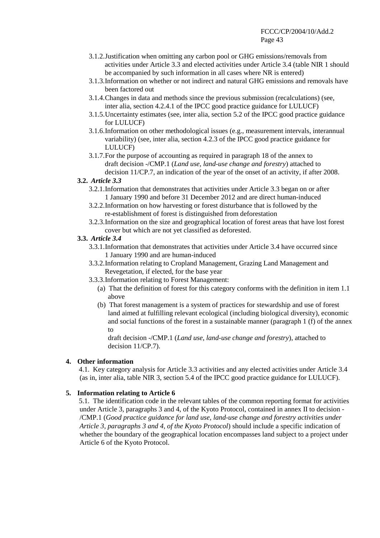- 3.1.2. Justification when omitting any carbon pool or GHG emissions/removals from activities under Article 3.3 and elected activities under Article 3.4 (table NIR 1 should be accompanied by such information in all cases where NR is entered)
- 3.1.3. Information on whether or not indirect and natural GHG emissions and removals have been factored out
- 3.1.4. Changes in data and methods since the previous submission (recalculations) (see, inter alia, section 4.2.4.1 of the IPCC good practice guidance for LULUCF)
- 3.1.5. Uncertainty estimates (see, inter alia, section 5.2 of the IPCC good practice guidance for LULUCF)
- 3.1.6. Information on other methodological issues (e.g., measurement intervals, interannual variability) (see, inter alia, section 4.2.3 of the IPCC good practice guidance for LULUCF)
- 3.1.7. For the purpose of accounting as required in paragraph 18 of the annex to draft decision -/CMP.1 (*Land use, land-use change and forestry*) attached to decision 11/CP.7, an indication of the year of the onset of an activity, if after 2008.

### **3.2.** *Article 3.3*

- 3.2.1. Information that demonstrates that activities under Article 3.3 began on or after 1 January 1990 and before 31 December 2012 and are direct human-induced
- 3.2.2. Information on how harvesting or forest disturbance that is followed by the re-establishment of forest is distinguished from deforestation
- 3.2.3. Information on the size and geographical location of forest areas that have lost forest cover but which are not yet classified as deforested.

### **3.3.** *Article 3.4*

- 3.3.1. Information that demonstrates that activities under Article 3.4 have occurred since 1 January 1990 and are human-induced
- 3.3.2. Information relating to Cropland Management, Grazing Land Management and Revegetation, if elected, for the base year
- 3.3.3. Information relating to Forest Management:
	- (a) That the definition of forest for this category conforms with the definition in item 1.1 above
	- (b) That forest management is a system of practices for stewardship and use of forest land aimed at fulfilling relevant ecological (including biological diversity), economic and social functions of the forest in a sustainable manner (paragraph 1 (f) of the annex to

draft decision -/CMP.1 (*Land use, land-use change and forestry*), attached to decision 11/CP.7).

### **4. Other information**

4.1. Key category analysis for Article 3.3 activities and any elected activities under Article 3.4 (as in, inter alia, table NIR 3, section 5.4 of the IPCC good practice guidance for LULUCF).

### **5. Information relating to Article 6**

5.1. The identification code in the relevant tables of the common reporting format for activities under Article 3, paragraphs 3 and 4, of the Kyoto Protocol, contained in annex II to decision - /CMP.1 (*Good practice guidance for land use, land-use change and forestry activities under Article 3, paragraphs 3 and 4, of the Kyoto Protocol*) should include a specific indication of whether the boundary of the geographical location encompasses land subject to a project under Article 6 of the Kyoto Protocol.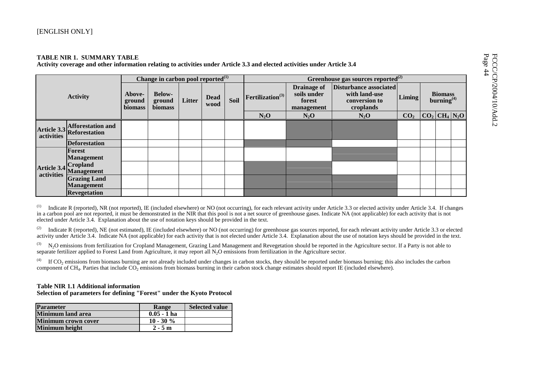|                           |                                                       |                                    | Change in carbon pool reported <sup>(1)</sup> |        |                     |      |                              |                                                           | Greenhouse gas sources reported $^{(2)}$                              |                 |                                          |  |
|---------------------------|-------------------------------------------------------|------------------------------------|-----------------------------------------------|--------|---------------------|------|------------------------------|-----------------------------------------------------------|-----------------------------------------------------------------------|-----------------|------------------------------------------|--|
|                           | <b>Activity</b>                                       | Above-<br>ground<br><b>biomass</b> | <b>Below-</b><br>ground<br>biomass            | Litter | <b>Dead</b><br>wood | Soil | Fertilization <sup>(3)</sup> | <b>Drainage of</b><br>soils under<br>forest<br>management | Disturbance associated<br>with land-use<br>conversion to<br>croplands | Liming          | <b>Biomass</b><br>burning <sup>(4)</sup> |  |
|                           |                                                       |                                    |                                               |        |                     |      | $N_2O$                       | $N_2O$                                                    | $N_2O$                                                                | CO <sub>2</sub> | $ CO_2 CH_4 N_2O$                        |  |
| activities                | <b>Afforestation and</b><br>Article 3.3 Reforestation |                                    |                                               |        |                     |      |                              |                                                           |                                                                       |                 |                                          |  |
|                           | <b>Deforestation</b>                                  |                                    |                                               |        |                     |      |                              |                                                           |                                                                       |                 |                                          |  |
|                           | Forest<br><b>Management</b>                           |                                    |                                               |        |                     |      |                              |                                                           |                                                                       |                 |                                          |  |
| Article 3.4<br>activities | <b>Cropland</b><br><b>Management</b>                  |                                    |                                               |        |                     |      |                              |                                                           |                                                                       |                 |                                          |  |
|                           | <b>Grazing Land</b><br><b>Management</b>              |                                    |                                               |        |                     |      |                              |                                                           |                                                                       |                 |                                          |  |
|                           | <b>Revegetation</b>                                   |                                    |                                               |        |                     |      |                              |                                                           |                                                                       |                 |                                          |  |

(1) Indicate R (reported), NR (not reported), IE (included elsewhere) or NO (not occurring), for each relevant activity under Article 3.3 or elected activity under Article 3.4. If changes in a carbon pool are not reported, it must be demonstrated in the NIR that this pool is not a net source of greenhouse gases. Indicate NA (not applicable) for each activity that is not elected under Article 3.4. Explanation about the use of notation keys should be provided in the text.

 $(2)$  Indicate R (reported), NE (not estimated), IE (included elsewhere) or NO (not occurring) for greenhouse gas sources reported, for each relevant activity under Article 3.3 or elected activity under Article 3.4. Indicate NA (not applicable) for each activity that is not elected under Article 3.4. Explanation about the use of notation keys should be provided in the text.

 $^{(3)}$  N<sub>2</sub>O emissions from fertilization for Cropland Management, Grazing Land Management and Revegetation should be reported in the Agriculture sector. If a Party is not able to separate fertilizer applied to Forest Land from Agriculture, it may report all  $N_2O$  emissions from fertilization in the Agriculture sector.

(4) If CO<sub>2</sub> emissions from biomass burning are not already included under changes in carbon stocks, they should be reported under biomass burning; this also includes the carbon component of  $CH_4$ . Parties that include  $CO_2$  emissions from biomass burning in their carbon stock change estimates should report IE (included elsewhere).

#### **Table NIR 1.1 Additional information**

**Selection of parameters for defining "Forest" under the Kyoto Protocol** 

| <b>Parameter</b>           | Range         | <b>Selected value</b> |
|----------------------------|---------------|-----------------------|
| <b>Minimum</b> land area   | $0.05 - 1$ ha |                       |
| <b>Minimum crown cover</b> | $10 - 30 \%$  |                       |
| <b>Minimum height</b>      | $2 - 5m$      |                       |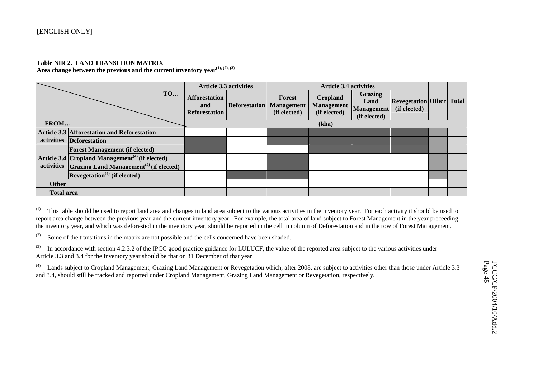#### **Table NIR 2. LAND TRANSITION MATRIX**

**Area change between the previous and the current inventory year(1), (2), (3)**

|                   |                                                                          | <b>Article 3.3 activities</b>                       |                      |                                             | <b>Article 3.4 activities</b>                        |                                                      |                                                 |  |
|-------------------|--------------------------------------------------------------------------|-----------------------------------------------------|----------------------|---------------------------------------------|------------------------------------------------------|------------------------------------------------------|-------------------------------------------------|--|
|                   | <b>TO</b>                                                                | <b>Afforestation</b><br>and<br><b>Reforestation</b> | <b>Deforestation</b> | Forest<br><b>Management</b><br>(if elected) | <b>Cropland</b><br><b>Management</b><br>(if elected) | <b>Grazing</b><br>Land<br>Management<br>(if elected) | <b>Revegetation Other Total</b><br>(if elected) |  |
| FROM              |                                                                          |                                                     |                      |                                             | (kha)                                                |                                                      |                                                 |  |
|                   | <b>Article 3.3 Afforestation and Reforestation</b>                       |                                                     |                      |                                             |                                                      |                                                      |                                                 |  |
|                   | activities Deforestation                                                 |                                                     |                      |                                             |                                                      |                                                      |                                                 |  |
|                   | <b>Forest Management (if elected)</b>                                    |                                                     |                      |                                             |                                                      |                                                      |                                                 |  |
|                   | Article 3.4 Cropland Management <sup><math>(4)</math></sup> (if elected) |                                                     |                      |                                             |                                                      |                                                      |                                                 |  |
|                   | activities $Grazing$ Land Management <sup>(4)</sup> (if elected)         |                                                     |                      |                                             |                                                      |                                                      |                                                 |  |
|                   | $\kappa$ Revegetation <sup>(4)</sup> (if elected)                        |                                                     |                      |                                             |                                                      |                                                      |                                                 |  |
| <b>Other</b>      |                                                                          |                                                     |                      |                                             |                                                      |                                                      |                                                 |  |
| <b>Total area</b> |                                                                          |                                                     |                      |                                             |                                                      |                                                      |                                                 |  |

 $(1)$  This table should be used to report land area and changes in land area subject to the various activities in the inventory year. For each activity it should be used to report area change between the previous year and the current inventory year. For example, the total area of land subject to Forest Management in the year preceeding the inventory year, and which was deforested in the inventory year, should be reported in the cell in column of Deforestation and in the row of Forest Management.

(2) Some of the transitions in the matrix are not possible and the cells concerned have been shaded.

 $^{(3)}$  In accordance with section 4.2.3.2 of the IPCC good practice guidance for LULUCF, the value of the reported area subject to the various activities under Article 3.3 and 3.4 for the inventory year should be that on 31 December of that year.

(4) Lands subject to Cropland Management, Grazing Land Management or Revegetation which, after 2008, are subject to activities other than those under Article 3.3 and 3.4, should still be tracked and reported under Cropland Management, Grazing Land Management or Revegetation, respectively.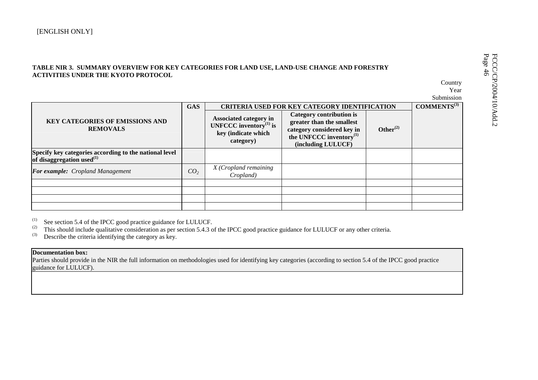| <b>ACTIVITIES UNDER THE KYOTO PROTOCOL</b>                                                |                 |                                                                                            |                                                                                                                                            |                | Country<br>Year<br>Submission |
|-------------------------------------------------------------------------------------------|-----------------|--------------------------------------------------------------------------------------------|--------------------------------------------------------------------------------------------------------------------------------------------|----------------|-------------------------------|
|                                                                                           | <b>GAS</b>      |                                                                                            | CRITERIA USED FOR KEY CATEGORY IDENTIFICATION                                                                                              |                | COMMENTS <sup>(3)</sup>       |
| <b>KEY CATEGORIES OF EMISSIONS AND</b><br><b>REMOVALS</b>                                 |                 | Associated category in<br>UNFCCC inventory $^{(1)}$ is<br>key (indicate which<br>category) | Category contribution is<br>greater than the smallest<br>category considered key in<br>the UNFCCC inventory $^{(1)}$<br>(including LULUCF) | Other $^{(2)}$ |                               |
| Specify key categories according to the national level<br>of disaggregation used $^{(1)}$ |                 |                                                                                            |                                                                                                                                            |                |                               |
| For example: Cropland Management                                                          | CO <sub>2</sub> | X (Cropland remaining<br>Cropland)                                                         |                                                                                                                                            |                |                               |
|                                                                                           |                 |                                                                                            |                                                                                                                                            |                |                               |
|                                                                                           |                 |                                                                                            |                                                                                                                                            |                |                               |
|                                                                                           |                 |                                                                                            |                                                                                                                                            |                |                               |

 $^{(1)}$  See section 5.4 of the IPCC good practice guidance for LULUCF.

<sup>(2)</sup> This should include qualitative consideration as per section 5.4.3 of the IPCC good practice guidance for LULUCF or any other criteria.

 $^{(3)}$  Describe the criteria identifying the category as key.

#### **Documentation box:**

Parties should provide in the NIR the full information on methodologies used for identifying key categories (according to section 5.4 of the IPCC good practice guidance for LULUCF).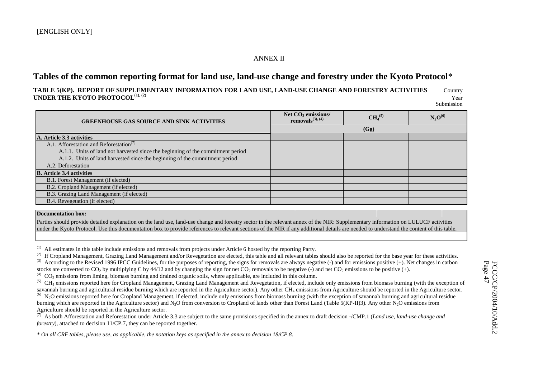### ANNEX II

# **Tables of the common reporting format for land use, land-use change and forestry under the Kyoto Protocol**\*

**TABLE 5(KP). REPORT OF SUPPLEMENTARY INFORMATION FOR LAND USE, LAND-USE CHANGE AND FORESTRY ACTIVITIES** Country **UNDER THE KYOTO PROTOCOL**<sup>(1), (2)</sup> Year Submission

| <b>GREENHOUSE GAS SOURCE AND SINK ACTIVITIES</b>                                | Net CO <sub>2</sub> emissions/<br>removals $(3)$ , $(4)$ | CH <sub>4</sub> <sup>(5)</sup> | $N_2O^{(6)}$ |
|---------------------------------------------------------------------------------|----------------------------------------------------------|--------------------------------|--------------|
|                                                                                 |                                                          | (Gg)                           |              |
| A. Article 3.3 activities                                                       |                                                          |                                |              |
| A.1. Afforestation and Reforestation <sup>(7)</sup>                             |                                                          |                                |              |
| A.1.1. Units of land not harvested since the beginning of the commitment period |                                                          |                                |              |
| A.1.2. Units of land harvested since the beginning of the commitment period     |                                                          |                                |              |
| A.2. Deforestation                                                              |                                                          |                                |              |
| <b>B.</b> Article 3.4 activities                                                |                                                          |                                |              |
| B.1. Forest Management (if elected)                                             |                                                          |                                |              |
| B.2. Cropland Management (if elected)                                           |                                                          |                                |              |
| B.3. Grazing Land Management (if elected)                                       |                                                          |                                |              |
| B.4. Revegetation (if elected)                                                  |                                                          |                                |              |

#### **Documentation box:**

Parties should provide detailed explanation on the land use, land-use change and forestry sector in the relevant annex of the NIR: Supplementary information on LULUCF activities under the Kyoto Protocol. Use this documentation box to provide references to relevant sections of the NIR if any additional details are needed to understand the content of this table.

(1) All estimates in this table include emissions and removals from projects under Article 6 hosted by the reporting Party.

 $^{(4)}$  CO<sub>2</sub> emissions from liming, biomass burning and drained organic soils, where applicable, are included in this column.

<sup>(5)</sup> CH<sub>4</sub> emissions reported here for Cropland Management, Grazing Land Management and Revegetation, if elected, include only emissions from biomass burning (with the exception of savannah burning and agricultural residue burning which are reported in the Agriculture sector). Any other CH<sub>4</sub> emissions from Agriculture should be reported in the Agriculture sector.  $^{(6)}$  N<sub>2</sub>O emissions reported here for Cropland Management, if elected, include only emissions from biomass burning (with the exception of savannah burning and agricultural residue burning which are reported in the Agriculture sector) and N<sub>2</sub>O from conversion to Cropland of lands other than Forest Land (Table 5(KP-II)3). Any other N<sub>2</sub>O emissions from

Agriculture should be reported in the Agriculture sector.

(7) As both Afforestation and Reforestation under Article 3.3 are subject to the same provisions specified in the annex to draft decision -/CMP.1 (*Land use, land-use change and forestry*), attached to decision 11/CP.7, they can be reported together.

*\* On all CRF tables, please use, as applicable, the notation keys as specified in the annex to decision 18/CP.8.* 

<sup>&</sup>lt;sup>(2)</sup> If Cropland Management, Grazing Land Management and/or Revegetation are elected, this table and all relevant tables should also be reported for the base year for these activities. (3) According to the Revised 1996 IPCC Guidelines, for the purposes of reporting, the signs for removals are always negative (-) and for emissions positive (+). Net changes in carbon stocks are converted to CO<sub>2</sub> by multiplying C by 44/12 and by changing the sign for net CO<sub>2</sub> removals to be negative (-) and net CO<sub>2</sub> emissions to be positive (+).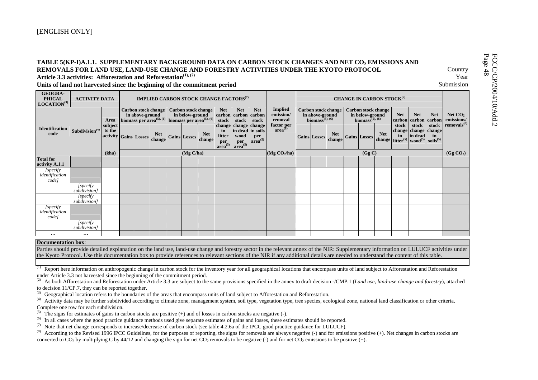|                                                            | REMOVALS FOR LAND USE, LAND-USE CHANGE AND FORESTRY ACTIVITIES UNDER THE KYOTO PROTOCOL<br>Article 3.3 activities: Afforestation and Reforestation <sup>(1), (2)</sup><br>Units of land not harvested since the beginning of the commitment period |                                                                                                                                                                                                                                                                      |  |  |                                                                                                                            |  |  |                            |                     |                                                                     |                     |                                                      |  |                                                             |                            |  |                                                             |                                       |                     |                                             |                        | Country<br>Year<br>Submission                            |
|------------------------------------------------------------|----------------------------------------------------------------------------------------------------------------------------------------------------------------------------------------------------------------------------------------------------|----------------------------------------------------------------------------------------------------------------------------------------------------------------------------------------------------------------------------------------------------------------------|--|--|----------------------------------------------------------------------------------------------------------------------------|--|--|----------------------------|---------------------|---------------------------------------------------------------------|---------------------|------------------------------------------------------|--|-------------------------------------------------------------|----------------------------|--|-------------------------------------------------------------|---------------------------------------|---------------------|---------------------------------------------|------------------------|----------------------------------------------------------|
| <b>GEOGRA-</b><br><b>PHICAL</b><br>LOCATION <sup>(3)</sup> | <b>ACTIVITY DATA</b>                                                                                                                                                                                                                               |                                                                                                                                                                                                                                                                      |  |  | <b>IMPLIED CARBON STOCK CHANGE FACTORS</b> <sup>(7)</sup>                                                                  |  |  |                            |                     |                                                                     |                     |                                                      |  |                                                             |                            |  |                                                             | CHANGE IN CARBON STOCK <sup>(7)</sup> |                     |                                             |                        |                                                          |
|                                                            |                                                                                                                                                                                                                                                    | Area<br>subject                                                                                                                                                                                                                                                      |  |  | <b>Carbon stock change</b><br>in above-ground<br>biomass per area <sup>(5), (6)</sup> biomass per area <sup>(5), (6)</sup> |  |  | <b>Carbon stock change</b> | <b>Net</b><br>stock | <b>Net</b><br>carbon carbon carbon<br>stock<br>change change change | <b>Net</b><br>stock | <b>Implied</b><br>emission/<br>removal<br>factor per |  | in above-ground<br>biomass <sup><math>(5), (6)</math></sup> | <b>Carbon stock change</b> |  | in below-ground<br>biomass <sup><math>(5), (6)</math></sup> | <b>Carbon stock change</b>            | <b>Net</b><br>stock | <b>Net</b><br>carbon carbon<br>stock        | <b>Net</b><br>  carbon | Net $CO2$<br>emissions/<br>stock removals <sup>(8)</sup> |
| <b>Identification</b><br>code                              | Subdivision $(4)$                                                                                                                                                                                                                                  | to the                                                                                                                                                                                                                                                               |  |  | <b>Net</b><br>change                                                                                                       |  |  | <b>Net</b>                 | in<br>litter<br>per | in dead in soils<br>wood<br>per                                     | per<br>$area^{(5)}$ | $area^{(8)}$                                         |  |                                                             | <b>Net</b><br>change       |  |                                                             | <b>Net</b>                            | in                  | change change change<br>wood <sup>(5)</sup> | in<br>$soids^{(5)}$    |                                                          |
|                                                            |                                                                                                                                                                                                                                                    | in dead<br>activity Gains Losses<br><b>Gains Losses</b><br><b>Gains Losses</b><br><b>Gains Losses</b><br>change litter <sup>(5)</sup><br>change<br>$area^{(5)}$<br>$area^{(5)}$<br>(Mg C/ha)<br>(Mg CO <sub>2</sub> /ha)<br>(kha)<br>(Gg C)<br>(Gg CO <sub>2</sub> ) |  |  |                                                                                                                            |  |  |                            |                     |                                                                     |                     |                                                      |  |                                                             |                            |  |                                                             |                                       |                     |                                             |                        |                                                          |
| <b>Total for</b><br>activity A.1.1                         |                                                                                                                                                                                                                                                    |                                                                                                                                                                                                                                                                      |  |  |                                                                                                                            |  |  |                            |                     |                                                                     |                     |                                                      |  |                                                             |                            |  |                                                             |                                       |                     |                                             |                        |                                                          |
| [specify<br>identification<br>code]                        |                                                                                                                                                                                                                                                    |                                                                                                                                                                                                                                                                      |  |  |                                                                                                                            |  |  |                            |                     |                                                                     |                     |                                                      |  |                                                             |                            |  |                                                             |                                       |                     |                                             |                        |                                                          |
|                                                            | $I$ specify<br>subdivision1                                                                                                                                                                                                                        |                                                                                                                                                                                                                                                                      |  |  |                                                                                                                            |  |  |                            |                     |                                                                     |                     |                                                      |  |                                                             |                            |  |                                                             |                                       |                     |                                             |                        |                                                          |
|                                                            | $I$ specify<br>subdivision]                                                                                                                                                                                                                        |                                                                                                                                                                                                                                                                      |  |  |                                                                                                                            |  |  |                            |                     |                                                                     |                     |                                                      |  |                                                             |                            |  |                                                             |                                       |                     |                                             |                        |                                                          |
| [specify<br>identification<br>code]                        |                                                                                                                                                                                                                                                    |                                                                                                                                                                                                                                                                      |  |  |                                                                                                                            |  |  |                            |                     |                                                                     |                     |                                                      |  |                                                             |                            |  |                                                             |                                       |                     |                                             |                        |                                                          |
|                                                            | [specify]<br>subdivision]                                                                                                                                                                                                                          |                                                                                                                                                                                                                                                                      |  |  |                                                                                                                            |  |  |                            |                     |                                                                     |                     |                                                      |  |                                                             |                            |  |                                                             |                                       |                     |                                             |                        |                                                          |
| $\cdots$                                                   | $\cdots$                                                                                                                                                                                                                                           |                                                                                                                                                                                                                                                                      |  |  |                                                                                                                            |  |  |                            |                     |                                                                     |                     |                                                      |  |                                                             |                            |  |                                                             |                                       |                     |                                             |                        |                                                          |

Parties should provide detailed explanation on the land use, land-use change and forestry sector in the relevant annex of the NIR: Supplementary information on LULUCF activities under the Kyoto Protocol. Use this documentation box to provide references to relevant sections of the NIR if any additional details are needed to understand the content of this table.

Report here information on anthropogenic change in carbon stock for the inventory year for all geographical locations that encompass units of land subject to Afforestation and Reforestation under Article 3.3 not harvested since the beginning of the commitment period.

<sup>(2)</sup> As both Afforestation and Reforestation under Article 3.3 are subject to the same provisions specified in the annex to draft decision -/CMP.1 (*Land use, land-use change and forestry*), attached to decision 11/CP.7, they can be reported together.

 $<sup>(3)</sup>$  Geographical location refers to the boundaries of the areas that encompass units of land subject to Afforestation and Reforestation.</sup>

(4) Activity data may be further subdivided according to climate zone, management system, soil type, vegetation type, tree species, ecological zone, national land classification or other criteria. Complete one row for each subdivision.

<sup>(5)</sup> The signs for estimates of gains in carbon stocks are positive (+) and of losses in carbon stocks are negative (-).

<sup>(6)</sup> In all cases where the good practice guidance methods used give separate estimates of gains and losses, these estimates should be reported.<br><sup>(7)</sup> Note that net change corresponds to increase/decrease of carbon stock

(7) Note that net change corresponds to increase/decrease of carbon stock (see table 4.2.6a of the IPCC good practice guidance for LULUCF).<br>(8) According to the Revised 1996 IPCC Guidelines for the purposes of reporting t

According to the Revised 1996 IPCC Guidelines, for the purposes of reporting, the signs for removals are always negative (-) and for emissions positive (+). Net changes in carbon stocks are converted to CO<sub>2</sub> by multiplying C by 44/12 and changing the sign for net CO<sub>2</sub> removals to be negative (-) and for net CO<sub>2</sub> emissions to be positive (+).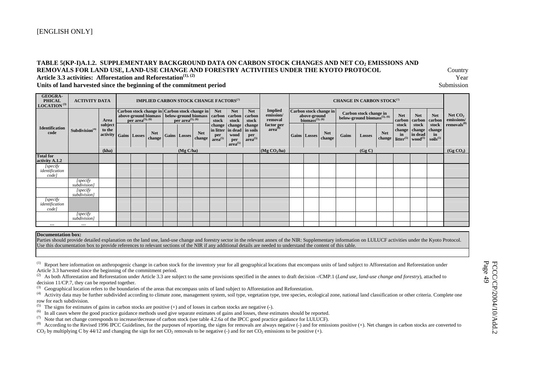#### TABLE 5(KP-I)A.1.2. SUPPLEMENTARY BACKGROUND DATA ON CARBON STOCK CHANGES AND NET CO<sub>2</sub> EMISSIONS AND **REMOVALS FOR LAND USE, LAND-USE CHANGE AND FORESTRY ACTIVITIES UNDER THE KYOTO PROTOCOL** Country Article 3.3 activities: Afforestation and Reforestation<sup>(1), (2)</sup> Year

#### **Units of land harvested since the beginning of the commitment period** Submission

| <b>GEOGRA-</b><br><b>PHICAL</b><br>LOGATION <sup>(3)</sup> | <b>ACTIVITY DATA</b>       |                               |                              | <b>IMPLIED CARBON STOCK CHANGE FACTORS</b> <sup>(7)</sup>                                    |                              |                      |                                      |                                                                     |                                 |                                        |                                                          |                        |       | <b>CHANGE IN CARBON STOCK(7)</b>                                                   |                      |                                       |                                                   |                                          |                         |
|------------------------------------------------------------|----------------------------|-------------------------------|------------------------------|----------------------------------------------------------------------------------------------|------------------------------|----------------------|--------------------------------------|---------------------------------------------------------------------|---------------------------------|----------------------------------------|----------------------------------------------------------|------------------------|-------|------------------------------------------------------------------------------------|----------------------|---------------------------------------|---------------------------------------------------|------------------------------------------|-------------------------|
|                                                            |                            | Area                          | per area <sup>(5), (6)</sup> | Carbon stock change in Carbon stock change in<br>above-ground biomass   below-ground biomass | per area <sup>(5), (6)</sup> |                      | <b>Net</b><br>carbon<br>stock        | <b>Net</b><br>carbon<br>stock                                       | <b>Net</b><br>  carbon<br>stock | <b>Implied</b><br>emission/<br>removal | above-ground<br>biomass <sup><math>(5), (6)</math></sup> | Carbon stock change in |       | Carbon stock change in<br>below-ground biomass <sup><math>(5)</math></sup> , $(6)$ |                      | <b>Net</b><br>carbon                  | <b>Net</b><br>carbon                              | <b>Net</b><br>carbon                     | Net $CO2$<br>emissions/ |
| <b>Identification</b><br>code                              | Subdivision <sup>(4)</sup> | subject<br>to the<br>activity | Gains Losses                 | <b>Net</b><br>change                                                                         | Gains Losses                 | <b>Net</b><br>change | <b>change</b><br>per<br>$area^{(5)}$ | change<br>in litter in dead in soils<br>wood<br>per<br>$area^{(5)}$ | change<br>per<br>$area^{(5)}$   | factor per<br>area <sup>(8)</sup>      | Gains Losses                                             | <b>Net</b><br>change   | Gains | <b>Losses</b>                                                                      | <b>Net</b><br>change | stock<br>change<br>in<br>litter $(5)$ | stock<br>change<br>in dead<br>wood <sup>(5)</sup> | stock<br>change '<br>in<br>$soids^{(5)}$ | removals <sup>(8)</sup> |
|                                                            |                            | (kha)                         |                              |                                                                                              | (Mg C/ha)                    |                      |                                      |                                                                     |                                 | (Mg $CO2/ha$ )                         |                                                          |                        |       | (Gg C)                                                                             |                      |                                       |                                                   |                                          | (Gg CO <sub>2</sub> )   |
| <b>Total for</b><br>activity A.1.2                         |                            |                               |                              |                                                                                              |                              |                      |                                      |                                                                     |                                 |                                        |                                                          |                        |       |                                                                                    |                      |                                       |                                                   |                                          |                         |
| [specify<br>identification<br>code                         |                            |                               |                              |                                                                                              |                              |                      |                                      |                                                                     |                                 |                                        |                                                          |                        |       |                                                                                    |                      |                                       |                                                   |                                          |                         |
|                                                            | [specify]<br>subdivision]  |                               |                              |                                                                                              |                              |                      |                                      |                                                                     |                                 |                                        |                                                          |                        |       |                                                                                    |                      |                                       |                                                   |                                          |                         |
|                                                            | [specify]<br>subdivision]  |                               |                              |                                                                                              |                              |                      |                                      |                                                                     |                                 |                                        |                                                          |                        |       |                                                                                    |                      |                                       |                                                   |                                          |                         |
| [specify<br>identification<br>code]                        |                            |                               |                              |                                                                                              |                              |                      |                                      |                                                                     |                                 |                                        |                                                          |                        |       |                                                                                    |                      |                                       |                                                   |                                          |                         |
|                                                            | [specify<br>subdivision)   |                               |                              |                                                                                              |                              |                      |                                      |                                                                     |                                 |                                        |                                                          |                        |       |                                                                                    |                      |                                       |                                                   |                                          |                         |
| $\cdots$                                                   | $\cdots$                   |                               |                              |                                                                                              |                              |                      |                                      |                                                                     |                                 |                                        |                                                          |                        |       |                                                                                    |                      |                                       |                                                   |                                          |                         |

#### **Documentation box:**

 Parties should provide detailed explanation on the land use, land-use change and forestry sector in the relevant annex of the NIR: Supplementary information on LULUCF activities under the Kyoto Protocol. Use this documentation box to provide references to relevant sections of the NIR if any additional details are needed to understand the content of this table.

<sup>(1)</sup> Report here information on anthropogenic change in carbon stock for the inventory year for all geographical locations that encompass units of land subject to Afforestation and Reforestation under Article 3.3 harvested since the beginning of the commitment period.

<sup>(2)</sup> As both Afforestation and Reforestation under Article 3.3 are subject to the same provisions specified in the annex to draft decision -/CMP.1 (*Land use, land-use change and forestry*), attached to decision 11/CP.7, they can be reported together.

(3) Geographical location refers to the boundaries of the areas that encompass units of land subject to Afforestation and Reforestation.<br>(4) Activity data may be further subdivided according to climate zone, management sy

Activity data may be further subdivided according to climate zone, management system, soil type, vegetation type, tree species, ecological zone, national land classification or other criteria. Complete one row for each subdivision.

<sup>(5)</sup> The signs for estimates of gains in carbon stocks are positive  $(+)$  and of losses in carbon stocks are negative  $(-)$ .

(6) In all cases where the good practice guidance methods used give separate estimates of gains and losses, these estimates should be reported.

(7) Note that net change corresponds to increase/decrease of carbon stock (see table 4.2.6a of the IPCC good practice guidance for LULUCF).<br>(8) According to the Revised 1996 IPCC Guidelines for the purposes of reporting t

According to the Revised 1996 IPCC Guidelines, for the purposes of reporting, the signs for removals are always negative (-) and for emissions positive (+). Net changes in carbon stocks are converted to CO<sub>2</sub> by multiplying C by 44/12 and changing the sign for net CO<sub>2</sub> removals to be negative (-) and for net CO<sub>2</sub> emissions to be positive (+).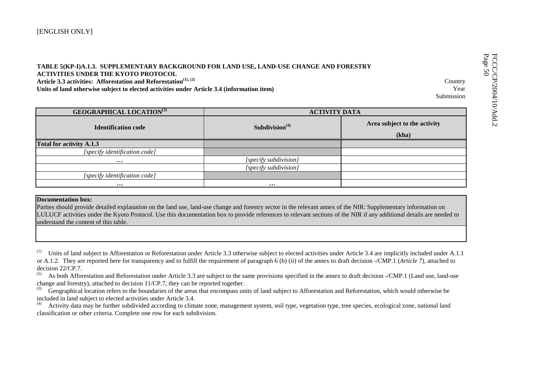| TABLE 5(KP-I)A.1.3. SUPPLEMENTARY BACKGROUND FOR LAND USE, LAND-USE CHANGE AND FORESTRY<br><b>ACTIVITIES UNDER THE KYOTO PROTOCOL</b><br>Article 3.3 activities: Afforestation and Reforestation <sup>(1), (2)</sup><br>Units of land otherwise subject to elected activities under Article 3.4 (information item) |                       | Country<br>Year<br>Submission | FCCC/C<br>Page 50<br>P/2004 |
|--------------------------------------------------------------------------------------------------------------------------------------------------------------------------------------------------------------------------------------------------------------------------------------------------------------------|-----------------------|-------------------------------|-----------------------------|
| <b>GEOGRAPHICAL LOCATION</b> (3)                                                                                                                                                                                                                                                                                   |                       | <b>ACTIVITY DATA</b>          |                             |
| <b>Identification code</b>                                                                                                                                                                                                                                                                                         | Subdivision $(4)$     | Area subject to the activity  | id.2                        |
|                                                                                                                                                                                                                                                                                                                    |                       | (kha)                         |                             |
| <b>Total for activity A.1.3</b>                                                                                                                                                                                                                                                                                    |                       |                               |                             |
| [specify identification code]                                                                                                                                                                                                                                                                                      |                       |                               |                             |
| $\bullet\bullet\bullet$                                                                                                                                                                                                                                                                                            | [specify subdivision] |                               |                             |
|                                                                                                                                                                                                                                                                                                                    | [specify subdivision] |                               |                             |
| [specify identification code]                                                                                                                                                                                                                                                                                      |                       |                               |                             |
| $\bullet\bullet\bullet$                                                                                                                                                                                                                                                                                            | $\cdots$              |                               |                             |

#### **Documentation box:**

Parties should provide detailed explanation on the land use, land-use change and forestry sector in the relevant annex of the NIR: Supplementary information on LULUCF activities under the Kyoto Protocol. Use this documentation box to provide references to relevant sections of the NIR if any additional details are needed to understand the content of this table.

<sup>(1)</sup> Units of land subject to Afforestation or Reforestation under Article 3.3 otherwise subject to elected activities under Article 3.4 are implicitly included under A.1.1 or A.1.2. They are reported here for transparency and to fulfill the requirement of paragraph 6 (b) (ii) of the annex to draft decision -/CMP.1 (*Article 7*), attached to decision 22/CP.7.

(2) As both Afforestation and Reforestation under Article 3.3 are subject to the same provisions specified in the annex to draft decision -/CMP.1 (Land use, land-use change and forestry), attached to decision  $11/CP$ .7, they can be reported together.<br><sup>(3)</sup> Geographical location refers to the boundaries of the areas that encompass un

(3) Geographical location refers to the boundaries of the areas that encompass units of land subject to Afforestation and Reforestation, which would otherwise be included in land subject to elected activities under Article 3.4.

Activity data may be further subdivided according to climate zone, management system, soil type, vegetation type, tree species, ecological zone, national land classification or other criteria. Complete one row for each subdivision.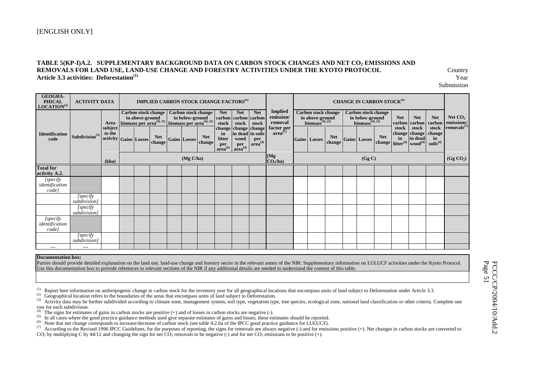#### TABLE 5(KP-I)A.2. SUPPLEMENTARY BACKGROUND DATA ON CARBON STOCK CHANGES AND NET CO<sub>2</sub> EMISSIONS AND **REMOVALS FOR LAND USE, LAND-USE CHANGE AND FORESTRY ACTIVITIES UNDER THE KYOTO PROTOCOL** Country **Article 3.3 activities: Deforestation(1)** Year

Submission

| <b>GEOGRA-</b><br><b>PHICAL</b><br>LOGATION <sup>(2)</sup>                                                                                                                                                                                                                                                                                                                                                                                                                                                                                                                                                                                                                                   | <b>ACTIVITY DATA</b>       |                                            |  |                                                                                                                     |                     |                      |                                            | <b>IMPLIED CARBON STOCK CHANGE FACTORS<sup>(6)</sup></b>                       |                            |                                        |                                                                              |                      | <b>CHANGE IN CARBON STOCK<sup>(6)</sup></b>                                  |                                            |             |                                                          |                                               |                                              |
|----------------------------------------------------------------------------------------------------------------------------------------------------------------------------------------------------------------------------------------------------------------------------------------------------------------------------------------------------------------------------------------------------------------------------------------------------------------------------------------------------------------------------------------------------------------------------------------------------------------------------------------------------------------------------------------------|----------------------------|--------------------------------------------|--|---------------------------------------------------------------------------------------------------------------------|---------------------|----------------------|--------------------------------------------|--------------------------------------------------------------------------------|----------------------------|----------------------------------------|------------------------------------------------------------------------------|----------------------|------------------------------------------------------------------------------|--------------------------------------------|-------------|----------------------------------------------------------|-----------------------------------------------|----------------------------------------------|
|                                                                                                                                                                                                                                                                                                                                                                                                                                                                                                                                                                                                                                                                                              |                            | Area                                       |  | Carbon stock change<br>in above-ground<br>biomass per area <sup>(4), (5)</sup> biomass per area <sup>(4), (5)</sup> |                     | Carbon stock change  | <b>Net</b><br>stock                        | <b>Net</b><br>carbon carbon carbon<br>stock                                    | <b>Net</b><br>stock        | <b>Implied</b><br>emission/<br>removal | <b>Carbon stock change</b><br>in above-ground<br>biomass <sup>(4), (5)</sup> |                      | <b>Carbon stock change</b><br>in below-ground<br>biomass <sup>(4), (5)</sup> |                                            | <b>Net</b>  | <b>Net</b><br>carbon carbon                              | <b>Net</b><br>carbon                          | Net $CO2$<br>emissions/<br>removals $^{(7)}$ |
| <b>Identification</b><br>code                                                                                                                                                                                                                                                                                                                                                                                                                                                                                                                                                                                                                                                                | Subdivision <sup>(3)</sup> | subject<br>to the<br>activity Gains Losses |  | <b>Net</b><br>change                                                                                                | <b>Gains Losses</b> | <b>Net</b><br>change | in<br>litter<br>per<br>area <sup>(4)</sup> | change change change<br>in dead in soils<br>wood<br>per<br>area <sup>(4)</sup> | per<br>area <sup>(4)</sup> | factor per $area^{(7)}$                | <b>Gains</b> Losses                                                          | <b>Net</b><br>change | <b>Gains</b> Losses                                                          | <b>Net</b><br>change litter <sup>(4)</sup> | stock<br>in | stock<br>change change<br>in dead<br>wood <sup>(4)</sup> | stock<br>change<br>in<br>soids <sup>(4)</sup> |                                              |
|                                                                                                                                                                                                                                                                                                                                                                                                                                                                                                                                                                                                                                                                                              |                            | (kha)                                      |  |                                                                                                                     | (Mg C/ha)           |                      |                                            |                                                                                |                            | (Mg)<br>CO <sub>2</sub> /ha            |                                                                              |                      | (Gg C)                                                                       |                                            |             |                                                          |                                               | (Gg CO <sub>2</sub> )                        |
| <b>Total for</b><br>activity A.2.                                                                                                                                                                                                                                                                                                                                                                                                                                                                                                                                                                                                                                                            |                            |                                            |  |                                                                                                                     |                     |                      |                                            |                                                                                |                            |                                        |                                                                              |                      |                                                                              |                                            |             |                                                          |                                               |                                              |
| $[{\it specify}\label{ex-qie:1}$ identification<br>code]                                                                                                                                                                                                                                                                                                                                                                                                                                                                                                                                                                                                                                     |                            |                                            |  |                                                                                                                     |                     |                      |                                            |                                                                                |                            |                                        |                                                                              |                      |                                                                              |                                            |             |                                                          |                                               |                                              |
|                                                                                                                                                                                                                                                                                                                                                                                                                                                                                                                                                                                                                                                                                              | [specify<br>subdivision]   |                                            |  |                                                                                                                     |                     |                      |                                            |                                                                                |                            |                                        |                                                                              |                      |                                                                              |                                            |             |                                                          |                                               |                                              |
|                                                                                                                                                                                                                                                                                                                                                                                                                                                                                                                                                                                                                                                                                              | [specify]<br>subdivision]  |                                            |  |                                                                                                                     |                     |                      |                                            |                                                                                |                            |                                        |                                                                              |                      |                                                                              |                                            |             |                                                          |                                               |                                              |
| $[{\it specify}]\label{def:specify}% Let $\rho^{AB}$ be the function $\rho^{AB}$ and $\rho^{AB}$ be the function of $\rho^{AB}$, where $\rho^{AB}$ is the function of $\rho^{AB}$, and $\rho^{AB}$ is the function of $\rho^{AB}$, and $\rho^{AB}$ is the function of $\rho^{AB}$, and $\rho^{AB}$ is the function of $\rho^{AB}$, and $\rho^{AB}$ is the function of $\rho^{AB}$, and $\rho^{AB}$ is the function of $\rho^{AB}$, and $\rho^{AB}$ is the function of $\rho^{AB}$, and $\rho^{AB}$ is the function of $\rho^{AB}$, and $\rho^{AB}$ is the function of $\rho^{AB}$, and $\rho^{AB}$ is the function of $\rho^{AB}$, and $\rho^{AB}$ is the function of $\rho^{AB}$,$<br>code] |                            |                                            |  |                                                                                                                     |                     |                      |                                            |                                                                                |                            |                                        |                                                                              |                      |                                                                              |                                            |             |                                                          |                                               |                                              |
|                                                                                                                                                                                                                                                                                                                                                                                                                                                                                                                                                                                                                                                                                              | [specify]<br>subdivision]  |                                            |  |                                                                                                                     |                     |                      |                                            |                                                                                |                            |                                        |                                                                              |                      |                                                                              |                                            |             |                                                          |                                               |                                              |
| $\cdots$                                                                                                                                                                                                                                                                                                                                                                                                                                                                                                                                                                                                                                                                                     | $\cdots$                   |                                            |  |                                                                                                                     |                     |                      |                                            |                                                                                |                            |                                        |                                                                              |                      |                                                                              |                                            |             |                                                          |                                               |                                              |
| <b>Documentation box:</b>                                                                                                                                                                                                                                                                                                                                                                                                                                                                                                                                                                                                                                                                    |                            |                                            |  |                                                                                                                     |                     |                      |                                            |                                                                                |                            |                                        |                                                                              |                      |                                                                              |                                            |             |                                                          |                                               |                                              |

 Parties should provide detailed explanation on the land use, land-use change and forestry sector in the relevant annex of the NIR: Supplementary information on LULUCF activities under the Kyoto Protocol. Use this documentation box to provide references to relevant sections of the NIR if any additional details are needed to understand the content of this table.

<sup>(1)</sup> Report here information on anthropogenic change in carbon stock for the inventory year for all geographical locations that encompass units of land subject to Deforestation under Article 3.3.<br><sup>(2)</sup> Geographical locat

row for each subdivision.

(4) The signs for estimates of gains in carbon stocks are positive (+) and of losses in carbon stocks are negative (-).<br>
(5) In all cases where the good practice guidance methods used give separate estimates of gains and  $CO<sub>2</sub>$  by multiplying C by 44/12 and changing the sign for net  $CO<sub>2</sub>$  removals to be negative (-) and for net  $CO<sub>2</sub>$  emissions to be positive (+).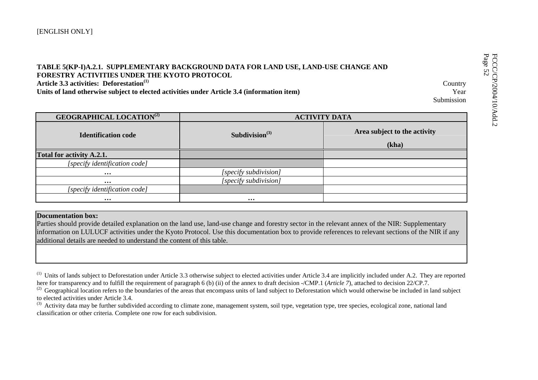| FORESTRY ACTIVITIES UNDER THE KYOTO PROTOCOL<br>Article 3.3 activities: Deforestation <sup>(1)</sup><br>Units of land otherwise subject to elected activities under Article 3.4 (information item) | TABLE 5(KP-I)A.2.1. SUPPLEMENTARY BACKGROUND DATA FOR LAND USE, LAND-USE CHANGE AND | Country<br>Year<br>Submission | FCCC/CP/2004/<br>Page 52 |
|----------------------------------------------------------------------------------------------------------------------------------------------------------------------------------------------------|-------------------------------------------------------------------------------------|-------------------------------|--------------------------|
| <b>GEOGRAPHICAL LOCATION</b> <sup>(2)</sup>                                                                                                                                                        |                                                                                     | <b>ACTIVITY DATA</b>          | 10/Add.2                 |
| <b>Identification code</b>                                                                                                                                                                         | Subdivision $(3)$                                                                   | Area subject to the activity  |                          |
|                                                                                                                                                                                                    |                                                                                     | (kha)                         |                          |
| Total for activity A.2.1.                                                                                                                                                                          |                                                                                     |                               |                          |
| [specify identification code]                                                                                                                                                                      |                                                                                     |                               |                          |
| $\cdots$                                                                                                                                                                                           | [specify subdivision]                                                               |                               |                          |
| $\cdots$                                                                                                                                                                                           | [specify subdivision]                                                               |                               |                          |
| [specify identification code]                                                                                                                                                                      |                                                                                     |                               |                          |
| $\cdots$                                                                                                                                                                                           | $\cdots$                                                                            |                               |                          |

## **Documentation box:**

Parties should provide detailed explanation on the land use, land-use change and forestry sector in the relevant annex of the NIR: Supplementary information on LULUCF activities under the Kyoto Protocol. Use this documentation box to provide references to relevant sections of the NIR if any additional details are needed to understand the content of this table.

 $^{(1)}$  Units of lands subject to Deforestation under Article 3.3 otherwise subject to elected activities under Article 3.4 are implicitly included under A.2. They are reported here for transparency and to fulfill the requirement of paragraph 6 (b) (ii) of the annex to draft decision -/CMP.1 (*Article* 7), attached to decision 22/CP.7.

<sup>(2)</sup> Geographical location refers to the boundaries of the areas that encompass units of land subject to Deforestation which would otherwise be included in land subject to elected activities under Article 3.4.

<sup>(3)</sup> Activity data may be further subdivided according to climate zone, management system, soil type, vegetation type, tree species, ecological zone, national land classification or other criteria. Complete one row for each subdivision.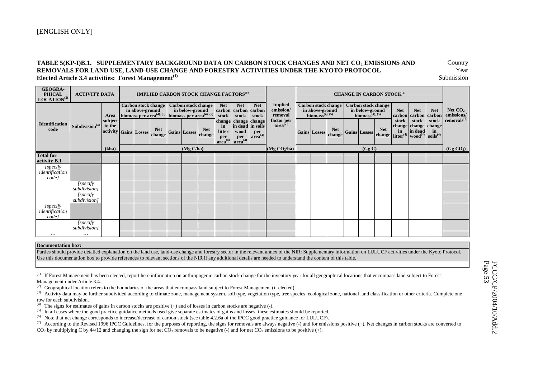#### TABLE 5(KP-I)B.1. SUPPLEMENTARY BACKGROUND DATA ON CARBON STOCK CHANGES AND NET CO<sub>2</sub> EMISSIONS AND **Country REMOVALS FOR LAND USE, LAND-USE CHANGE AND FORESTRY ACTIVITIES UNDER THE KYOTO PROTOCOL** Year **Elected Article 3.4 activities: Forest Management(1)** Submission

**GEOGRA-PHICAL LOCATION(2) ACTIVITY DATA IMPLIED CARBON STOCK CHANGE FACTORS<sup>(6)</sup> CHANGE IN CARBON STOCK<sup>(6)</sup> Carbon stock change in above-ground**  Area biomass per area<sup>(4), (5)</sup> **biomass** per area<sup>(4), (5)</sup> **stock** | stock | stock | removal | **biomass**<sup>(4), (5) | **biomass**<sup>(4), (5)</sup></sup> **Carbon stock change in below-ground biomass per area(4), (5) Carbon stock change in above-ground biomass(4), (5) Carbon stock change**  in below-ground<br>biomass<sup>(4), (5)</sup> **subject to the activity** Gains **Losses hange Gains Losses Ret** change **Net carbon stock change in litter per area(4) Net carbon carbon stock change in dead wood per area(4) Net stock change in soils per area(4) Implied emission/ removal factor per area(7) Gains Losses** $\left|\frac{\text{Net}}{\text{change}}\right|$  Gains Losses  $\left|\frac{\text{Net}}{\text{change}}\right|$ **Net carbon carbon stock change change in litter(4) Net stock in dead wood(4) Net carbon stock change in soils(4)** Net CO<sub>2</sub> **emissions/ removals(7) Identification code Subdivision(3) (kha) (Mg C/ha) (Mg CO2/ha) (Gg C) (Gg CO2) Total for activity B.1**  *[specify identification code] [specify subdivision] [specify subdivision] [specify identification code] [specify subdivision]*  **… …** 

**Documentation box:**

Parties should provide detailed explanation on the land use, land-use change and forestry sector in the relevant annex of the NIR: Supplementary information on LULUCF activities under the Kyoto Protocol. Use this documentation box to provide references to relevant sections of the NIR if any additional details are needed to understand the content of this table.

<sup>(1)</sup> If Forest Management has been elected, report here information on anthropogenic carbon stock change for the inventory year for all geographical locations that encompass land subject to Forest Management under Article 3.4.

 $^{(2)}$  Geographical location refers to the boundaries of the areas that encompass land subject to Forest Management (if elected).

<sup>(3)</sup> Activity data may be further subdivided according to climate zone, management system, soil type, vegetation type, tree species, ecological zone, national land classification or other criteria. Complete one row for each subdivision.

<sup>(4)</sup> The signs for estimates of gains in carbon stocks are positive  $(+)$  and of losses in carbon stocks are negative  $(-)$ .

<sup>(5)</sup> In all cases where the good practice guidance methods used give separate estimates of gains and losses, these estimates should be reported.<br><sup>(6)</sup> Note that net change corresponds to increase/decrease of carbon stock

(6) Note that net change corresponds to increase/decrease of carbon stock (see table 4.2.6a of the IPCC good practice guidance for LULUCF).

(7) According to the Revised 1996 IPCC Guidelines, for the purposes of reporting, the signs for removals are always negative (-) and for emissions positive (+). Net changes in carbon stocks are converted to  $CO<sub>2</sub>$  by multiplying C by 44/12 and changing the sign for net CO<sub>2</sub> removals to be negative (-) and for net CO<sub>2</sub> emissions to be positive (+).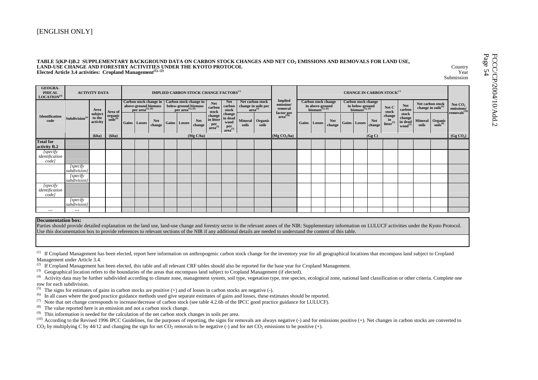### [ENGLISH ONLY]

| TABLE 5(KP-I)B.2 SUPPLEMENTARY BACKGROUND DATA ON CARBON STOCK CHANGES AND NET CO <sub>2</sub> EMISSIONS AND REMOVALS FOR LAND USE,<br>LAND-USE CHANGE AND FORESTRY ACTIVITIES UNDER THE KYOTO PROTOCOL<br>Elected Article 3.4 activities: Cropland Management <sup>(1), (2)</sup> |                             |                               |                                             |                                              |                                                                           |                                                |                                                           |                                                        |                                                                   |       |                                                         |                                        |                                                                                           |                      |                                                                                           |                      |                                             |                                                   |                                              | Country<br>Year<br>Submission                       |
|------------------------------------------------------------------------------------------------------------------------------------------------------------------------------------------------------------------------------------------------------------------------------------|-----------------------------|-------------------------------|---------------------------------------------|----------------------------------------------|---------------------------------------------------------------------------|------------------------------------------------|-----------------------------------------------------------|--------------------------------------------------------|-------------------------------------------------------------------|-------|---------------------------------------------------------|----------------------------------------|-------------------------------------------------------------------------------------------|----------------------|-------------------------------------------------------------------------------------------|----------------------|---------------------------------------------|---------------------------------------------------|----------------------------------------------|-----------------------------------------------------|
| GEOGRA-<br><b>PHICAL</b><br>LOGATION <sup>(3)</sup>                                                                                                                                                                                                                                |                             | <b>ACTIVITY DATA</b>          |                                             |                                              |                                                                           |                                                | <b>IMPLIED CARBON STOCK CHANGE FACTORS</b> <sup>(7)</sup> |                                                        |                                                                   |       |                                                         |                                        |                                                                                           |                      |                                                                                           |                      | <b>CHANGE IN CARBON STOCK<sup>(7)</sup></b> |                                                   |                                              |                                                     |
|                                                                                                                                                                                                                                                                                    |                             | Area                          | Area of                                     | per area <sup><math>(5)</math></sup> , $(6)$ | Carbon stock change in   Carbon stock change in  <br>above-ground biomass | below-ground biomass<br>per area $^{(5), (6)}$ |                                                           | <b>Net</b><br>carbon<br>stock                          | <b>Net</b><br>carbon<br>stock                                     |       | Net carbon stock<br>change in soils per<br>$area^{(5)}$ | <b>Implied</b><br>emission/<br>removal | <b>Carbon stock change</b><br>in above-ground<br>biomass <sup><math>(5), (6)</math></sup> |                      | <b>Carbon stock change</b><br>in below-ground<br>biomass <sup><math>(5), (6)</math></sup> |                      | Net C<br>stock                              | <b>Net</b><br>carbon                              | Net carbon stock<br>change in soils $^{(5)}$ | Net $CO2$<br>emissions/<br>removals <sup>(10)</sup> |
| <b>Identification</b><br>code                                                                                                                                                                                                                                                      | Subdivision <sup>(4</sup>   | subject<br>to the<br>activity | $\frac{\text{organic}}{\text{soils}^{(9)}}$ | Gains Losses                                 | <b>Net</b><br>change                                                      | Gains Losses                                   | <b>Net</b><br>change                                      | change<br>in litter<br>per<br>(5)<br>area <sup>\</sup> | change<br>in dead<br>wood<br>$per$ <sub>area</sub> <sup>(5)</sup> | soils | Mineral Organic<br>soils                                | $frac{factor per}{area^{(10)}}$        | Gains Losses                                                                              | <b>Net</b><br>change | Gains Losses                                                                              | <b>Net</b><br>change | change<br>in<br>$litter$ <sup>(5)</sup>     | stock<br>change<br>in dead<br>wood <sup>(5)</sup> | Mineral Organic<br>soils soils (8)           |                                                     |
|                                                                                                                                                                                                                                                                                    |                             | (kha)                         | (kha)                                       |                                              |                                                                           |                                                | (Mg C/ha)                                                 |                                                        |                                                                   |       |                                                         | (Mg CO <sub>2</sub> /ha)               |                                                                                           |                      |                                                                                           | (Gg C)               |                                             |                                                   |                                              | (Gg CO <sub>2</sub> )                               |
| <b>Total for</b><br>activity B.2                                                                                                                                                                                                                                                   |                             |                               |                                             |                                              |                                                                           |                                                |                                                           |                                                        |                                                                   |       |                                                         |                                        |                                                                                           |                      |                                                                                           |                      |                                             |                                                   |                                              |                                                     |
| [specify]<br>identification<br>code                                                                                                                                                                                                                                                |                             |                               |                                             |                                              |                                                                           |                                                |                                                           |                                                        |                                                                   |       |                                                         |                                        |                                                                                           |                      |                                                                                           |                      |                                             |                                                   |                                              |                                                     |
|                                                                                                                                                                                                                                                                                    | $I$ specify<br>subdivision] |                               |                                             |                                              |                                                                           |                                                |                                                           |                                                        |                                                                   |       |                                                         |                                        |                                                                                           |                      |                                                                                           |                      |                                             |                                                   |                                              |                                                     |
|                                                                                                                                                                                                                                                                                    | $I$ specify<br>subdivision1 |                               |                                             |                                              |                                                                           |                                                |                                                           |                                                        |                                                                   |       |                                                         |                                        |                                                                                           |                      |                                                                                           |                      |                                             |                                                   |                                              |                                                     |
| [specify]<br>identification<br>code]                                                                                                                                                                                                                                               |                             |                               |                                             |                                              |                                                                           |                                                |                                                           |                                                        |                                                                   |       |                                                         |                                        |                                                                                           |                      |                                                                                           |                      |                                             |                                                   |                                              |                                                     |
|                                                                                                                                                                                                                                                                                    | $I$ specify<br>subdivision  |                               |                                             |                                              |                                                                           |                                                |                                                           |                                                        |                                                                   |       |                                                         |                                        |                                                                                           |                      |                                                                                           |                      |                                             |                                                   |                                              |                                                     |
| $\cdots$                                                                                                                                                                                                                                                                           | $\cdots$                    |                               |                                             |                                              |                                                                           |                                                |                                                           |                                                        |                                                                   |       |                                                         |                                        |                                                                                           |                      |                                                                                           |                      |                                             |                                                   |                                              |                                                     |

#### **Documentation box:**

Parties should provide detailed explanation on the land use, land-use change and forestry sector in the relevant annex of the NIR: Supplementary information on LULUCF activities under the Kyoto Protocol. Use this documentation box to provide references to relevant sections of the NIR if any additional details are needed to understand the content of this table.

(1) If Cropland Management has been elected, report here information on anthropogenic carbon stock change for the inventory year for all geographical locations that encompass land subject to Cropland Management under Article 3.4.

 $^{(2)}$  If Cropland Management has been elected, this table and all relevant CRF tables should also be reported for the base year for Cropland Management.

<sup>(3)</sup> Geographical location refers to the boundaries of the areas that encompass land subject to Cropland Management (if elected).

<sup>(4)</sup> Activity data may be further subdivided according to climate zone, management system, soil type, vegetation type, tree species, ecological zone, national land classification or other criteria. Complete one row for each subdivision.

<sup>(5)</sup> The signs for estimates of gains in carbon stocks are positive  $(+)$  and of losses in carbon stocks are negative  $(-)$ .

(6) In all cases where the good practice guidance methods used give separate estimates of gains and losses, these estimates should be reported.

(7) Note that net change corresponds to increase/decrease of carbon stock (see table 4.2.6b of the IPCC good practice guidance for LULUCF).<br>(8) The value reported here is an emission and not a carbon stock change.

The value reported here is an emission and not a carbon stock change.

 $(9)$  This information is needed for the calculation of the net carbon stock changes in soils per area.

<sup>(10)</sup> According to the Revised 1996 IPCC Guidelines, for the purposes of reporting, the signs for removals are always negative (-) and for emissions positive (+). Net changes in carbon stocks are converted to

CO<sub>2</sub> by multiplying C by 44/12 and changing the sign for net CO<sub>2</sub> removals to be negative (-) and for net CO<sub>2</sub> emissions to be positive (+).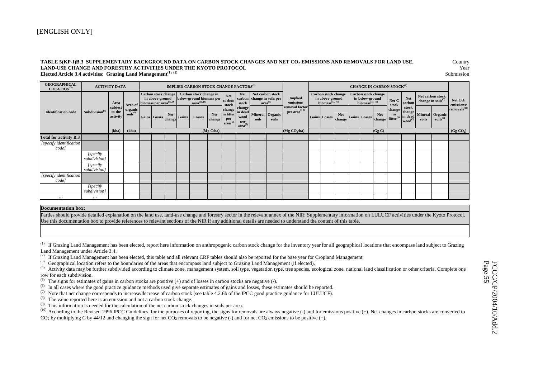#### TABLE 5(KP-I)B.3 SUPPLEMENTARY BACKGROUND DATA ON CARBON STOCK CHANGES AND NET CO<sub>2</sub> EMISSIONS AND REMOVALS FOR LAND USE, Country **LAND-USE CHANGE AND FORESTRY ACTIVITIES UNDER THE KYOTO PROTOCOLL** Year **Elected Article 3.4 activities: Grazing Land Management<sup>(1), (2)</sup> Submission Submission**

| <b>GEOGRAPHICAL</b><br>LOGATION <sup>(3)</sup> |                            | <b>ACTIVITY DATA</b>          |                                             |                                                                                |            |       | <b>IMPLIED CARBON STOCK CHANGE FACTORS</b> <sup>(7)</sup>                                                                                                |                      |                                            |                                                                       |       |                                                                           |                                      |                                                                             |                      |                                          |                            | <b>CHANGE IN CARBON STOCK<sup>(7)</sup></b>          |                                          |                                                                                                                                            |                          |
|------------------------------------------------|----------------------------|-------------------------------|---------------------------------------------|--------------------------------------------------------------------------------|------------|-------|----------------------------------------------------------------------------------------------------------------------------------------------------------|----------------------|--------------------------------------------|-----------------------------------------------------------------------|-------|---------------------------------------------------------------------------|--------------------------------------|-----------------------------------------------------------------------------|----------------------|------------------------------------------|----------------------------|------------------------------------------------------|------------------------------------------|--------------------------------------------------------------------------------------------------------------------------------------------|--------------------------|
|                                                |                            | Area                          | Area of                                     | Carbon stock change<br>in above-ground<br>biomass per area <sup>(5), (6)</sup> |            |       | Carbon stock change in<br>below-ground biomass per $\left[\begin{array}{c} 1 \text{ etc.} \\ \text{carbon} \\ \text{area}^{(5), (6)} \end{array}\right]$ |                      | <b>Net</b><br>stock                        | <b>Net</b><br>stock                                                   |       | Net carbon stock<br>carbon change in soils per<br>$arctan$ <sup>(5)</sup> | <b>Implied</b><br>emission/          | <b>Carbon stock change</b><br>in above-ground biomass $\mathbf{^{(5),(6)}}$ |                      | in below-ground<br>biomass $(5)$ , $(6)$ | <b>Carbon stock change</b> | Net C<br>stock                                       | Net<br>carbon                            | Net carbon stock<br>change in soils $^{(5)}$                                                                                               | Net $CO2$<br>emissions/  |
| <b>Identification code</b>                     | Subdivision <sup>(4)</sup> | subject<br>to the<br>activity | $\frac{\text{organic}}{\text{soils}^{(9)}}$ | Gains Losses change                                                            | <b>Net</b> | Gains | Losses                                                                                                                                                   | <b>Net</b><br>change | change<br>in litter<br>per<br>$area^{(5)}$ | change<br>in dead<br>wood<br>$\operatorname{per}_{\text{area}^{(5)}}$ | soils | Mineral Organic<br>soils                                                  | removal factor<br>per area $^{(10)}$ | <b>Gains Losses</b>                                                         | <b>Net</b><br>change | <b>Gains Losses</b>                      | <b>Net</b>                 | change<br>in<br>change litter <sup>(5)</sup> in dead | stock<br>change  <br>wood <sup>(5)</sup> | $\begin{tabular}{ c c } \hline \textbf{Mineral} & \textbf{Organic} \\ \hline\textbf{soils} & \textbf{soils}^{(8)} \\ \hline \end{tabular}$ | removals <sup>(10)</sup> |
|                                                |                            | (kha)                         | (kha)                                       |                                                                                |            |       |                                                                                                                                                          | (Mg C/ha)            |                                            |                                                                       |       |                                                                           | (Mg CO <sub>2</sub> /ha)             |                                                                             |                      |                                          | (Gg C)                     |                                                      |                                          |                                                                                                                                            | (Gg CO <sub>2</sub> )    |
| <b>Total for activity B.3</b>                  |                            |                               |                                             |                                                                                |            |       |                                                                                                                                                          |                      |                                            |                                                                       |       |                                                                           |                                      |                                                                             |                      |                                          |                            |                                                      |                                          |                                                                                                                                            |                          |
| [specify identification<br>code]               |                            |                               |                                             |                                                                                |            |       |                                                                                                                                                          |                      |                                            |                                                                       |       |                                                                           |                                      |                                                                             |                      |                                          |                            |                                                      |                                          |                                                                                                                                            |                          |
|                                                | [specify]<br>subdivision]  |                               |                                             |                                                                                |            |       |                                                                                                                                                          |                      |                                            |                                                                       |       |                                                                           |                                      |                                                                             |                      |                                          |                            |                                                      |                                          |                                                                                                                                            |                          |
|                                                | [specify]<br>subdivision]  |                               |                                             |                                                                                |            |       |                                                                                                                                                          |                      |                                            |                                                                       |       |                                                                           |                                      |                                                                             |                      |                                          |                            |                                                      |                                          |                                                                                                                                            |                          |
| [specify identification<br>code]               |                            |                               |                                             |                                                                                |            |       |                                                                                                                                                          |                      |                                            |                                                                       |       |                                                                           |                                      |                                                                             |                      |                                          |                            |                                                      |                                          |                                                                                                                                            |                          |
|                                                | [specify]<br>subdivision]  |                               |                                             |                                                                                |            |       |                                                                                                                                                          |                      |                                            |                                                                       |       |                                                                           |                                      |                                                                             |                      |                                          |                            |                                                      |                                          |                                                                                                                                            |                          |
| $\cdots$                                       | $\cdots$                   |                               |                                             |                                                                                |            |       |                                                                                                                                                          |                      |                                            |                                                                       |       |                                                                           |                                      |                                                                             |                      |                                          |                            |                                                      |                                          |                                                                                                                                            |                          |

#### **Documentation box:**

Parties should provide detailed explanation on the land use, land-use change and forestry sector in the relevant annex of the NIR: Supplementary information on LULUCF activities under the Kyoto Protocol. Use this documentation box to provide references to relevant sections of the NIR if any additional details are needed to understand the content of this table.

<sup>(1)</sup> If Grazing Land Management has been elected, report here information on anthropogenic carbon stock change for the inventory year for all geographical locations that encompass land subject to Grazing Land Management under Article 3.4.

- <sup>(2)</sup> If Grazing Land Management has been elected, this table and all relevant CRF tables should also be reported for the base year for Cropland Management.
- (3) Geographical location refers to the boundaries of the areas that encompass land subject to Grazing Land Management (if elected).
- <sup>(4)</sup> Activity data may be further subdivided according to climate zone, management system, soil type, vegetation type, tree species, ecological zone, national land classification or other criteria. Complete one row for each subdivision.
- (5) The signs for estimates of gains in carbon stocks are positive  $(+)$  and of losses in carbon stocks are negative  $(-)$ .
- (6) In all cases where the good practice guidance methods used give separate estimates of gains and losses, these estimates should be reported.
- (7) Note that net change corresponds to increase/decrease of carbon stock (see table 4.2.6b of the IPCC good practice guidance for LULUCF).
- (8) The value reported here is an emission and not a carbon stock change.
- $(9)$  This information is needed for the calculation of the net carbon stock changes in soils per area.
- <sup>(10)</sup> According to the Revised 1996 IPCC Guidelines, for the purposes of reporting, the signs for removals are always negative (-) and for emissions positive (+). Net changes in carbon stocks are converted to CO<sub>2</sub> by multiplying C by 44/12 and changing the sign for net CO<sub>2</sub> removals to be negative (-) and for net CO<sub>2</sub> emissions to be positive (+).

 FCCC/CP/2004/10/Add.2 FCCC/CP/2004/10/Add.2<br>Page 55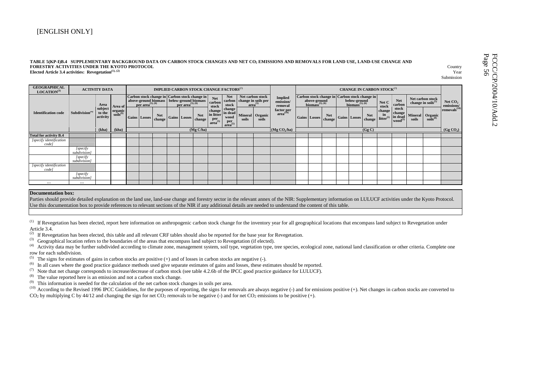| TABLE 5(KP-I)B.4 SUPPLEMENTARY BACKGROUND DATA ON CARBON STOCK CHANGES AND NET CO2 EMISSIONS AND REMOVALS FOR LAND USE, LAND-USE CHANGE AND<br><b>FORESTRY ACTIVITIES UNDER THE KYOTO PROTOCOL</b><br>Country<br>Elected Article 3.4 activities: Revegetation $(1), (2)$<br>Year<br>Submission |                                                                                   |                               |                                                                           |                                                                                                                                                                 |                     |                      |              |  |                               |                                                 |                                                                     |       | Page<br>FCCC<br>Page 5<br>$\sigma$     |                                                                                                                                                                       |  |              |                      |                      |                                              |                                            |                         |                                                   |       |                                  |                          |  |
|------------------------------------------------------------------------------------------------------------------------------------------------------------------------------------------------------------------------------------------------------------------------------------------------|-----------------------------------------------------------------------------------|-------------------------------|---------------------------------------------------------------------------|-----------------------------------------------------------------------------------------------------------------------------------------------------------------|---------------------|----------------------|--------------|--|-------------------------------|-------------------------------------------------|---------------------------------------------------------------------|-------|----------------------------------------|-----------------------------------------------------------------------------------------------------------------------------------------------------------------------|--|--------------|----------------------|----------------------|----------------------------------------------|--------------------------------------------|-------------------------|---------------------------------------------------|-------|----------------------------------|--------------------------|--|
| <b>GEOGRAPHICAL</b><br>LOGATION <sup>(3)</sup>                                                                                                                                                                                                                                                 | <b>IMPLIED CARBON STOCK CHANGE FACTORS</b> <sup>(7)</sup><br><b>ACTIVITY DATA</b> |                               |                                                                           |                                                                                                                                                                 |                     |                      |              |  |                               | <b>CHANGE IN CARBON STOCK<sup>(7)</sup></b>     |                                                                     |       |                                        |                                                                                                                                                                       |  |              |                      |                      |                                              |                                            |                         |                                                   |       |                                  |                          |  |
| <b>Identification code</b>                                                                                                                                                                                                                                                                     | Subdivision <sup>(4)</sup>                                                        | Area                          | Area of<br>$\begin{bmatrix} \text{organic} \\ \text{soils} \end{bmatrix}$ | Carbon stock change in Carbon stock change in<br>above-ground biomass<br>per area <sup>(5), (6)</sup> per area <sup>(5), (6)</sup> per area <sup>(5), (6)</sup> |                     |                      |              |  | <b>Net</b><br>carbon<br>stock | Net<br>carbon<br>stock                          | Net carbon stock<br>change in soils per $\operatorname{area}^{(5)}$ |       | <b>Implied</b><br>emission/<br>removal | Carbon stock change in Carbon stock change in<br>below-ground<br>biomass <sup><math>(5), (6)</math></sup><br>above-ground<br>biomass <sup><math>(5), (6)</math></sup> |  |              | Net C<br>stock       | <b>Net</b><br>carbon | Net carbon stock<br>change in soils $^{(5)}$ |                                            | Net $CO2$<br>emissions/ |                                                   |       |                                  |                          |  |
|                                                                                                                                                                                                                                                                                                |                                                                                   | subject<br>to the<br>activity |                                                                           |                                                                                                                                                                 | <b>Gains</b> Losses | <b>Net</b><br>change | Gains Losses |  | <b>Net</b><br>change          | change<br>in litter<br>per<br>area <sup>\</sup> | change<br>in dead<br>wood<br>$per$ <sub>area</sub> <sup>(5)</sup>   | soils | Mineral Organic<br>soils               | $frac{factor per}{area^{(10)}}$                                                                                                                                       |  | Gains Losses | <b>Net</b><br>change |                      | <b>Gains</b> Losses                          | <b>Net</b><br>change litter <sup>(5)</sup> | change<br>in            | stock<br>change<br>in dead<br>wood <sup>(5)</sup> | soils | Mineral Organic<br>$soils^{(8)}$ | removals <sup>(10)</sup> |  |
|                                                                                                                                                                                                                                                                                                |                                                                                   | (kha)                         | (kha)                                                                     |                                                                                                                                                                 |                     |                      |              |  | (Mg C/ha)                     |                                                 |                                                                     |       |                                        | (Mg CO <sub>2</sub> /ha)                                                                                                                                              |  |              |                      |                      |                                              | (Gg C)                                     |                         |                                                   |       |                                  | (Gg CO <sub>2</sub> )    |  |
| <b>Total for activity B.4</b>                                                                                                                                                                                                                                                                  |                                                                                   |                               |                                                                           |                                                                                                                                                                 |                     |                      |              |  |                               |                                                 |                                                                     |       |                                        |                                                                                                                                                                       |  |              |                      |                      |                                              |                                            |                         |                                                   |       |                                  |                          |  |
| [specify identification]<br>code                                                                                                                                                                                                                                                               |                                                                                   |                               |                                                                           |                                                                                                                                                                 |                     |                      |              |  |                               |                                                 |                                                                     |       |                                        |                                                                                                                                                                       |  |              |                      |                      |                                              |                                            |                         |                                                   |       |                                  |                          |  |
|                                                                                                                                                                                                                                                                                                | [specify<br>subdivision]                                                          |                               |                                                                           |                                                                                                                                                                 |                     |                      |              |  |                               |                                                 |                                                                     |       |                                        |                                                                                                                                                                       |  |              |                      |                      |                                              |                                            |                         |                                                   |       |                                  |                          |  |
|                                                                                                                                                                                                                                                                                                | [specify<br>subdivision]                                                          |                               |                                                                           |                                                                                                                                                                 |                     |                      |              |  |                               |                                                 |                                                                     |       |                                        |                                                                                                                                                                       |  |              |                      |                      |                                              |                                            |                         |                                                   |       |                                  |                          |  |
| [specify identification]<br>code                                                                                                                                                                                                                                                               |                                                                                   |                               |                                                                           |                                                                                                                                                                 |                     |                      |              |  |                               |                                                 |                                                                     |       |                                        |                                                                                                                                                                       |  |              |                      |                      |                                              |                                            |                         |                                                   |       |                                  |                          |  |
|                                                                                                                                                                                                                                                                                                | [specify<br>subdivision]                                                          |                               |                                                                           |                                                                                                                                                                 |                     |                      |              |  |                               |                                                 |                                                                     |       |                                        |                                                                                                                                                                       |  |              |                      |                      |                                              |                                            |                         |                                                   |       |                                  |                          |  |
|                                                                                                                                                                                                                                                                                                |                                                                                   |                               |                                                                           |                                                                                                                                                                 |                     |                      |              |  |                               |                                                 |                                                                     |       |                                        |                                                                                                                                                                       |  |              |                      |                      |                                              |                                            |                         |                                                   |       |                                  |                          |  |

#### **Documentation box:**

Parties should provide detailed explanation on the land use, land-use change and forestry sector in the relevant annex of the NIR: Supplementary information on LULUCF activities under the Kyoto Protocol. Use this documentation box to provide references to relevant sections of the NIR if any additional details are needed to understand the content of this table.

<sup>(1)</sup> If Revegetation has been elected, report here information on anthropogenic carbon stock change for the inventory year for all geographical locations that encompass land subject to Revegetation under Article 3.4.

 $^{(2)}$  If Revegetation has been elected, this table and all relevant CRF tables should also be reported for the base year for Revegetation.

(3) Geographical location refers to the boundaries of the areas that encompass land subject to Revegetation (if elected).

(4) Activity data may be further subdivided according to climate zone, management system, soil type, vegetation type, tree species, ecological zone, national land classification or other criteria. Complete one row for each subdivision.

<sup>(5)</sup> The signs for estimates of gains in carbon stocks are positive (+) and of losses in carbon stocks are negative (-).<br><sup>(6)</sup> In all cases where the good practice guidance methods used give separate estimates of gains a

In all cases where the good practice guidance methods used give separate estimates of gains and losses, these estimates should be reported.

(7) Note that net change corresponds to increase/decrease of carbon stock (see table 4.2.6b of the IPCC good practice guidance for LULUCF).<br>(8) The value reported here is an emission and not a carbon stock change.

The value reported here is an emission and not a carbon stock change.

 $(9)$  This information is needed for the calculation of the net carbon stock changes in soils per area.

<sup>(10)</sup> According to the Revised 1996 IPCC Guidelines, for the purposes of reporting, the signs for removals are always negative (-) and for emissions positive (+). Net changes in carbon stocks are converted to CO<sub>2</sub> by multiplying C by 44/12 and changing the sign for net CO<sub>2</sub> removals to be negative (-) and for net CO<sub>2</sub> emissions to be positive (+).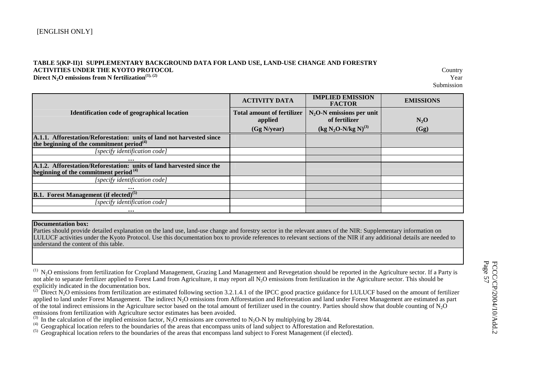#### **TABLE 5(KP-II)1 SUPPLEMENTARY BACKGROUND DATA FOR LAND USE, LAND-USE CHANGE AND FORESTRY ACTIVITIES UNDER THE KYOTO PROTOCOL** Country **Direct N<sub>2</sub>O emissions from N fertilization**<sup>(1), (2)</sup> Year

Submission

|                                                                       | <b>ACTIVITY DATA</b>              | <b>IMPLIED EMISSION</b><br><b>FACTOR</b> | <b>EMISSIONS</b> |
|-----------------------------------------------------------------------|-----------------------------------|------------------------------------------|------------------|
| <b>Identification code of geographical location</b>                   | <b>Total amount of fertilizer</b> | $N2$ O-N emissions per unit              |                  |
|                                                                       | applied                           | of fertilizer                            | $N_2O$           |
|                                                                       | (Gg N/year)                       | $(kg N_2O-N/kg N)^{(3)}$                 | (Gg)             |
| A.1.1. Afforestation/Reforestation: units of land not harvested since |                                   |                                          |                  |
| the beginning of the commitment period $^{(4)}$                       |                                   |                                          |                  |
| [specify identification code]                                         |                                   |                                          |                  |
| $\cdots$                                                              |                                   |                                          |                  |
| A.1.2. Afforestation/Reforestation: units of land harvested since the |                                   |                                          |                  |
| beginning of the commitment period $(4)$                              |                                   |                                          |                  |
| [specify identification code]                                         |                                   |                                          |                  |
| $\cdots$                                                              |                                   |                                          |                  |
| <b>B.1. Forest Management (if elected)</b> <sup>(5)</sup>             |                                   |                                          |                  |
| [specify identification code]                                         |                                   |                                          |                  |
| $\cdots$                                                              |                                   |                                          |                  |

#### **Documentation box:**

 Parties should provide detailed explanation on the land use, land-use change and forestry sector in the relevant annex of the NIR: Supplementary information on LULUCF activities under the Kyoto Protocol. Use this documentation box to provide references to relevant sections of the NIR if any additional details are needed to understand the content of this table.

<sup>(1)</sup> N<sub>2</sub>O emissions from fertilization for Cropland Management, Grazing Land Management and Revegetation should be reported in the Agriculture sector. If a Party is not able to separate fertilizer applied to Forest Land from Agriculture, it may report all  $N_2O$  emissions from fertilization in the Agriculture sector. This should be explicitly indicated in the documentation box.

<sup>&</sup>lt;sup>(2)</sup> Direct N<sub>2</sub>O emissions from fertilization are estimated following section 3.2.1.4.1 of the IPCC good practice guidance for LULUCF based on the amount of fertilizer applied to land under Forest Management. The indirect N<sub>2</sub>O emissions from Afforestation and Reforestation and land under Forest Management are estimated as part of the total indirect emissions in the Agriculture sector based on the total amount of fertilizer used in the country. Parties should show that double counting of  $N_2O$  emissions from fertilization with Agriculture secto

<sup>&</sup>lt;sup>(3)</sup> In the calculation of the implied emission factor, N<sub>2</sub>O emissions are converted to N<sub>2</sub>O-N by multiplying by 28/44.<br><sup>(4)</sup> Geographical location refers to the boundaries of the areas that encompass units of land sub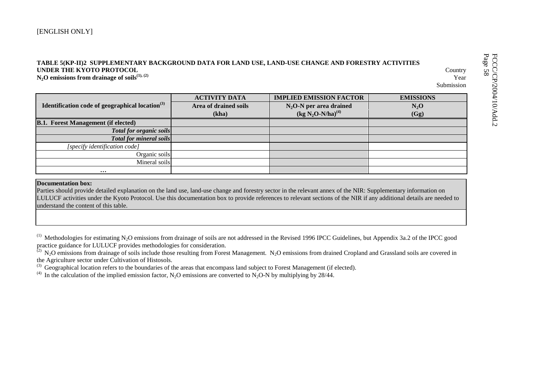| TABLE 5(KP-II)2 SUPPLEMENTARY BACKGROUND DATA FOR LAND USE, LAND-USE CHANGE AND FORESTRY ACTIVITIES<br>UNDER THE KYOTO PROTOCOL<br>Country<br>$N_2O$ emissions from drainage of soils <sup>(1), (2)</sup><br>Year<br>Submission |                       |                                |                  |  |  |  |  |  |  |  |  |
|---------------------------------------------------------------------------------------------------------------------------------------------------------------------------------------------------------------------------------|-----------------------|--------------------------------|------------------|--|--|--|--|--|--|--|--|
|                                                                                                                                                                                                                                 | <b>ACTIVITY DATA</b>  | <b>IMPLIED EMISSION FACTOR</b> | <b>EMISSIONS</b> |  |  |  |  |  |  |  |  |
| Identification code of geographical location <sup>(3)</sup>                                                                                                                                                                     | Area of drained soils | $N_2O-N$ per area drained      | $N_2O$           |  |  |  |  |  |  |  |  |
|                                                                                                                                                                                                                                 | (kha)                 | $(kg N_2O-N/ha)^{(4)}$         | (Gg)             |  |  |  |  |  |  |  |  |
| <b>B.1. Forest Management (if elected)</b>                                                                                                                                                                                      |                       |                                |                  |  |  |  |  |  |  |  |  |
| <b>Total for organic soils</b>                                                                                                                                                                                                  |                       |                                |                  |  |  |  |  |  |  |  |  |
| <b>Total for mineral soils</b>                                                                                                                                                                                                  |                       |                                |                  |  |  |  |  |  |  |  |  |
| [specify identification code]                                                                                                                                                                                                   |                       |                                |                  |  |  |  |  |  |  |  |  |
| Organic soils                                                                                                                                                                                                                   |                       |                                |                  |  |  |  |  |  |  |  |  |
| Mineral soils                                                                                                                                                                                                                   |                       |                                |                  |  |  |  |  |  |  |  |  |
| $\cdots$                                                                                                                                                                                                                        |                       |                                |                  |  |  |  |  |  |  |  |  |

#### **Documentation box:**

Parties should provide detailed explanation on the land use, land-use change and forestry sector in the relevant annex of the NIR: Supplementary information on LULUCF activities under the Kyoto Protocol. Use this documentation box to provide references to relevant sections of the NIR if any additional details are needed to understand the content of this table.

 $(1)$  Methodologies for estimating N<sub>2</sub>O emissions from drainage of soils are not addressed in the Revised 1996 IPCC Guidelines, but Appendix 3a.2 of the IPCC good practice guidance for LULUCF provides methodologies for consideration.

 $(2)$  N<sub>2</sub>O emissions from drainage of soils include those resulting from Forest Management. N<sub>2</sub>O emissions from drained Cropland and Grassland soils are covered in the Agriculture sector under Cultivation of Histosols.

 $^{(3)}$  Geographical location refers to the boundaries of the areas that encompass land subject to Forest Management (if elected).

<sup>(4)</sup> In the calculation of the implied emission factor, N<sub>2</sub>O emissions are converted to N<sub>2</sub>O-N by multiplying by 28/44.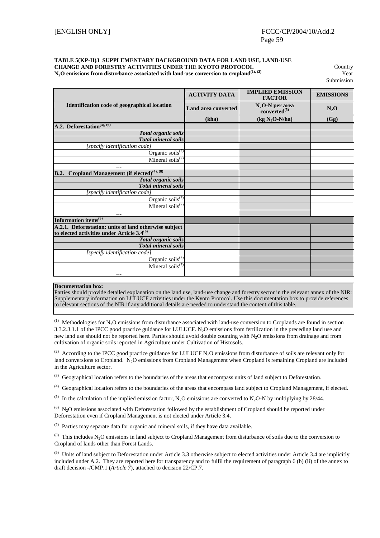## **TABLE 5(KP-II)3 SUPPLEMENTARY BACKGROUND DATA FOR LAND USE, LAND-USE CHANGE AND FORESTRY ACTIVITIES UNDER THE KYOTO PROTOCOL** Country **N2O emissions from disturbance associated with land-use conversion to cropland(1), (2)** Year

**Submission** 

|                                                             | <b>ACTIVITY DATA</b>       | <b>IMPLIED EMISSION</b><br><b>FACTOR</b>      | <b>EMISSIONS</b> |
|-------------------------------------------------------------|----------------------------|-----------------------------------------------|------------------|
| Identification code of geographical location                | <b>Land area converted</b> | $N_2O-N$ per area<br>converted <sup>(5)</sup> | $N_2O$           |
|                                                             | (kha)                      | $(kg N2O-N/ha)$                               | (Gg)             |
| A.2. Deforestation <sup>(3), (6)</sup>                      |                            |                                               |                  |
| <b>Total organic soils</b>                                  |                            |                                               |                  |
| <b>Total mineral soils</b>                                  |                            |                                               |                  |
| [specify identification code]                               |                            |                                               |                  |
| Organic soils <sup>(7)</sup>                                |                            |                                               |                  |
| Mineral soils <sup>(7)</sup>                                |                            |                                               |                  |
|                                                             |                            |                                               |                  |
| Cropland Management (if elected) $(4)$ , $(8)$<br>B.2.      |                            |                                               |                  |
| <b>Total organic soils</b>                                  |                            |                                               |                  |
| <b>Total mineral soils</b>                                  |                            |                                               |                  |
| [specify identification code]                               |                            |                                               |                  |
| Organic soils $(7)$                                         |                            |                                               |                  |
| Mineral soils <sup><math>(7)</math></sup>                   |                            |                                               |                  |
| $\ddotsc$                                                   |                            |                                               |                  |
| Information items <sup>(9)</sup>                            |                            |                                               |                  |
| A.2.1. Deforestation: units of land otherwise subject       |                            |                                               |                  |
| to elected activities under Article 3.4 <sup>(6)</sup>      |                            |                                               |                  |
| <b>Total organic soils</b>                                  |                            |                                               |                  |
| <b>Total mineral soils</b><br>[specify identification code] |                            |                                               |                  |
| Organic soils <sup><math>(7)</math></sup>                   |                            |                                               |                  |
| Mineral soils $(7)$                                         |                            |                                               |                  |
|                                                             |                            |                                               |                  |
| $\ddotsc$                                                   |                            |                                               |                  |

#### **Documentation box:**

Parties should provide detailed explanation on the land use, land-use change and forestry sector in the relevant annex of the NIR: Supplementary information on LULUCF activities under the Kyoto Protocol. Use this documentation box to provide references to relevant sections of the NIR if any additional details are needed to understand the content of this table.

 $^{(1)}$  Methodologies for N<sub>2</sub>O emissions from disturbance associated with land-use conversion to Croplands are found in section 3.3.2.3.1.1 of the IPCC good practice guidance for LULUCF. N<sub>2</sub>O emissions from fertilization in the preceding land use and new land use should not be reported here. Parties should avoid double counting with N2O emissions from drainage and from cultivation of organic soils reported in Agriculture under Cultivation of Histosols.

(2) According to the IPCC good practice guidance for LULUCF N<sub>2</sub>O emissions from disturbance of soils are relevant only for land conversions to Cropland. N<sub>2</sub>O emissions from Cropland Management when Cropland is remaining Cropland are included in the Agriculture sector.

<sup>(3)</sup> Geographical location refers to the boundaries of the areas that encompass units of land subject to Deforestation.

(4) Geographical location refers to the boundaries of the areas that encompass land subject to Cropland Management, if elected.

<sup>(5)</sup> In the calculation of the implied emission factor, N<sub>2</sub>O emissions are converted to N<sub>2</sub>O-N by multiplying by 28/44.

 $^{(6)}$  N<sub>2</sub>O emissions associated with Deforestation followed by the establishment of Cropland should be reported under Deforestation even if Cropland Management is not elected under Article 3.4.

 $(7)$  Parties may separate data for organic and mineral soils, if they have data available.

 $(8)$  This includes N<sub>2</sub>O emissions in land subject to Cropland Management from disturbance of soils due to the conversion to Cropland of lands other than Forest Lands.

 $^{(9)}$  Units of land subject to Deforestation under Article 3.3 otherwise subject to elected activities under Article 3.4 are implicitly included under A.2. They are reported here for transparency and to fulfil the requirement of paragraph 6 (b) (ii) of the annex to draft decision -/CMP.1 (*Article 7*), attached to decision 22/CP.7.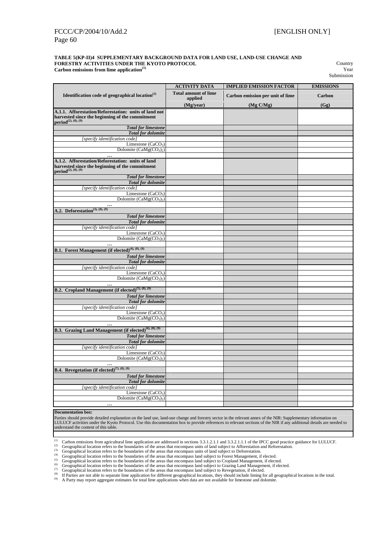#### **TABLE 5(KP-II)4 SUPPLEMENTARY BACKGROUND DATA FOR LAND USE, LAND-USE CHANGE AND FORESTRY ACTIVITIES UNDER THE KYOTO PROTOCOL** Country **Carbon emissions from lime application**<sup>(1)</sup> Year

Submission

|                                                                                                                                                      | <b>ACTIVITY DATA</b>        | <b>IMPLIED EMISSION FACTOR</b>   | <b>EMISSIONS</b> |
|------------------------------------------------------------------------------------------------------------------------------------------------------|-----------------------------|----------------------------------|------------------|
| Identification code of geographical location $(2)$                                                                                                   | <b>Total amount of lime</b> | Carbon emission per unit of lime | Carbon           |
|                                                                                                                                                      | applied                     |                                  |                  |
|                                                                                                                                                      | (Mg/year)                   | (Mg C/Mg)                        | (Gg)             |
| A.1.1. Afforestation/Reforestation: units of land not<br>harvested since the beginning of the commitment period $^{(2),(8),(9)}$                     |                             |                                  |                  |
| <b>Total for limestone</b>                                                                                                                           |                             |                                  |                  |
| <b>Total for dolomite</b>                                                                                                                            |                             |                                  |                  |
| [specify identification code]                                                                                                                        |                             |                                  |                  |
| Limestone (CaCO <sub>3</sub> )                                                                                                                       |                             |                                  |                  |
| Dolomite $(CaMg(CO3)2)$                                                                                                                              |                             |                                  |                  |
| $\ddotsc$<br>A.1.2. Afforestation/Reforestation: units of land<br>harvested since the beginning of the commitment<br>period <sup>(2), (8), (9)</sup> |                             |                                  |                  |
| <b>Total for limestone</b>                                                                                                                           |                             |                                  |                  |
| <b>Total</b> for dolomite                                                                                                                            |                             |                                  |                  |
| [specify identification code]                                                                                                                        |                             |                                  |                  |
| Limestone $(CaCO3)$                                                                                                                                  |                             |                                  |                  |
| Dolomite $(CaMg(CO_3)_2)$                                                                                                                            |                             |                                  |                  |
| A.2. Deforestation <sup>(3), (8), (9)</sup>                                                                                                          |                             |                                  |                  |
| <b>Total for limestone</b>                                                                                                                           |                             |                                  |                  |
| <b>Total for dolomite</b>                                                                                                                            |                             |                                  |                  |
| [specify identification code]                                                                                                                        |                             |                                  |                  |
| Limestone $(CaCO3)$                                                                                                                                  |                             |                                  |                  |
| Dolomite $(CaMg(CO_3)_2)$                                                                                                                            |                             |                                  |                  |
|                                                                                                                                                      |                             |                                  |                  |
| B.1. Forest Management (if elected) <sup>(4), (8), (9)</sup>                                                                                         |                             |                                  |                  |
| <b>Total for limestone</b>                                                                                                                           |                             |                                  |                  |
| <b>Total for dolomite</b><br>[specify identification code]                                                                                           |                             |                                  |                  |
| Limestone $(CaCO3)$                                                                                                                                  |                             |                                  |                  |
| Dolomite $(CaMg(CO3)2)$                                                                                                                              |                             |                                  |                  |
|                                                                                                                                                      |                             |                                  |                  |
| B.2. Cropland Management (if elected) <sup>(5), (8), (9)</sup>                                                                                       |                             |                                  |                  |
| <b>Total for limestone</b>                                                                                                                           |                             |                                  |                  |
| <b>Total for dolomite</b>                                                                                                                            |                             |                                  |                  |
| [specify identification code]                                                                                                                        |                             |                                  |                  |
| Limestone $(CaCO3)$<br>Dolomite $(CaMg(CO3)2)$                                                                                                       |                             |                                  |                  |
|                                                                                                                                                      |                             |                                  |                  |
| B.3. Grazing Land Management (if elected) <sup>(6), (8), (9)</sup>                                                                                   |                             |                                  |                  |
| <b>Total for limestone</b>                                                                                                                           |                             |                                  |                  |
| <b>Total for dolomite</b>                                                                                                                            |                             |                                  |                  |
| [specify identification code]                                                                                                                        |                             |                                  |                  |
| Limestone $(CaCO3)$                                                                                                                                  |                             |                                  |                  |
| Dolomite $(CaMg(CO_3)_2)$                                                                                                                            |                             |                                  |                  |
| $\cdots$<br><b>B.4.</b> Revegetation (if elected) <sup>(7), (8), (9)</sup>                                                                           |                             |                                  |                  |
|                                                                                                                                                      |                             |                                  |                  |
| <b>Total for limestone</b><br><b>Total for dolomite</b>                                                                                              |                             |                                  |                  |
| [specify identification code]                                                                                                                        |                             |                                  |                  |
| Limestone $(CaCO3)$                                                                                                                                  |                             |                                  |                  |
| Dolomite $(CaMg(CO3)2)$                                                                                                                              |                             |                                  |                  |
| $\cdots$                                                                                                                                             |                             |                                  |                  |

#### **Documentation box:**

Parties should provide detailed explanation on the land use, land-use change and forestry sector in the relevant annex of the NIR: Supplementary information on LULUCF activities under the Kyoto Protocol. Use this documentation box to provide references to relevant sections of the NIR if any additional details are needed to understand the content of this table.

(1) Carbon emissions from agricultural lime application are addressed in sections 3.3.1.2.1.1 and 3.3.2.1.1.1 of the IPCC good practice guidance for LULUCF.<br>
(2) Geographical location refers to the boundaries of the areas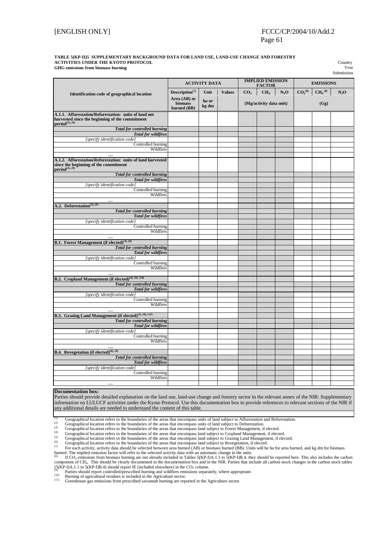#### [ENGLISH ONLY] FCCC/CP/2004/10/Add.2 Page 61

#### **TABLE 5(KP-II)5 SUPPLEMENTARY BACKGROUND DATA FOR LAND USE, LAND-USE CHANGE AND FORESTRY ACTIVITIES UNDER THE KYOTO PROTOCOL Country GHG** emissions from biomass burning

|                                                                                                                                    |                                                             | <b>ACTIVITY DATA</b>   |               |                                                                         | <b>IMPLIED EMISSION</b> |  | Submission<br><b>EMISSIONS</b> |        |  |  |
|------------------------------------------------------------------------------------------------------------------------------------|-------------------------------------------------------------|------------------------|---------------|-------------------------------------------------------------------------|-------------------------|--|--------------------------------|--------|--|--|
|                                                                                                                                    |                                                             |                        |               |                                                                         | <b>FACTOR</b>           |  |                                |        |  |  |
| <b>Identification code of geographical location</b>                                                                                | Description $(7)$<br>Area (AB) or<br>biomass<br>burned (BB) | Unit<br>ha or<br>kg dm | <b>Values</b> | CO <sub>2</sub><br>CH <sub>4</sub><br>$N_2O$<br>(Mg/activity data unit) |                         |  | CO <sub>2</sub> <sup>(8)</sup> | $N_2O$ |  |  |
| A.1.1. Afforestation/Reforestation: units of land not<br>harvested since the beginning of the commitment<br>period $^{(1), (9)}$   |                                                             |                        |               |                                                                         |                         |  |                                |        |  |  |
| <b>Total for controlled burning</b>                                                                                                |                                                             |                        |               |                                                                         |                         |  |                                |        |  |  |
| <b>Total for wildfires</b>                                                                                                         |                                                             |                        |               |                                                                         |                         |  |                                |        |  |  |
| [specify identification code]                                                                                                      |                                                             |                        |               |                                                                         |                         |  |                                |        |  |  |
| Controlled burning<br>Wildfires                                                                                                    |                                                             |                        |               |                                                                         |                         |  |                                |        |  |  |
|                                                                                                                                    |                                                             |                        |               |                                                                         |                         |  |                                |        |  |  |
| A.1.2. Afforestation/Reforestation: units of land harvested<br>since the beginning of the commitment<br>period <sup>(1), (9)</sup> |                                                             |                        |               |                                                                         |                         |  |                                |        |  |  |
| <b>Total for controlled burning</b>                                                                                                |                                                             |                        |               |                                                                         |                         |  |                                |        |  |  |
| <b>Total for wildfires</b>                                                                                                         |                                                             |                        |               |                                                                         |                         |  |                                |        |  |  |
| [specify identification code]                                                                                                      |                                                             |                        |               |                                                                         |                         |  |                                |        |  |  |
| Controlled burning                                                                                                                 |                                                             |                        |               |                                                                         |                         |  |                                |        |  |  |
| Wildfires                                                                                                                          |                                                             |                        |               |                                                                         |                         |  |                                |        |  |  |
| $\cdots$                                                                                                                           |                                                             |                        |               |                                                                         |                         |  |                                |        |  |  |
| A.2. Deforestation <sup>(2), (9)</sup>                                                                                             |                                                             |                        |               |                                                                         |                         |  |                                |        |  |  |
| <b>Total for controlled burning</b><br><b>Total for wildfires</b>                                                                  |                                                             |                        |               |                                                                         |                         |  |                                |        |  |  |
| [specify identification code]                                                                                                      |                                                             |                        |               |                                                                         |                         |  |                                |        |  |  |
| Controlled burning                                                                                                                 |                                                             |                        |               |                                                                         |                         |  |                                |        |  |  |
| Wildfires                                                                                                                          |                                                             |                        |               |                                                                         |                         |  |                                |        |  |  |
|                                                                                                                                    |                                                             |                        |               |                                                                         |                         |  |                                |        |  |  |
| B.1. Forest Management (if elected) <sup>(3), (9)</sup>                                                                            |                                                             |                        |               |                                                                         |                         |  |                                |        |  |  |
| <b>Total for controlled burning</b>                                                                                                |                                                             |                        |               |                                                                         |                         |  |                                |        |  |  |
| <b>Total for wildfires</b>                                                                                                         |                                                             |                        |               |                                                                         |                         |  |                                |        |  |  |
| [specify identification code]                                                                                                      |                                                             |                        |               |                                                                         |                         |  |                                |        |  |  |
| Controlled burning                                                                                                                 |                                                             |                        |               |                                                                         |                         |  |                                |        |  |  |
| Wildfires                                                                                                                          |                                                             |                        |               |                                                                         |                         |  |                                |        |  |  |
|                                                                                                                                    |                                                             |                        |               |                                                                         |                         |  |                                |        |  |  |
| B.2. Cropland Management (if elected) <sup>(4), (9), (10)</sup>                                                                    |                                                             |                        |               |                                                                         |                         |  |                                |        |  |  |
| <b>Total for controlled burning</b>                                                                                                |                                                             |                        |               |                                                                         |                         |  |                                |        |  |  |
| <b>Total for wildfires</b>                                                                                                         |                                                             |                        |               |                                                                         |                         |  |                                |        |  |  |
| [specify identification code]<br>Controlled burning                                                                                |                                                             |                        |               |                                                                         |                         |  |                                |        |  |  |
| Wildfires                                                                                                                          |                                                             |                        |               |                                                                         |                         |  |                                |        |  |  |
| $\cdots$                                                                                                                           |                                                             |                        |               |                                                                         |                         |  |                                |        |  |  |
| B.3. Grazing Land Management (if elected) <sup>(5), (9), (11)</sup>                                                                |                                                             |                        |               |                                                                         |                         |  |                                |        |  |  |
| <b>Total for controlled burning</b>                                                                                                |                                                             |                        |               |                                                                         |                         |  |                                |        |  |  |
| <b>Total for wildfires</b>                                                                                                         |                                                             |                        |               |                                                                         |                         |  |                                |        |  |  |
| [specify identification code]                                                                                                      |                                                             |                        |               |                                                                         |                         |  |                                |        |  |  |
| Controlled burning                                                                                                                 |                                                             |                        |               |                                                                         |                         |  |                                |        |  |  |
| Wildfires                                                                                                                          |                                                             |                        |               |                                                                         |                         |  |                                |        |  |  |
|                                                                                                                                    |                                                             |                        |               |                                                                         |                         |  |                                |        |  |  |
| B.4. Revegetation (if elected) <sup>(6), (9)</sup>                                                                                 |                                                             |                        |               |                                                                         |                         |  |                                |        |  |  |
| <b>Total for controlled burning</b>                                                                                                |                                                             |                        |               |                                                                         |                         |  |                                |        |  |  |
| <b>Total for wildfires</b>                                                                                                         |                                                             |                        |               |                                                                         |                         |  |                                |        |  |  |
| [specify identification code                                                                                                       |                                                             |                        |               |                                                                         |                         |  |                                |        |  |  |
| Controlled burning                                                                                                                 |                                                             |                        |               |                                                                         |                         |  |                                |        |  |  |
| Wildfires                                                                                                                          |                                                             |                        |               |                                                                         |                         |  |                                |        |  |  |
| $\cdots$                                                                                                                           |                                                             |                        |               |                                                                         |                         |  |                                |        |  |  |

#### **Documentation box:**

Parties should provide detailed explanation on the land use, land-use change and forestry sector in the relevant annex of the NIR: Supplementary information on LULUCF activities under the Kyoto Protocol. Use this documentation box to provide references to relevant sections of the NIR if any additional details are needed to understand the content of this table.

<sup>(1)</sup> Geographical location refers to the boundaries of the areas that encompass units of land subject to Afforestation and Reforestation.<br>
(2) Geographical location refers to the boundaries of the areas that encompass un

burned. The implied emission factor will refer to the selected activity data with an automatic change in the units.<br><sup>(8)</sup> If CO<sub>2</sub> emissions from biomass burning are not already included in Tables 5(KP-I)A.1.1 to 5(KP-I)B. component of CH<sub>4</sub>. This should be clearly documented in the documentation box and in the NIR. Parties that include all carbon stock changes in the carbon stock tables (5) (SKP-I)A.1.1 to 5(KP-I)B.4) should report IE (inc

 $\frac{my}{\text{Year}}$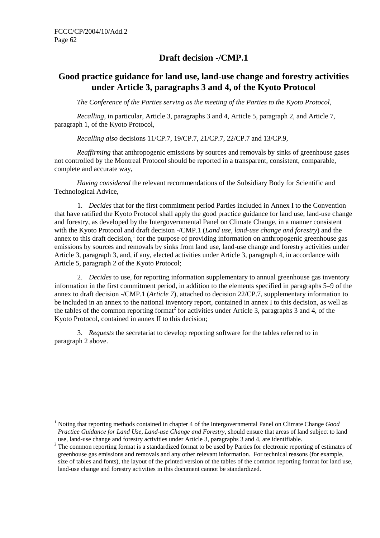# **Draft decision -/CMP.1**

# **Good practice guidance for land use, land-use change and forestry activities under Article 3, paragraphs 3 and 4, of the Kyoto Protocol**

*The Conference of the Parties serving as the meeting of the Parties to the Kyoto Protocol,* 

*Recalling*, in particular, Article 3, paragraphs 3 and 4, Article 5, paragraph 2, and Article 7, paragraph 1, of the Kyoto Protocol,

*Recalling also* decisions 11/CP.7, 19/CP.7, 21/CP.7, 22/CP.7 and 13/CP.9,

*Reaffirming* that anthropogenic emissions by sources and removals by sinks of greenhouse gases not controlled by the Montreal Protocol should be reported in a transparent, consistent, comparable, complete and accurate way,

*Having considered* the relevant recommendations of the Subsidiary Body for Scientific and Technological Advice,

1. *Decides* that for the first commitment period Parties included in Annex I to the Convention that have ratified the Kyoto Protocol shall apply the good practice guidance for land use, land-use change and forestry, as developed by the Intergovernmental Panel on Climate Change, in a manner consistent with the Kyoto Protocol and draft decision -/CMP.1 (*Land use, land-use change and forestry*) and the annex to this draft decision, $<sup>1</sup>$  for the purpose of providing information on anthropogenic greenhouse gas</sup> emissions by sources and removals by sinks from land use, land-use change and forestry activities under Article 3, paragraph 3, and, if any, elected activities under Article 3, paragraph 4, in accordance with Article 5, paragraph 2 of the Kyoto Protocol;

2. *Decides* to use, for reporting information supplementary to annual greenhouse gas inventory information in the first commitment period, in addition to the elements specified in paragraphs 5–9 of the annex to draft decision -/CMP.1 (*Article 7*), attached to decision 22/CP.7, supplementary information to be included in an annex to the national inventory report, contained in annex I to this decision, as well as the tables of the common reporting format<sup>2</sup> for activities under Article 3, paragraphs 3 and 4, of the Kyoto Protocol, contained in annex II to this decision;

3. *Requests* the secretariat to develop reporting software for the tables referred to in paragraph 2 above.

 $\overline{a}$ <sup>1</sup> Noting that reporting methods contained in chapter 4 of the Intergovernmental Panel on Climate Change *Good Practice Guidance for Land Use, Land-use Change and Forestry*, should ensure that areas of land subject to land use, land-use change and forestry activities under Article 3, paragraphs 3 and 4, are identifiable.

 $2$  The common reporting format is a standardized format to be used by Parties for electronic reporting of estimates of greenhouse gas emissions and removals and any other relevant information. For technical reasons (for example, size of tables and fonts), the layout of the printed version of the tables of the common reporting format for land use, land-use change and forestry activities in this document cannot be standardized.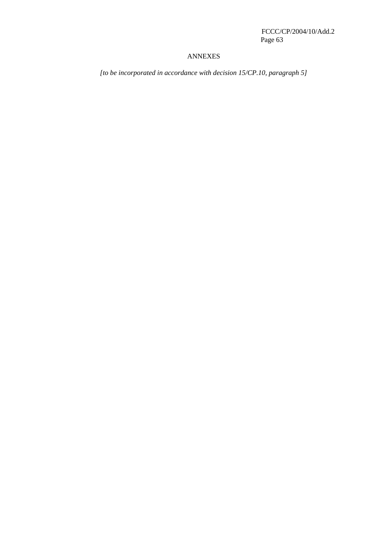## ANNEXES

*[to be incorporated in accordance with decision 15/CP.10, paragraph 5]*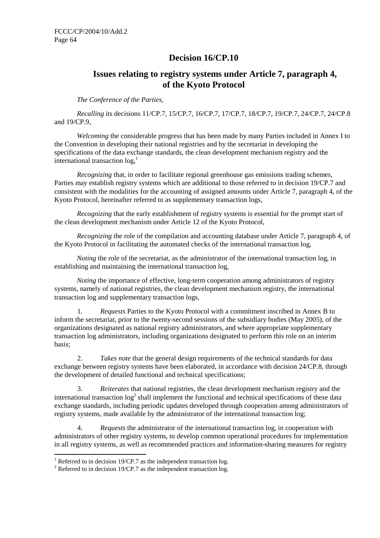# **Decision 16/CP.10**

# **Issues relating to registry systems under Article 7, paragraph 4, of the Kyoto Protocol**

*The Conference of the Parties,* 

*Recalling* its decisions 11/CP.7, 15/CP.7, 16/CP.7, 17/CP.7, 18/CP.7, 19/CP.7, 24/CP.7, 24/CP.8 and 19/CP.9,

*Welcoming* the considerable progress that has been made by many Parties included in Annex I to the Convention in developing their national registries and by the secretariat in developing the specifications of the data exchange standards, the clean development mechanism registry and the international transaction  $log<sub>1</sub><sup>1</sup>$ 

*Recognizing* that, in order to facilitate regional greenhouse gas emissions trading schemes, Parties may establish registry systems which are additional to those referred to in decision 19/CP.7 and consistent with the modalities for the accounting of assigned amounts under Article 7, paragraph 4, of the Kyoto Protocol, hereinafter referred to as supplementary transaction logs,

*Recognizing* that the early establishment of registry systems is essential for the prompt start of the clean development mechanism under Article 12 of the Kyoto Protocol,

*Recognizing* the role of the compilation and accounting database under Article 7, paragraph 4, of the Kyoto Protocol in facilitating the automated checks of the international transaction log,

*Noting* the role of the secretariat, as the administrator of the international transaction log, in establishing and maintaining the international transaction log,

*Noting* the importance of effective, long-term cooperation among administrators of registry systems, namely of national registries, the clean development mechanism registry, the international transaction log and supplementary transaction logs,

1. *Requests* Parties to the Kyoto Protocol with a commitment inscribed in Annex B to inform the secretariat, prior to the twenty-second sessions of the subsidiary bodies (May 2005), of the organizations designated as national registry administrators, and where appropriate supplementary transaction log administrators, including organizations designated to perform this role on an interim basis;

2. *Takes note* that the general design requirements of the technical standards for data exchange between registry systems have been elaborated, in accordance with decision 24/CP.8, through the development of detailed functional and technical specifications;

3. *Reiterates* that national registries, the clean development mechanism registry and the international transaction  $\log^2$  shall implement the functional and technical specifications of these data exchange standards, including periodic updates developed through cooperation among administrators of registry systems, made available by the administrator of the international transaction log;

4. *Requests* the administrator of the international transaction log, in cooperation with administrators of other registry systems, to develop common operational procedures for implementation in all registry systems, as well as recommended practices and information-sharing measures for registry

 $\overline{a}$ 

<sup>&</sup>lt;sup>1</sup> Referred to in decision 19/CP.7 as the independent transaction log.

<sup>&</sup>lt;sup>2</sup> Referred to in decision 19/CP.7 as the independent transaction log.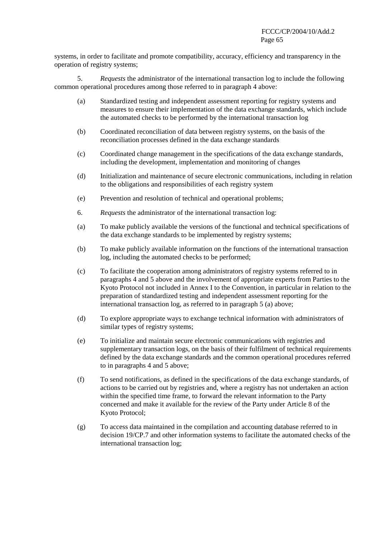systems, in order to facilitate and promote compatibility, accuracy, efficiency and transparency in the operation of registry systems;

5. *Requests* the administrator of the international transaction log to include the following common operational procedures among those referred to in paragraph 4 above:

- (a) Standardized testing and independent assessment reporting for registry systems and measures to ensure their implementation of the data exchange standards, which include the automated checks to be performed by the international transaction log
- (b) Coordinated reconciliation of data between registry systems, on the basis of the reconciliation processes defined in the data exchange standards
- (c) Coordinated change management in the specifications of the data exchange standards, including the development, implementation and monitoring of changes
- (d) Initialization and maintenance of secure electronic communications, including in relation to the obligations and responsibilities of each registry system
- (e) Prevention and resolution of technical and operational problems;
- 6. *Requests* the administrator of the international transaction log:
- (a) To make publicly available the versions of the functional and technical specifications of the data exchange standards to be implemented by registry systems;
- (b) To make publicly available information on the functions of the international transaction log, including the automated checks to be performed;
- (c) To facilitate the cooperation among administrators of registry systems referred to in paragraphs 4 and 5 above and the involvement of appropriate experts from Parties to the Kyoto Protocol not included in Annex I to the Convention, in particular in relation to the preparation of standardized testing and independent assessment reporting for the international transaction log, as referred to in paragraph 5 (a) above;
- (d) To explore appropriate ways to exchange technical information with administrators of similar types of registry systems;
- (e) To initialize and maintain secure electronic communications with registries and supplementary transaction logs, on the basis of their fulfilment of technical requirements defined by the data exchange standards and the common operational procedures referred to in paragraphs 4 and 5 above;
- (f) To send notifications, as defined in the specifications of the data exchange standards, of actions to be carried out by registries and, where a registry has not undertaken an action within the specified time frame, to forward the relevant information to the Party concerned and make it available for the review of the Party under Article 8 of the Kyoto Protocol;
- (g) To access data maintained in the compilation and accounting database referred to in decision 19/CP.7 and other information systems to facilitate the automated checks of the international transaction log;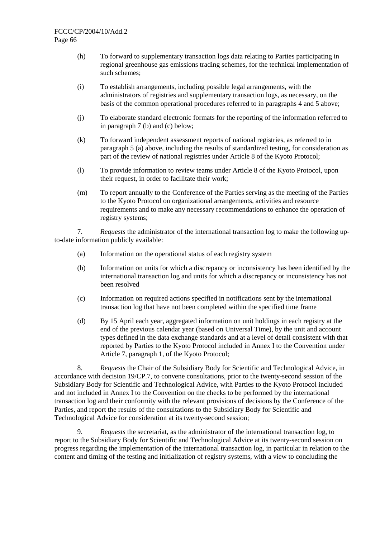- (h) To forward to supplementary transaction logs data relating to Parties participating in regional greenhouse gas emissions trading schemes, for the technical implementation of such schemes;
- (i) To establish arrangements, including possible legal arrangements, with the administrators of registries and supplementary transaction logs, as necessary, on the basis of the common operational procedures referred to in paragraphs 4 and 5 above;
- (j) To elaborate standard electronic formats for the reporting of the information referred to in paragraph 7 (b) and (c) below;
- (k) To forward independent assessment reports of national registries, as referred to in paragraph 5 (a) above, including the results of standardized testing, for consideration as part of the review of national registries under Article 8 of the Kyoto Protocol;
- (l) To provide information to review teams under Article 8 of the Kyoto Protocol, upon their request, in order to facilitate their work;
- (m) To report annually to the Conference of the Parties serving as the meeting of the Parties to the Kyoto Protocol on organizational arrangements, activities and resource requirements and to make any necessary recommendations to enhance the operation of registry systems;

7. *Requests* the administrator of the international transaction log to make the following upto-date information publicly available:

- (a) Information on the operational status of each registry system
- (b) Information on units for which a discrepancy or inconsistency has been identified by the international transaction log and units for which a discrepancy or inconsistency has not been resolved
- (c) Information on required actions specified in notifications sent by the international transaction log that have not been completed within the specified time frame
- (d) By 15 April each year, aggregated information on unit holdings in each registry at the end of the previous calendar year (based on Universal Time), by the unit and account types defined in the data exchange standards and at a level of detail consistent with that reported by Parties to the Kyoto Protocol included in Annex I to the Convention under Article 7, paragraph 1, of the Kyoto Protocol;

8. *Requests* the Chair of the Subsidiary Body for Scientific and Technological Advice, in accordance with decision 19/CP.7, to convene consultations, prior to the twenty-second session of the Subsidiary Body for Scientific and Technological Advice, with Parties to the Kyoto Protocol included and not included in Annex I to the Convention on the checks to be performed by the international transaction log and their conformity with the relevant provisions of decisions by the Conference of the Parties, and report the results of the consultations to the Subsidiary Body for Scientific and Technological Advice for consideration at its twenty-second session;

9. *Requests* the secretariat, as the administrator of the international transaction log, to report to the Subsidiary Body for Scientific and Technological Advice at its twenty-second session on progress regarding the implementation of the international transaction log, in particular in relation to the content and timing of the testing and initialization of registry systems, with a view to concluding the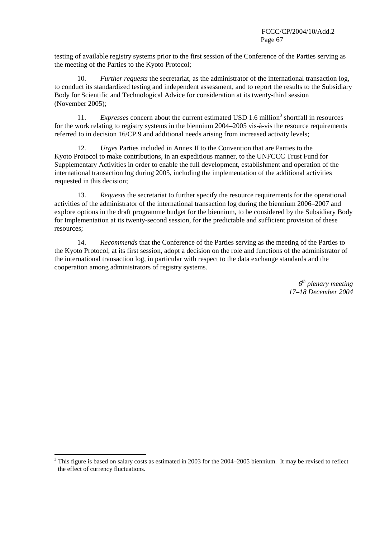testing of available registry systems prior to the first session of the Conference of the Parties serving as the meeting of the Parties to the Kyoto Protocol;

10. *Further requests* the secretariat, as the administrator of the international transaction log, to conduct its standardized testing and independent assessment, and to report the results to the Subsidiary Body for Scientific and Technological Advice for consideration at its twenty-third session (November 2005);

11. Expresses concern about the current estimated USD 1.6 million<sup>3</sup> shortfall in resources for the work relating to registry systems in the biennium 2004–2005 vis-à-vis the resource requirements referred to in decision 16/CP.9 and additional needs arising from increased activity levels;

12. *Urges* Parties included in Annex II to the Convention that are Parties to the Kyoto Protocol to make contributions, in an expeditious manner, to the UNFCCC Trust Fund for Supplementary Activities in order to enable the full development, establishment and operation of the international transaction log during 2005, including the implementation of the additional activities requested in this decision;

13. *Requests* the secretariat to further specify the resource requirements for the operational activities of the administrator of the international transaction log during the biennium 2006–2007 and explore options in the draft programme budget for the biennium, to be considered by the Subsidiary Body for Implementation at its twenty-second session, for the predictable and sufficient provision of these resources;

14. *Recommends* that the Conference of the Parties serving as the meeting of the Parties to the Kyoto Protocol, at its first session, adopt a decision on the role and functions of the administrator of the international transaction log, in particular with respect to the data exchange standards and the cooperation among administrators of registry systems.

> *6th plenary meeting 17–18 December 2004*

<sup>&</sup>lt;sup>3</sup> This figure is based on salary costs as estimated in 2003 for the 2004–2005 biennium. It may be revised to reflect the effect of currency fluctuations.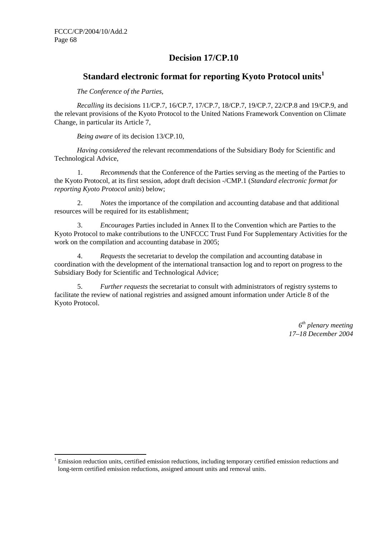$\overline{a}$ 

# **Decision 17/CP.10**

# **Standard electronic format for reporting Kyoto Protocol units<sup>1</sup>**

*The Conference of the Parties,* 

*Recalling* its decisions 11/CP.7, 16/CP.7, 17/CP.7, 18/CP.7, 19/CP.7, 22/CP.8 and 19/CP.9, and the relevant provisions of the Kyoto Protocol to the United Nations Framework Convention on Climate Change, in particular its Article 7,

*Being aware* of its decision 13/CP.10,

*Having considered* the relevant recommendations of the Subsidiary Body for Scientific and Technological Advice,

1. *Recommends* that the Conference of the Parties serving as the meeting of the Parties to the Kyoto Protocol, at its first session, adopt draft decision -/CMP.1 (*Standard electronic format for reporting Kyoto Protocol units*) below;

2. *Notes* the importance of the compilation and accounting database and that additional resources will be required for its establishment;

3. *Encourages* Parties included in Annex II to the Convention which are Parties to the Kyoto Protocol to make contributions to the UNFCCC Trust Fund For Supplementary Activities for the work on the compilation and accounting database in 2005;

4. *Requests* the secretariat to develop the compilation and accounting database in coordination with the development of the international transaction log and to report on progress to the Subsidiary Body for Scientific and Technological Advice;

5. *Further requests* the secretariat to consult with administrators of registry systems to facilitate the review of national registries and assigned amount information under Article 8 of the Kyoto Protocol.

> *6th plenary meeting 17–18 December 2004*

<sup>1</sup> Emission reduction units, certified emission reductions, including temporary certified emission reductions and long-term certified emission reductions, assigned amount units and removal units.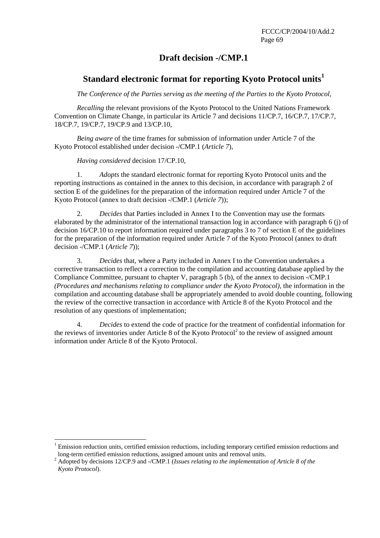# **Draft decision -/CMP.1**

# **Standard electronic format for reporting Kyoto Protocol units<sup>1</sup>**

*The Conference of the Parties serving as the meeting of the Parties to the Kyoto Protocol,* 

*Recalling* the relevant provisions of the Kyoto Protocol to the United Nations Framework Convention on Climate Change, in particular its Article 7 and decisions 11/CP.7, 16/CP.7, 17/CP.7, 18/CP.7, 19/CP.7, 19/CP.9 and 13/CP.10,

*Being aware* of the time frames for submission of information under Article 7 of the Kyoto Protocol established under decision -/CMP.1 (*Article 7*),

*Having considered* decision 17/CP.10,

 $\overline{a}$ 

1. *Adopts* the standard electronic format for reporting Kyoto Protocol units and the reporting instructions as contained in the annex to this decision, in accordance with paragraph 2 of section E of the guidelines for the preparation of the information required under Article 7 of the Kyoto Protocol (annex to draft decision -/CMP.1 (*Article 7*));

2. *Decides* that Parties included in Annex I to the Convention may use the formats elaborated by the administrator of the international transaction log in accordance with paragraph 6 (j) of decision 16/CP.10 to report information required under paragraphs 3 to 7 of section E of the guidelines for the preparation of the information required under Article 7 of the Kyoto Protocol (annex to draft decision -/CMP.1 (*Article 7*));

3. *Decides* that, where a Party included in Annex I to the Convention undertakes a corrective transaction to reflect a correction to the compilation and accounting database applied by the Compliance Committee, pursuant to chapter V, paragraph 5 (b), of the annex to decision -/CMP.1 *(Procedures and mechanisms relating to compliance under the Kyoto Protocol)*, the information in the compilation and accounting database shall be appropriately amended to avoid double counting, following the review of the corrective transaction in accordance with Article 8 of the Kyoto Protocol and the resolution of any questions of implementation;

4. *Decides* to extend the code of practice for the treatment of confidential information for the reviews of inventories under Article 8 of the Kyoto Protocol<sup>2</sup> to the review of assigned amount information under Article 8 of the Kyoto Protocol.

<sup>&</sup>lt;sup>1</sup> Emission reduction units, certified emission reductions, including temporary certified emission reductions and long-term certified emission reductions, assigned amount units and removal units.

<sup>2</sup> Adopted by decisions 12/CP.9 and -/CMP.1 (*Issues relating to the implementation of Article 8 of the Kyoto Protocol*).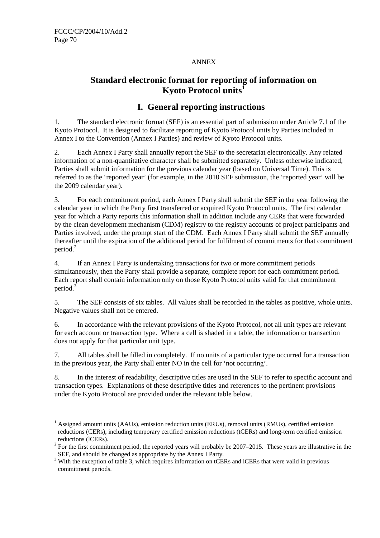## ANNEX

# **Standard electronic format for reporting of information on Kyoto Protocol units<sup>1</sup>**

# **I. General reporting instructions**

1. The standard electronic format (SEF) is an essential part of submission under Article 7.1 of the Kyoto Protocol. It is designed to facilitate reporting of Kyoto Protocol units by Parties included in Annex I to the Convention (Annex I Parties) and review of Kyoto Protocol units.

2. Each Annex I Party shall annually report the SEF to the secretariat electronically. Any related information of a non-quantitative character shall be submitted separately. Unless otherwise indicated, Parties shall submit information for the previous calendar year (based on Universal Time). This is referred to as the 'reported year' (for example, in the 2010 SEF submission, the 'reported year' will be the 2009 calendar year).

3. For each commitment period, each Annex I Party shall submit the SEF in the year following the calendar year in which the Party first transferred or acquired Kyoto Protocol units. The first calendar year for which a Party reports this information shall in addition include any CERs that were forwarded by the clean development mechanism (CDM) registry to the registry accounts of project participants and Parties involved, under the prompt start of the CDM. Each Annex I Party shall submit the SEF annually thereafter until the expiration of the additional period for fulfilment of commitments for that commitment period.<sup>2</sup>

4. If an Annex I Party is undertaking transactions for two or more commitment periods simultaneously, then the Party shall provide a separate, complete report for each commitment period. Each report shall contain information only on those Kyoto Protocol units valid for that commitment period.<sup>3</sup>

5. The SEF consists of six tables. All values shall be recorded in the tables as positive, whole units. Negative values shall not be entered.

6. In accordance with the relevant provisions of the Kyoto Protocol, not all unit types are relevant for each account or transaction type. Where a cell is shaded in a table, the information or transaction does not apply for that particular unit type.

7. All tables shall be filled in completely. If no units of a particular type occurred for a transaction in the previous year, the Party shall enter NO in the cell for 'not occurring'.

8. In the interest of readability, descriptive titles are used in the SEF to refer to specific account and transaction types. Explanations of these descriptive titles and references to the pertinent provisions under the Kyoto Protocol are provided under the relevant table below.

 $\overline{a}$ <sup>1</sup> Assigned amount units (AAUs), emission reduction units (ERUs), removal units (RMUs), certified emission reductions (CERs), including temporary certified emission reductions (tCERs) and long-term certified emission reductions (lCERs).

 $2^2$  For the first commitment period, the reported years will probably be 2007–2015. These years are illustrative in the SEF, and should be changed as appropriate by the Annex I Party.

<sup>&</sup>lt;sup>3</sup> With the exception of table 3, which requires information on tCERs and ICERs that were valid in previous commitment periods.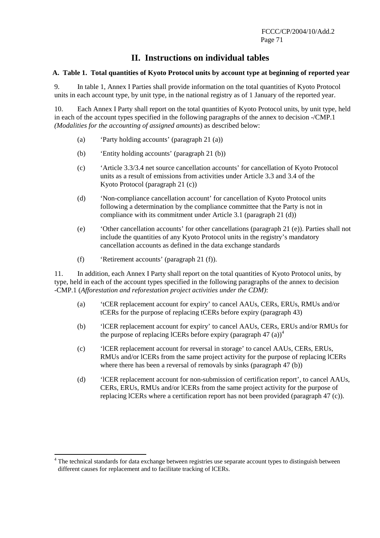# **II. Instructions on individual tables**

## **A. Table 1. Total quantities of Kyoto Protocol units by account type at beginning of reported year**

9. In table 1, Annex I Parties shall provide information on the total quantities of Kyoto Protocol units in each account type, by unit type, in the national registry as of 1 January of the reported year.

10. Each Annex I Party shall report on the total quantities of Kyoto Protocol units, by unit type, held in each of the account types specified in the following paragraphs of the annex to decision -/CMP.1 *(Modalities for the accounting of assigned amounts*) as described below:

- (a) 'Party holding accounts' (paragraph 21 (a))
- (b) 'Entity holding accounts' (paragraph 21 (b))
- (c) 'Article 3.3/3.4 net source cancellation accounts' for cancellation of Kyoto Protocol units as a result of emissions from activities under Article 3.3 and 3.4 of the Kyoto Protocol (paragraph 21 (c))
- (d) 'Non-compliance cancellation account' for cancellation of Kyoto Protocol units following a determination by the compliance committee that the Party is not in compliance with its commitment under Article 3.1 (paragraph 21 (d))
- (e) 'Other cancellation accounts' for other cancellations (paragraph 21 (e)). Parties shall not include the quantities of any Kyoto Protocol units in the registry's mandatory cancellation accounts as defined in the data exchange standards
- (f) 'Retirement accounts' (paragraph 21 (f)).

 $\overline{a}$ 

11. In addition, each Annex I Party shall report on the total quantities of Kyoto Protocol units, by type, held in each of the account types specified in the following paragraphs of the annex to decision -CMP.1 (*Afforestation and reforestation project activities under the CDM)*:

- (a) 'tCER replacement account for expiry' to cancel AAUs, CERs, ERUs, RMUs and/or tCERs for the purpose of replacing tCERs before expiry (paragraph 43)
- (b) 'lCER replacement account for expiry' to cancel AAUs, CERs, ERUs and/or RMUs for the purpose of replacing lCERs before expiry (paragraph 47  $(a)$ )<sup>4</sup>
- (c) 'lCER replacement account for reversal in storage' to cancel AAUs, CERs, ERUs, RMUs and/or lCERs from the same project activity for the purpose of replacing lCERs where there has been a reversal of removals by sinks (paragraph 47 (b))
- (d) 'lCER replacement account for non-submission of certification report', to cancel AAUs, CERs, ERUs, RMUs and/or lCERs from the same project activity for the purpose of replacing lCERs where a certification report has not been provided (paragraph 47 (c)).

<sup>&</sup>lt;sup>4</sup> The technical standards for data exchange between registries use separate account types to distinguish between different causes for replacement and to facilitate tracking of lCERs.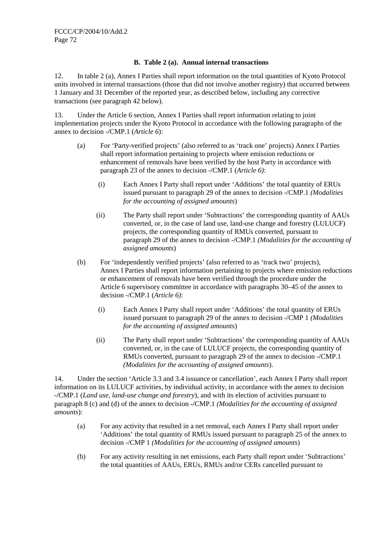## **B. Table 2 (a). Annual internal transactions**

12. In table 2 (a), Annex I Parties shall report information on the total quantities of Kyoto Protocol units involved in internal transactions (those that did not involve another registry) that occurred between 1 January and 31 December of the reported year, as described below, including any corrective transactions (see paragraph 42 below).

13. Under the Article 6 section, Annex I Parties shall report information relating to joint implementation projects under the Kyoto Protocol in accordance with the following paragraphs of the annex to decision -/CMP.1 (*Article 6*):

- (a) For 'Party-verified projects' (also referred to as 'track one' projects) Annex I Parties shall report information pertaining to projects where emission reductions or enhancement of removals have been verified by the host Party in accordance with paragraph 23 of the annex to decision -/CMP.1 (*Article 6)*:
	- (i) Each Annex I Party shall report under 'Additions' the total quantity of ERUs issued pursuant to paragraph 29 of the annex to decision -/CMP.1 *(Modalities for the accounting of assigned amounts*)
	- (ii) The Party shall report under 'Subtractions' the corresponding quantity of AAUs converted, or, in the case of land use, land-use change and forestry (LULUCF) projects, the corresponding quantity of RMUs converted, pursuant to paragraph 29 of the annex to decision -/CMP.1 *(Modalities for the accounting of assigned amounts*)
- (b) For 'independently verified projects' (also referred to as 'track two' projects), Annex I Parties shall report information pertaining to projects where emission reductions or enhancement of removals have been verified through the procedure under the Article 6 supervisory committee in accordance with paragraphs 30–45 of the annex to decision -/CMP.1 (*Article 6)*:
	- (i) Each Annex I Party shall report under 'Additions' the total quantity of ERUs issued pursuant to paragraph 29 of the annex to decision -/CMP 1 *(Modalities for the accounting of assigned amounts*)
	- (ii) The Party shall report under 'Subtractions' the corresponding quantity of AAUs converted, or, in the case of LULUCF projects, the corresponding quantity of RMUs converted, pursuant to paragraph 29 of the annex to decision -/CMP.1 *(Modalities for the accounting of assigned amounts*).

14. Under the section 'Article 3.3 and 3.4 issuance or cancellation', each Annex I Party shall report information on its LULUCF activities, by individual activity, in accordance with the annex to decision -/CMP.1 (*Land use, land-use change and forestry*), and with its election of activities pursuant to paragraph 8 (c) and (d) of the annex to decision -/CMP.1 *(Modalities for the accounting of assigned amounts*):

- (a) For any activity that resulted in a net removal, each Annex I Party shall report under 'Additions' the total quantity of RMUs issued pursuant to paragraph 25 of the annex to decision -/CMP 1 *(Modalities for the accounting of assigned amounts*)
- (b) For any activity resulting in net emissions, each Party shall report under 'Subtractions' the total quantities of AAUs, ERUs, RMUs and/or CERs cancelled pursuant to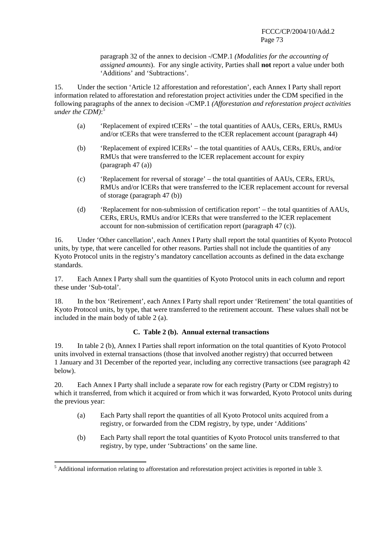paragraph 32 of the annex to decision -/CMP.1 *(Modalities for the accounting of assigned amounts*). For any single activity, Parties shall **not** report a value under both 'Additions' and 'Subtractions'.

15. Under the section 'Article 12 afforestation and reforestation', each Annex I Party shall report information related to afforestation and reforestation project activities under the CDM specified in the following paragraphs of the annex to decision -/CMP.1 *(Afforestation and reforestation project activities under the CDM)*: 5

- (a) 'Replacement of expired tCERs' the total quantities of AAUs, CERs, ERUs, RMUs and/or tCERs that were transferred to the tCER replacement account (paragraph 44)
- (b) 'Replacement of expired lCERs' the total quantities of AAUs, CERs, ERUs, and/or RMUs that were transferred to the lCER replacement account for expiry (paragraph 47 (a))
- (c) 'Replacement for reversal of storage' the total quantities of AAUs, CERs, ERUs, RMUs and/or lCERs that were transferred to the lCER replacement account for reversal of storage (paragraph 47 (b))
- (d) 'Replacement for non-submission of certification report' the total quantities of AAUs, CERs, ERUs, RMUs and/or lCERs that were transferred to the lCER replacement account for non-submission of certification report (paragraph 47 (c)).

16. Under 'Other cancellation', each Annex I Party shall report the total quantities of Kyoto Protocol units, by type, that were cancelled for other reasons. Parties shall not include the quantities of any Kyoto Protocol units in the registry's mandatory cancellation accounts as defined in the data exchange standards.

17. Each Annex I Party shall sum the quantities of Kyoto Protocol units in each column and report these under 'Sub-total'.

18. In the box 'Retirement', each Annex I Party shall report under 'Retirement' the total quantities of Kyoto Protocol units, by type, that were transferred to the retirement account. These values shall not be included in the main body of table 2 (a).

### **C. Table 2 (b). Annual external transactions**

19. In table 2 (b), Annex I Parties shall report information on the total quantities of Kyoto Protocol units involved in external transactions (those that involved another registry) that occurred between 1 January and 31 December of the reported year, including any corrective transactions (see paragraph 42 below).

20. Each Annex I Party shall include a separate row for each registry (Party or CDM registry) to which it transferred, from which it acquired or from which it was forwarded, Kyoto Protocol units during the previous year:

- (a) Each Party shall report the quantities of all Kyoto Protocol units acquired from a registry, or forwarded from the CDM registry, by type, under 'Additions'
- (b) Each Party shall report the total quantities of Kyoto Protocol units transferred to that registry, by type, under 'Subtractions' on the same line.

<sup>&</sup>lt;sup>5</sup> Additional information relating to afforestation and reforestation project activities is reported in table 3.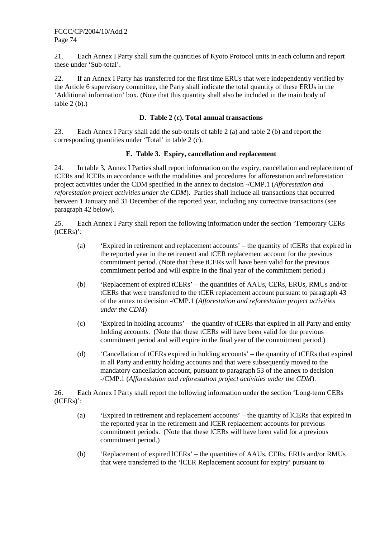21. Each Annex I Party shall sum the quantities of Kyoto Protocol units in each column and report these under 'Sub-total'.

22. If an Annex I Party has transferred for the first time ERUs that were independently verified by the Article 6 supervisory committee, the Party shall indicate the total quantity of these ERUs in the 'Additional information' box. (Note that this quantity shall also be included in the main body of table 2 (b).)

### **D. Table 2 (c). Total annual transactions**

23. Each Annex I Party shall add the sub-totals of table 2 (a) and table 2 (b) and report the corresponding quantities under 'Total' in table 2 (c).

### **E. Table 3. Expiry, cancellation and replacement**

24. In table 3, Annex I Parties shall report information on the expiry, cancellation and replacement of tCERs and lCERs in accordance with the modalities and procedures for afforestation and reforestation project activities under the CDM specified in the annex to decision -/CMP.1 (*Afforestation and reforestation project activities under the CDM*). Parties shall include all transactions that occurred between 1 January and 31 December of the reported year, including any corrective transactions (see paragraph 42 below).

25. Each Annex I Party shall report the following information under the section 'Temporary CERs (tCERs)':

- (a) 'Expired in retirement and replacement accounts' the quantity of tCERs that expired in the reported year in the retirement and tCER replacement account for the previous commitment period. (Note that these tCERs will have been valid for the previous commitment period and will expire in the final year of the commitment period.)
- (b) 'Replacement of expired tCERs' the quantities of AAUs, CERs, ERUs, RMUs and/or tCERs that were transferred to the tCER replacement account pursuant to paragraph 43 of the annex to decision -/CMP.1 (*Afforestation and reforestation project activities under the CDM*)
- (c) 'Expired in holding accounts' the quantity of tCERs that expired in all Party and entity holding accounts. (Note that these tCERs will have been valid for the previous commitment period and will expire in the final year of the commitment period.)
- (d) 'Cancellation of tCERs expired in holding accounts' the quantity of tCERs that expired in all Party and entity holding accounts and that were subsequently moved to the mandatory cancellation account, pursuant to paragraph 53 of the annex to decision -/CMP.1 (*Afforestation and reforestation project activities under the CDM*).

26. Each Annex I Party shall report the following information under the section 'Long-term CERs (lCERs)':

- (a) 'Expired in retirement and replacement accounts' the quantity of lCERs that expired in the reported year in the retirement and lCER replacement accounts for previous commitment periods. (Note that these lCERs will have been valid for a previous commitment period.)
- (b) 'Replacement of expired lCERs' the quantities of AAUs, CERs, ERUs and/or RMUs that were transferred to the 'lCER Replacement account for expiry' pursuant to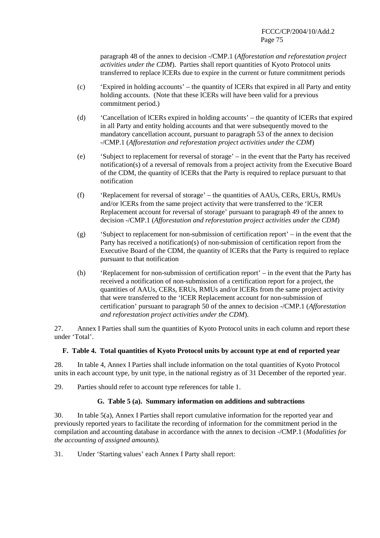paragraph 48 of the annex to decision -/CMP.1 (*Afforestation and reforestation project activities under the CDM*). Parties shall report quantities of Kyoto Protocol units transferred to replace lCERs due to expire in the current or future commitment periods

- (c) 'Expired in holding accounts' the quantity of lCERs that expired in all Party and entity holding accounts. (Note that these lCERs will have been valid for a previous commitment period.)
- (d) 'Cancellation of lCERs expired in holding accounts' the quantity of lCERs that expired in all Party and entity holding accounts and that were subsequently moved to the mandatory cancellation account, pursuant to paragraph 53 of the annex to decision -/CMP.1 (*Afforestation and reforestation project activities under the CDM*)
- (e) 'Subject to replacement for reversal of storage' in the event that the Party has received notification(s) of a reversal of removals from a project activity from the Executive Board of the CDM, the quantity of lCERs that the Party is required to replace pursuant to that notification
- (f) 'Replacement for reversal of storage' the quantities of AAUs, CERs, ERUs, RMUs and/or lCERs from the same project activity that were transferred to the 'lCER Replacement account for reversal of storage' pursuant to paragraph 49 of the annex to decision -/CMP.1 (*Afforestation and reforestation project activities under the CDM*)
- (g) 'Subject to replacement for non-submission of certification report' in the event that the Party has received a notification(s) of non-submission of certification report from the Executive Board of the CDM, the quantity of lCERs that the Party is required to replace pursuant to that notification
- (h) 'Replacement for non-submission of certification report' in the event that the Party has received a notification of non-submission of a certification report for a project, the quantities of AAUs, CERs, ERUs, RMUs and/or lCERs from the same project activity that were transferred to the 'lCER Replacement account for non-submission of certification' pursuant to paragraph 50 of the annex to decision -/CMP.1 (*Afforestation and reforestation project activities under the CDM*).

27. Annex I Parties shall sum the quantities of Kyoto Protocol units in each column and report these under 'Total'.

### **F. Table 4. Total quantities of Kyoto Protocol units by account type at end of reported year**

28. In table 4, Annex I Parties shall include information on the total quantities of Kyoto Protocol units in each account type, by unit type, in the national registry as of 31 December of the reported year.

29. Parties should refer to account type references for table 1.

### **G. Table 5 (a). Summary information on additions and subtractions**

30. In table 5(a), Annex I Parties shall report cumulative information for the reported year and previously reported years to facilitate the recording of information for the commitment period in the compilation and accounting database in accordance with the annex to decision -/CMP.1 (*Modalities for the accounting of assigned amounts).*

31. Under 'Starting values' each Annex I Party shall report: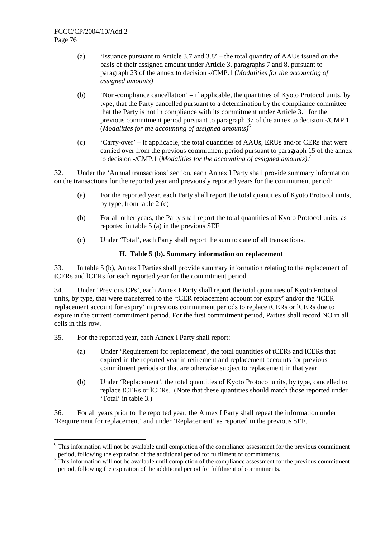- (a) 'Issuance pursuant to Article 3.7 and 3.8' the total quantity of AAUs issued on the basis of their assigned amount under Article 3, paragraphs 7 and 8, pursuant to paragraph 23 of the annex to decision -/CMP.1 (*Modalities for the accounting of assigned amounts)*
- (b) 'Non-compliance cancellation' if applicable, the quantities of Kyoto Protocol units, by type, that the Party cancelled pursuant to a determination by the compliance committee that the Party is not in compliance with its commitment under Article 3.1 for the previous commitment period pursuant to paragraph 37 of the annex to decision -/CMP.1 (*Modalities for the accounting of assigned amounts)*<sup>6</sup>
- (c) 'Carry-over' if applicable, the total quantities of AAUs, ERUs and/or CERs that were carried over from the previous commitment period pursuant to paragraph 15 of the annex to decision -/CMP.1 (*Modalities for the accounting of assigned amounts)*. 7

32. Under the 'Annual transactions' section, each Annex I Party shall provide summary information on the transactions for the reported year and previously reported years for the commitment period:

- (a) For the reported year, each Party shall report the total quantities of Kyoto Protocol units, by type, from table 2 (c)
- (b) For all other years, the Party shall report the total quantities of Kyoto Protocol units, as reported in table 5 (a) in the previous SEF
- (c) Under 'Total', each Party shall report the sum to date of all transactions.

### **H. Table 5 (b). Summary information on replacement**

33. In table 5 (b), Annex I Parties shall provide summary information relating to the replacement of tCERs and lCERs for each reported year for the commitment period.

34. Under 'Previous CPs', each Annex I Party shall report the total quantities of Kyoto Protocol units, by type, that were transferred to the 'tCER replacement account for expiry' and/or the 'lCER replacement account for expiry' in previous commitment periods to replace tCERs or lCERs due to expire in the current commitment period. For the first commitment period, Parties shall record NO in all cells in this row.

35. For the reported year, each Annex I Party shall report:

 $\overline{a}$ 

- (a) Under 'Requirement for replacement', the total quantities of tCERs and lCERs that expired in the reported year in retirement and replacement accounts for previous commitment periods or that are otherwise subject to replacement in that year
- (b) Under 'Replacement', the total quantities of Kyoto Protocol units, by type, cancelled to replace tCERs or lCERs. (Note that these quantities should match those reported under 'Total' in table 3.)

36. For all years prior to the reported year, the Annex I Party shall repeat the information under 'Requirement for replacement' and under 'Replacement' as reported in the previous SEF.

<sup>&</sup>lt;sup>6</sup> This information will not be available until completion of the compliance assessment for the previous commitment period, following the expiration of the additional period for fulfilment of commitments.

 $<sup>7</sup>$  This information will not be available until completion of the compliance assessment for the previous commitment</sup> period, following the expiration of the additional period for fulfilment of commitments.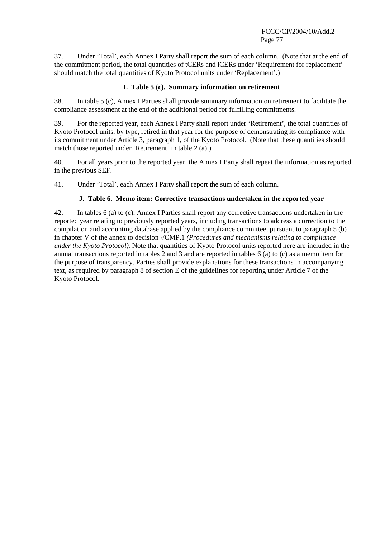37. Under 'Total', each Annex I Party shall report the sum of each column. (Note that at the end of the commitment period, the total quantities of tCERs and lCERs under 'Requirement for replacement' should match the total quantities of Kyoto Protocol units under 'Replacement'.)

### **I. Table 5 (c). Summary information on retirement**

38. In table 5 (c), Annex I Parties shall provide summary information on retirement to facilitate the compliance assessment at the end of the additional period for fulfilling commitments.

39. For the reported year, each Annex I Party shall report under 'Retirement', the total quantities of Kyoto Protocol units, by type, retired in that year for the purpose of demonstrating its compliance with its commitment under Article 3, paragraph 1, of the Kyoto Protocol. (Note that these quantities should match those reported under 'Retirement' in table 2 (a).)

40. For all years prior to the reported year, the Annex I Party shall repeat the information as reported in the previous SEF.

41. Under 'Total', each Annex I Party shall report the sum of each column.

### **J. Table 6. Memo item: Corrective transactions undertaken in the reported year**

42. In tables 6 (a) to (c), Annex I Parties shall report any corrective transactions undertaken in the reported year relating to previously reported years, including transactions to address a correction to the compilation and accounting database applied by the compliance committee, pursuant to paragraph 5 (b) in chapter V of the annex to decision -/CMP.1 *(Procedures and mechanisms relating to compliance under the Kyoto Protocol).* Note that quantities of Kyoto Protocol units reported here are included in the annual transactions reported in tables 2 and 3 and are reported in tables 6 (a) to (c) as a memo item for the purpose of transparency. Parties shall provide explanations for these transactions in accompanying text, as required by paragraph 8 of section E of the guidelines for reporting under Article 7 of the Kyoto Protocol.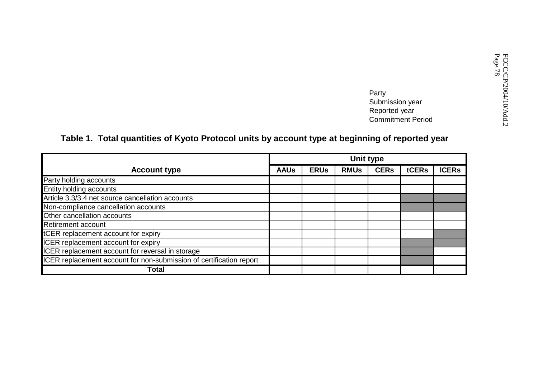Party<br>
Party<br>
Submission year<br>
Reported year<br>
Commitment Period<br>
Commitment Period<br>
Commitment Period

## **Table 1. Total quantities of Kyoto Protocol units by account type at beginning of reported year**

|                                                                     |             |             | Unit type   |             |       |              |
|---------------------------------------------------------------------|-------------|-------------|-------------|-------------|-------|--------------|
| <b>Account type</b>                                                 | <b>AAUs</b> | <b>ERUs</b> | <b>RMUs</b> | <b>CERs</b> | tCERs | <b>ICERs</b> |
| Party holding accounts                                              |             |             |             |             |       |              |
| Entity holding accounts                                             |             |             |             |             |       |              |
| Article 3.3/3.4 net source cancellation accounts                    |             |             |             |             |       |              |
| Non-compliance cancellation accounts                                |             |             |             |             |       |              |
| Other cancellation accounts                                         |             |             |             |             |       |              |
| Retirement account                                                  |             |             |             |             |       |              |
| tCER replacement account for expiry                                 |             |             |             |             |       |              |
| ICER replacement account for expiry                                 |             |             |             |             |       |              |
| ICER replacement account for reversal in storage                    |             |             |             |             |       |              |
| ICER replacement account for non-submission of certification report |             |             |             |             |       |              |
| <b>Total</b>                                                        |             |             |             |             |       |              |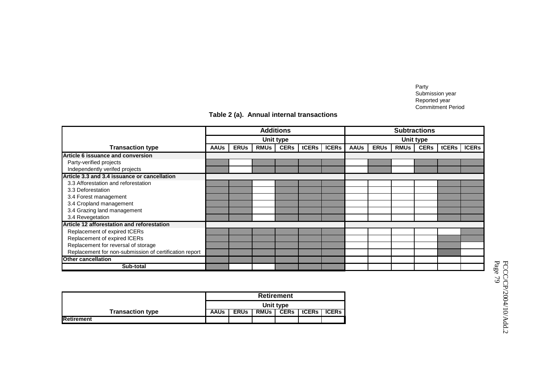Party Submission year Reported year Commitment Period

|  |  |  | Table 2 (a). Annual internal transactions |
|--|--|--|-------------------------------------------|
|--|--|--|-------------------------------------------|

|                                                        | <b>Additions</b> |             |             |             |       |              |             |             |             | <b>Subtractions</b> |       |              |
|--------------------------------------------------------|------------------|-------------|-------------|-------------|-------|--------------|-------------|-------------|-------------|---------------------|-------|--------------|
|                                                        |                  | Unit type   |             |             |       |              |             |             |             | <b>Unit type</b>    |       |              |
| <b>Transaction type</b>                                | <b>AAUs</b>      | <b>ERUS</b> | <b>RMUs</b> | <b>CERs</b> | tCERs | <b>ICERs</b> | <b>AAUs</b> | <b>ERUs</b> | <b>RMUs</b> | <b>CERs</b>         | tCERs | <b>ICERS</b> |
| Article 6 issuance and conversion                      |                  |             |             |             |       |              |             |             |             |                     |       |              |
| Party-verified projects                                |                  |             |             |             |       |              |             |             |             |                     |       |              |
| Independently verifed projects                         |                  |             |             |             |       |              |             |             |             |                     |       |              |
| Article 3.3 and 3.4 issuance or cancellation           |                  |             |             |             |       |              |             |             |             |                     |       |              |
| 3.3 Afforestation and reforestation                    |                  |             |             |             |       |              |             |             |             |                     |       |              |
| 3.3 Deforestation                                      |                  |             |             |             |       |              |             |             |             |                     |       |              |
| 3.4 Forest management                                  |                  |             |             |             |       |              |             |             |             |                     |       |              |
| 3.4 Cropland management                                |                  |             |             |             |       |              |             |             |             |                     |       |              |
| 3.4 Grazing land management                            |                  |             |             |             |       |              |             |             |             |                     |       |              |
| 3.4 Revegetation                                       |                  |             |             |             |       |              |             |             |             |                     |       |              |
| Article 12 afforestation and reforestation             |                  |             |             |             |       |              |             |             |             |                     |       |              |
| Replacement of expired tCERs                           |                  |             |             |             |       |              |             |             |             |                     |       |              |
| Replacement of expired ICERs                           |                  |             |             |             |       |              |             |             |             |                     |       |              |
| Replacement for reversal of storage                    |                  |             |             |             |       |              |             |             |             |                     |       |              |
| Replacement for non-submission of certification report |                  |             |             |             |       |              |             |             |             |                     |       |              |
| <b>Other cancellation</b>                              |                  |             |             |             |       |              |             |             |             |                     |       |              |
| Sub-total                                              |                  |             |             |             |       |              |             |             |             |                     |       |              |

|                         |             |             |             | <b>Retirement</b> |       |              |
|-------------------------|-------------|-------------|-------------|-------------------|-------|--------------|
|                         |             |             |             | Unit type         |       |              |
| <b>Transaction type</b> | <b>AAUs</b> | <b>ERUs</b> | <b>RMUs</b> | <b>CERs</b>       | tCERs | <b>ICERs</b> |
| Retirement              |             |             |             |                   |       |              |

FCCC/CP/2004/10/Add.2<br>Page 79 FCCC/CP/2004/10/Add.2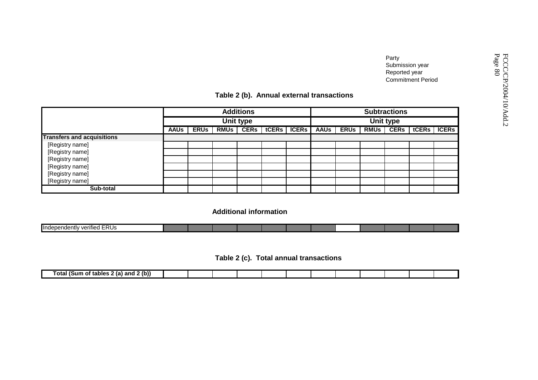## **Table 2 (b). Annual external transactions**

|                                   |             |             |             |                  | Table 2 (b). Annual external transactions |              |             |             |             | Party<br>Submission year<br>Reported year | <b>Commitment Period</b>    |  |  |
|-----------------------------------|-------------|-------------|-------------|------------------|-------------------------------------------|--------------|-------------|-------------|-------------|-------------------------------------------|-----------------------------|--|--|
|                                   |             |             |             | <b>Additions</b> |                                           |              |             |             |             | <b>Subtractions</b>                       |                             |  |  |
|                                   |             |             |             | <b>Unit type</b> |                                           |              | Unit type   |             |             |                                           |                             |  |  |
|                                   | <b>AAUs</b> | <b>ERUS</b> | <b>RMUs</b> | <b>CERs</b>      | tCERs                                     | <b>ICERS</b> | <b>AAUs</b> | <b>ERUS</b> | <b>RMUS</b> |                                           | <b>CERS</b>   tCERS   ICERS |  |  |
| <b>Transfers and acquisitions</b> |             |             |             |                  |                                           |              |             |             |             |                                           |                             |  |  |
| [Registry name]                   |             |             |             |                  |                                           |              |             |             |             |                                           |                             |  |  |
| [Registry name]                   |             |             |             |                  |                                           |              |             |             |             |                                           |                             |  |  |
| [Registry name]                   |             |             |             |                  |                                           |              |             |             |             |                                           |                             |  |  |
| [Registry name]                   |             |             |             |                  |                                           |              |             |             |             |                                           |                             |  |  |
| [Registry name]                   |             |             |             |                  |                                           |              |             |             |             |                                           |                             |  |  |
| [Registry name]                   |             |             |             |                  |                                           |              |             |             |             |                                           |                             |  |  |
| Sub-total                         |             |             |             |                  |                                           |              |             |             |             |                                           |                             |  |  |

**Additional information**

| $-  -$<br>. .<br>- ס-<br>∎Indeb⁄<br>verified<br>∍חדי<br>. н. н.<br>ט ש |  |  |  |  |  |  |
|------------------------------------------------------------------------|--|--|--|--|--|--|
|                                                                        |  |  |  |  |  |  |

 **Table 2 (c). Total annual transactions**

| $-$<br>--<br>and<br>-ranier<br>nт<br>ווחו<br>- 10 |  |  |  |  |  |  |
|---------------------------------------------------|--|--|--|--|--|--|
|                                                   |  |  |  |  |  |  |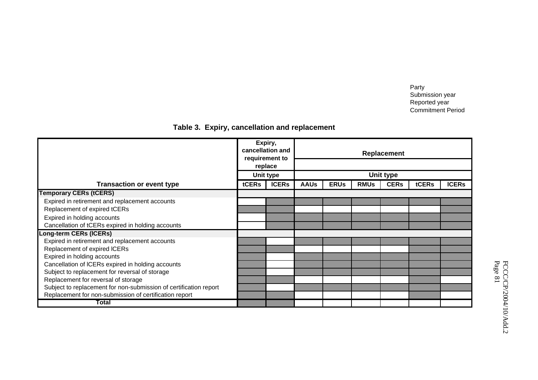Party Submission year Reported year Commitment Period

## **Table 3. Expiry, cancellation and replacement**

|                                                                   |       | Expiry,<br>cancellation and<br>requirement to |                  |             |             | Replacement |       |              |
|-------------------------------------------------------------------|-------|-----------------------------------------------|------------------|-------------|-------------|-------------|-------|--------------|
|                                                                   |       | replace                                       |                  |             |             |             |       |              |
|                                                                   |       | Unit type                                     | <b>Unit type</b> |             |             |             |       |              |
| <b>Transaction or event type</b>                                  | tCERs | <b>ICERs</b>                                  | <b>AAUs</b>      | <b>ERUs</b> | <b>RMUs</b> | <b>CERs</b> | tCERs | <b>ICERS</b> |
| <b>Temporary CERs (tCERS)</b>                                     |       |                                               |                  |             |             |             |       |              |
| Expired in retirement and replacement accounts                    |       |                                               |                  |             |             |             |       |              |
| Replacement of expired tCERs                                      |       |                                               |                  |             |             |             |       |              |
| Expired in holding accounts                                       |       |                                               |                  |             |             |             |       |              |
| Cancellation of tCERs expired in holding accounts                 |       |                                               |                  |             |             |             |       |              |
| Long-term CERs (ICERs)                                            |       |                                               |                  |             |             |             |       |              |
| Expired in retirement and replacement accounts                    |       |                                               |                  |             |             |             |       |              |
| Replacement of expired ICERs                                      |       |                                               |                  |             |             |             |       |              |
| Expired in holding accounts                                       |       |                                               |                  |             |             |             |       |              |
| Cancellation of ICERs expired in holding accounts                 |       |                                               |                  |             |             |             |       |              |
| Subject to replacement for reversal of storage                    |       |                                               |                  |             |             |             |       |              |
| Replacement for reversal of storage                               |       |                                               |                  |             |             |             |       |              |
| Subject to replacement for non-submission of certification report |       |                                               |                  |             |             |             |       |              |
| Replacement for non-submission of certification report            |       |                                               |                  |             |             |             |       |              |
| Total                                                             |       |                                               |                  |             |             |             |       |              |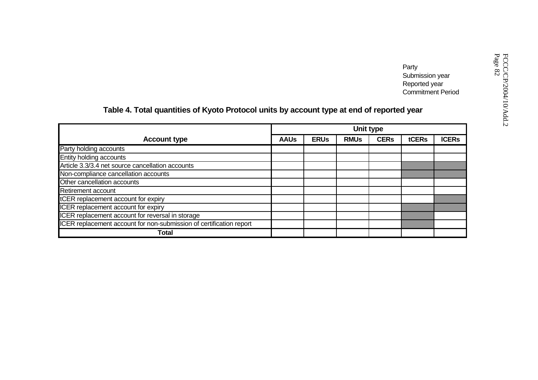Party<br>
Submission year<br>
Reported year<br>
Commitment Period<br> **J year**<br> **Commitment Period**<br> **Commitment Period**<br> **Commitment Period**<br> **Commitment Period** 

# **Table 4. Total quantities of Kyoto Protocol units by account type at end of reported year**

|                                                                     |             |             | Unit type   |             |       |              |
|---------------------------------------------------------------------|-------------|-------------|-------------|-------------|-------|--------------|
| <b>Account type</b>                                                 | <b>AAUs</b> | <b>ERUs</b> | <b>RMUs</b> | <b>CERs</b> | tCERs | <b>ICERs</b> |
| Party holding accounts                                              |             |             |             |             |       |              |
| Entity holding accounts                                             |             |             |             |             |       |              |
| Article 3.3/3.4 net source cancellation accounts                    |             |             |             |             |       |              |
| Non-compliance cancellation accounts                                |             |             |             |             |       |              |
| Other cancellation accounts                                         |             |             |             |             |       |              |
| Retirement account                                                  |             |             |             |             |       |              |
| tCER replacement account for expiry                                 |             |             |             |             |       |              |
| ICER replacement account for expiry                                 |             |             |             |             |       |              |
| ICER replacement account for reversal in storage                    |             |             |             |             |       |              |
| ICER replacement account for non-submission of certification report |             |             |             |             |       |              |
| Total                                                               |             |             |             |             |       |              |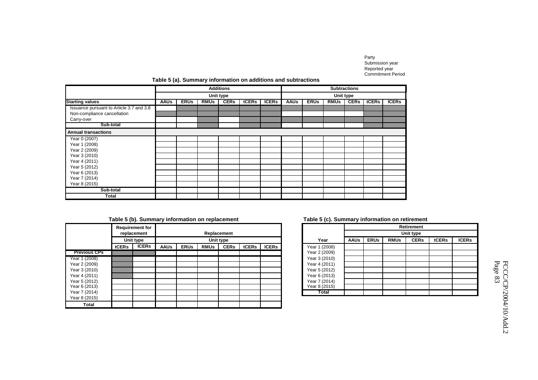Party Submission year Reported year Commitment Period

### **Table 5 (a). Summary information on additions and subtractions**

|                                          |             |             |             | <b>Additions</b> |       |              |             |             |             | <b>Subtractions</b> |       |              |
|------------------------------------------|-------------|-------------|-------------|------------------|-------|--------------|-------------|-------------|-------------|---------------------|-------|--------------|
|                                          |             |             |             | Unit type        |       |              |             |             | Unit type   |                     |       |              |
| <b>Starting values</b>                   | <b>AAUs</b> | <b>ERUs</b> | <b>RMUs</b> | <b>CERs</b>      | tCERs | <b>ICERs</b> | <b>AAUs</b> | <b>ERUs</b> | <b>RMUs</b> | <b>CERs</b>         | tCERs | <b>ICERs</b> |
| Issuance pursuant to Article 3.7 and 3.8 |             |             |             |                  |       |              |             |             |             |                     |       |              |
| Non-compliance cancellation              |             |             |             |                  |       |              |             |             |             |                     |       |              |
| Carry-over                               |             |             |             |                  |       |              |             |             |             |                     |       |              |
| Sub-total                                |             |             |             |                  |       |              |             |             |             |                     |       |              |
| <b>Annual transactions</b>               |             |             |             |                  |       |              |             |             |             |                     |       |              |
| Year 0 (2007)                            |             |             |             |                  |       |              |             |             |             |                     |       |              |
| Year 1 (2008)                            |             |             |             |                  |       |              |             |             |             |                     |       |              |
| Year 2 (2009)                            |             |             |             |                  |       |              |             |             |             |                     |       |              |
| Year 3 (2010)                            |             |             |             |                  |       |              |             |             |             |                     |       |              |
| Year 4 (2011)                            |             |             |             |                  |       |              |             |             |             |                     |       |              |
| Year 5 (2012)                            |             |             |             |                  |       |              |             |             |             |                     |       |              |
| Year 6 (2013)                            |             |             |             |                  |       |              |             |             |             |                     |       |              |
| Year 7 (2014)                            |             |             |             |                  |       |              |             |             |             |                     |       |              |
| Year 8 (2015)                            |             |             |             |                  |       |              |             |             |             |                     |       |              |
| Sub-total                                |             |             |             |                  |       |              |             |             |             |                     |       |              |
| Total                                    |             |             |             |                  |       |              |             |             |             |                     |       |              |

### **Table 5 (b). Summary information on replacement**

|                     |       | <b>Requirement for</b><br>replacement |             |             |             | Replacement |       |              |               |
|---------------------|-------|---------------------------------------|-------------|-------------|-------------|-------------|-------|--------------|---------------|
|                     |       | Unit type                             |             |             |             | Unit type   |       |              | Year          |
|                     | tCERs | <b>ICERs</b>                          | <b>AAUs</b> | <b>ERUs</b> | <b>RMUs</b> | <b>CERs</b> | tCERs | <b>ICERs</b> | Year 1 (2008) |
| <b>Previous CPs</b> |       |                                       |             |             |             |             |       |              | Year 2 (2009) |
| Year 1 (2008)       |       |                                       |             |             |             |             |       |              | Year 3 (2010) |
| Year 2 (2009)       |       |                                       |             |             |             |             |       |              | Year 4 (2011) |
| Year 3 (2010)       |       |                                       |             |             |             |             |       |              | Year 5 (2012) |
| Year 4 (2011)       |       |                                       |             |             |             |             |       |              | Year 6 (2013) |
| Year 5 (2012)       |       |                                       |             |             |             |             |       |              | Year 7 (2014) |
| Year 6 (2013)       |       |                                       |             |             |             |             |       |              | Year 8 (2015) |
| Year 7 (2014)       |       |                                       |             |             |             |             |       |              | Total         |
| Year 8 (2015)       |       |                                       |             |             |             |             |       |              |               |
| Total               |       |                                       |             |             |             |             |       |              |               |

#### **Table 5 (c). Summary information on retirement**

|   | ----- - ,- <i>,</i> - ---------- <i>,</i> |             |             |             |                   |       |              |
|---|-------------------------------------------|-------------|-------------|-------------|-------------------|-------|--------------|
|   |                                           |             |             |             | <b>Retirement</b> |       |              |
|   |                                           |             |             |             | Unit type         |       |              |
|   | Year                                      | <b>AAUs</b> | <b>ERUs</b> | <b>RMUs</b> | <b>CERs</b>       | tCERs | <b>ICERs</b> |
| S | Year 1 (2008)                             |             |             |             |                   |       |              |
|   | Year 2 (2009)                             |             |             |             |                   |       |              |
|   | Year 3 (2010)                             |             |             |             |                   |       |              |
|   | Year 4 (2011)                             |             |             |             |                   |       |              |
|   | Year 5 (2012)                             |             |             |             |                   |       |              |
|   | Year 6 (2013)                             |             |             |             |                   |       |              |
|   | Year 7 (2014)                             |             |             |             |                   |       |              |
|   | Year 8 (2015)                             |             |             |             |                   |       |              |
|   | Total                                     |             |             |             |                   |       |              |

FCCC/CP/2004/10/Add.2<br>Page 83 FCCC/CP/2004/10/Add.2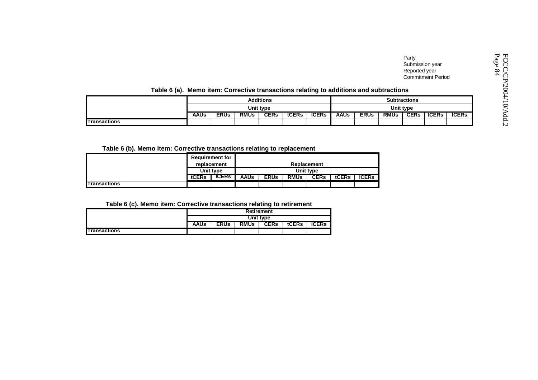| Table 6 (a). Memo item: Corrective transactions relating to additions and subtractions |                  |             |             |             |       |              |             |             |             | Party<br>Submission year<br>Reported year | <b>Commitment Period</b> |              | Page<br>ᄓ<br>$\Omega$<br>$\infty$ |
|----------------------------------------------------------------------------------------|------------------|-------------|-------------|-------------|-------|--------------|-------------|-------------|-------------|-------------------------------------------|--------------------------|--------------|-----------------------------------|
|                                                                                        | <b>Additions</b> |             |             |             |       |              |             |             |             |                                           |                          |              |                                   |
|                                                                                        | Unit type        |             |             |             |       |              |             |             |             |                                           |                          |              |                                   |
|                                                                                        | <b>AAUs</b>      | <b>ERUs</b> | <b>RMUs</b> | <b>CERs</b> | tCERs | <b>ICERs</b> | <b>AAUs</b> | <b>ERUs</b> | <b>RMUs</b> | CER <sub>s</sub>                          | tCERs                    | <b>ICERs</b> |                                   |
| <b>Transactions</b>                                                                    |                  |             |             |             |       |              |             |             |             |                                           |                          |              | N                                 |

### **Table 6 (a). Memo item: Corrective transactions relating to additions and subtractions**

### **Table 6 (b). Memo item: Corrective transactions relating to replacement**

|                     |                          | <b>Requirement for</b> |             |             |             |             |       |              |  |  |  |
|---------------------|--------------------------|------------------------|-------------|-------------|-------------|-------------|-------|--------------|--|--|--|
|                     | replacement<br>Unit type |                        | Replacement |             |             |             |       |              |  |  |  |
|                     |                          |                        | Unit type   |             |             |             |       |              |  |  |  |
|                     | tCERs                    | <b>TCERS</b>           | <b>AAUs</b> | <b>ERUs</b> | <b>RMUs</b> | <b>CERs</b> | tCERs | <b>ICERs</b> |  |  |  |
| <b>Transactions</b> |                          |                        |             |             |             |             |       |              |  |  |  |

**Table 6 (c). Memo item: Corrective transactions relating to retirement**

|                     |                   |             |             | . .         |       |              |  |  |  |  |
|---------------------|-------------------|-------------|-------------|-------------|-------|--------------|--|--|--|--|
|                     | <b>Retirement</b> |             |             |             |       |              |  |  |  |  |
|                     | Unit type         |             |             |             |       |              |  |  |  |  |
|                     | <b>AAUs</b>       | <b>ERUs</b> | <b>RMUs</b> | <b>CERs</b> | tCERs | <b>ICERs</b> |  |  |  |  |
| <b>Transactions</b> |                   |             |             |             |       |              |  |  |  |  |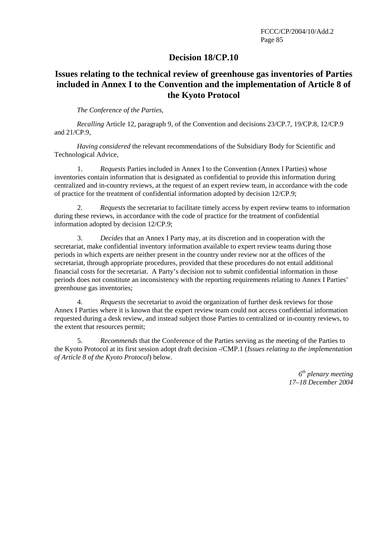### **Decision 18/CP.10**

## **Issues relating to the technical review of greenhouse gas inventories of Parties included in Annex I to the Convention and the implementation of Article 8 of the Kyoto Protocol**

*The Conference of the Parties,* 

*Recalling* Article 12, paragraph 9, of the Convention and decisions 23/CP.7, 19/CP.8, 12/CP.9 and 21/CP.9,

*Having considered* the relevant recommendations of the Subsidiary Body for Scientific and Technological Advice,

1. *Requests* Parties included in Annex I to the Convention (Annex I Parties) whose inventories contain information that is designated as confidential to provide this information during centralized and in-country reviews, at the request of an expert review team, in accordance with the code of practice for the treatment of confidential information adopted by decision 12/CP.9;

2. *Requests* the secretariat to facilitate timely access by expert review teams to information during these reviews, in accordance with the code of practice for the treatment of confidential information adopted by decision 12/CP.9;

3. *Decides* that an Annex I Party may, at its discretion and in cooperation with the secretariat, make confidential inventory information available to expert review teams during those periods in which experts are neither present in the country under review nor at the offices of the secretariat, through appropriate procedures, provided that these procedures do not entail additional financial costs for the secretariat. A Party's decision not to submit confidential information in those periods does not constitute an inconsistency with the reporting requirements relating to Annex I Parties' greenhouse gas inventories;

4. *Requests* the secretariat to avoid the organization of further desk reviews for those Annex I Parties where it is known that the expert review team could not access confidential information requested during a desk review, and instead subject those Parties to centralized or in-country reviews, to the extent that resources permit;

5. *Recommends* that the Conference of the Parties serving as the meeting of the Parties to the Kyoto Protocol at its first session adopt draft decision -/CMP.1 (*Issues relating to the implementation of Article 8 of the Kyoto Protocol*) below.

> *6th plenary meeting 17–18 December 2004*